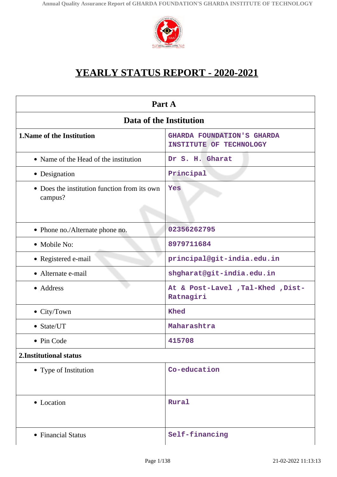

# **YEARLY STATUS REPORT - 2020-2021**

| Part A                                                  |                                                              |  |
|---------------------------------------------------------|--------------------------------------------------------------|--|
| Data of the Institution                                 |                                                              |  |
| 1. Name of the Institution                              | <b>GHARDA FOUNDATION'S GHARDA</b><br>INSTITUTE OF TECHNOLOGY |  |
| • Name of the Head of the institution                   | Dr S. H. Gharat                                              |  |
| • Designation                                           | Principal                                                    |  |
| • Does the institution function from its own<br>campus? | Yes                                                          |  |
| • Phone no./Alternate phone no.                         | 02356262795                                                  |  |
| • Mobile No:                                            | 8979711684                                                   |  |
| • Registered e-mail                                     | principal@git-india.edu.in                                   |  |
| • Alternate e-mail                                      | shgharat@git-india.edu.in                                    |  |
| • Address                                               | At & Post-Lavel , Tal-Khed , Dist-<br>Ratnagiri              |  |
| $\bullet$ City/Town                                     | <b>Khed</b>                                                  |  |
| $\bullet$ State/UT                                      | Maharashtra                                                  |  |
| • Pin Code                                              | 415708                                                       |  |
| 2. Institutional status                                 |                                                              |  |
| • Type of Institution                                   | Co-education                                                 |  |
| • Location                                              | Rural                                                        |  |
| • Financial Status                                      | Self-financing                                               |  |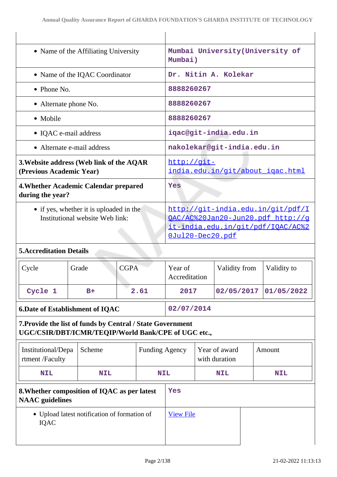| • Name of the Affiliating University                                                                              |                                | Mumbai University (University of<br>Mumbai) |                                                                                                                                 |                                |            |               |        |             |
|-------------------------------------------------------------------------------------------------------------------|--------------------------------|---------------------------------------------|---------------------------------------------------------------------------------------------------------------------------------|--------------------------------|------------|---------------|--------|-------------|
|                                                                                                                   | • Name of the IQAC Coordinator |                                             |                                                                                                                                 | Dr. Nitin A. Kolekar           |            |               |        |             |
| • Phone No.                                                                                                       |                                |                                             |                                                                                                                                 | 8888260267                     |            |               |        |             |
| • Alternate phone No.                                                                                             |                                |                                             |                                                                                                                                 | 8888260267                     |            |               |        |             |
| • Mobile                                                                                                          |                                |                                             |                                                                                                                                 | 8888260267                     |            |               |        |             |
| • IQAC e-mail address                                                                                             |                                |                                             |                                                                                                                                 | iqac@git-india.edu.in          |            |               |        |             |
| • Alternate e-mail address                                                                                        |                                |                                             |                                                                                                                                 | nakolekar@git-india.edu.in     |            |               |        |             |
| 3. Website address (Web link of the AQAR<br>(Previous Academic Year)                                              |                                |                                             | http://git-<br>india.edu.in/git/about igac.html                                                                                 |                                |            |               |        |             |
| 4. Whether Academic Calendar prepared<br>during the year?                                                         |                                |                                             |                                                                                                                                 | Yes                            |            |               |        |             |
| • if yes, whether it is uploaded in the<br>Institutional website Web link:                                        |                                |                                             | http://qit-india.edu.in/qit/pdf/I<br>OAC/AC%20Jan20-Jun20.pdf http://g<br>it-india.edu.in/git/pdf/IQAC/AC%2<br>OJul20-Dec20.pdf |                                |            |               |        |             |
| <b>5. Accreditation Details</b>                                                                                   |                                |                                             |                                                                                                                                 |                                |            |               |        |             |
| Cycle                                                                                                             | Grade                          | <b>CGPA</b>                                 |                                                                                                                                 | Year of<br>Accreditation       |            | Validity from |        | Validity to |
| Cycle 1                                                                                                           | $B+$                           |                                             | 2.61                                                                                                                            | 2017                           |            | 02/05/2017    |        | 01/05/2022  |
| <b>6. Date of Establishment of IQAC</b>                                                                           |                                | 02/07/2014                                  |                                                                                                                                 |                                |            |               |        |             |
| 7. Provide the list of funds by Central / State Government<br>UGC/CSIR/DBT/ICMR/TEQIP/World Bank/CPE of UGC etc., |                                |                                             |                                                                                                                                 |                                |            |               |        |             |
| Institutional/Depa<br>rtment /Faculty                                                                             | Scheme                         | <b>Funding Agency</b>                       |                                                                                                                                 | Year of award<br>with duration |            |               | Amount |             |
| <b>NIL</b>                                                                                                        | <b>NIL</b>                     | <b>NIL</b>                                  |                                                                                                                                 |                                | <b>NIL</b> |               |        | <b>NIL</b>  |
| 8. Whether composition of IQAC as per latest<br><b>NAAC</b> guidelines                                            |                                | Yes                                         |                                                                                                                                 |                                |            |               |        |             |
| • Upload latest notification of formation of<br><b>IQAC</b>                                                       |                                | <b>View File</b>                            |                                                                                                                                 |                                |            |               |        |             |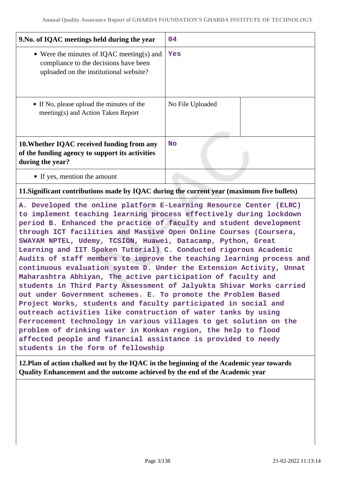| 9. No. of IQAC meetings held during the year                                                                                 | 04               |
|------------------------------------------------------------------------------------------------------------------------------|------------------|
| • Were the minutes of IQAC meeting(s) and<br>compliance to the decisions have been<br>uploaded on the institutional website? | Yes              |
| • If No, please upload the minutes of the<br>meeting(s) and Action Taken Report                                              | No File Uploaded |
| 10. Whether IQAC received funding from any<br>of the funding agency to support its activities<br>during the year?            | <b>No</b>        |
| • If yes, mention the amount                                                                                                 |                  |

### **11.Significant contributions made by IQAC during the current year (maximum five bullets)**

**A. Developed the online platform E-Learning Resource Center (ELRC) to implement teaching learning process effectively during lockdown period B. Enhanced the practice of faculty and student development through ICT facilities and Massive Open Online Courses (Coursera, SWAYAM NPTEL, Udemy, TCSION, Huawei, Datacamp, Python, Great Learning and IIT Spoken Tutorial) C. Conducted rigorous Academic Audits of staff members to improve the teaching learning process and continuous evaluation system D. Under the Extension Activity, Unnat Maharashtra Abhiyan, The active participation of faculty and students in Third Party Assessment of Jalyukta Shivar Works carried out under Government schemes. E. To promote the Problem Based Project Works, students and faculty participated in social and outreach activities like construction of water tanks by using Ferrocement technology in various villages to get solution on the problem of drinking water in Konkan region, the help to flood affected people and financial assistance is provided to needy students in the form of fellowship**

**12.Plan of action chalked out by the IQAC in the beginning of the Academic year towards Quality Enhancement and the outcome achieved by the end of the Academic year**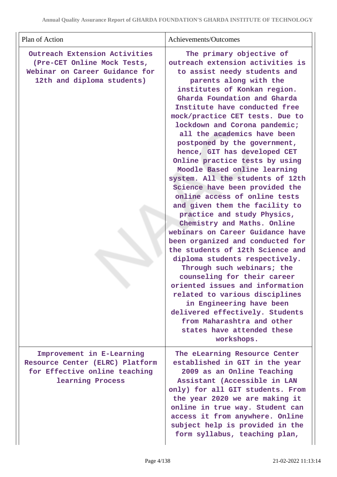| Plan of Action                                                                                                               | Achievements/Outcomes                                                                                                                                                                                                                                                                                                                                                                                                                                                                                                                                                                                                                                                                                                                                                                                                                                                                                                                                                                                                                                                                        |
|------------------------------------------------------------------------------------------------------------------------------|----------------------------------------------------------------------------------------------------------------------------------------------------------------------------------------------------------------------------------------------------------------------------------------------------------------------------------------------------------------------------------------------------------------------------------------------------------------------------------------------------------------------------------------------------------------------------------------------------------------------------------------------------------------------------------------------------------------------------------------------------------------------------------------------------------------------------------------------------------------------------------------------------------------------------------------------------------------------------------------------------------------------------------------------------------------------------------------------|
| Outreach Extension Activities<br>(Pre-CET Online Mock Tests,<br>Webinar on Career Guidance for<br>12th and diploma students) | The primary objective of<br>outreach extension activities is<br>to assist needy students and<br>parents along with the<br>institutes of Konkan region.<br>Gharda Foundation and Gharda<br>Institute have conducted free<br>mock/practice CET tests. Due to<br>lockdown and Corona pandemic;<br>all the academics have been<br>postponed by the government,<br>hence, GIT has developed CET<br>Online practice tests by using<br>Moodle Based online learning<br>system. All the students of 12th<br>Science have been provided the<br>online access of online tests<br>and given them the facility to<br>practice and study Physics,<br>Chemistry and Maths. Online<br>webinars on Career Guidance have<br>been organized and conducted for<br>the students of 12th Science and<br>diploma students respectively.<br>Through such webinars; the<br>counseling for their career<br>oriented issues and information<br>related to various disciplines<br>in Engineering have been<br>delivered effectively. Students<br>from Maharashtra and other<br>states have attended these<br>workshops. |
| Improvement in E-Learning<br>Resource Center (ELRC) Platform<br>for Effective online teaching<br>learning Process            | The eLearning Resource Center<br>established in GIT in the year<br>2009 as an Online Teaching<br>Assistant (Accessible in LAN<br>only) for all GIT students. From<br>the year 2020 we are making it<br>online in true way. Student can<br>access it from anywhere. Online<br>subject help is provided in the<br>form syllabus, teaching plan,                                                                                                                                                                                                                                                                                                                                                                                                                                                                                                                                                                                                                                                                                                                                                |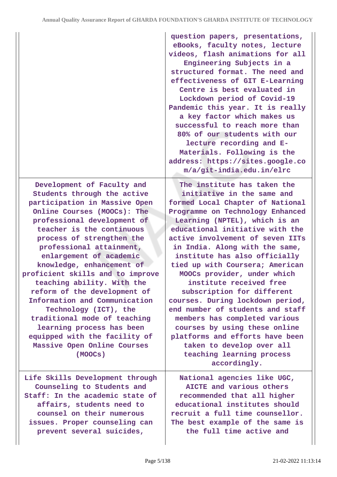|                                                                                                                                                                                                                                                                                                                                                                                                                                                                                                                                                                                                            | question papers, presentations,<br>eBooks, faculty notes, lecture<br>videos, flash animations for all<br>Engineering Subjects in a<br>structured format. The need and<br>effectiveness of GIT E-Learning<br>Centre is best evaluated in<br>Lockdown period of Covid-19<br>Pandemic this year. It is really<br>a key factor which makes us<br>successful to reach more than<br>80% of our students with our<br>lecture recording and E-<br>Materials. Following is the<br>address: https://sites.google.co<br>m/a/git-india.edu.in/elrc                                                                                                                                                         |
|------------------------------------------------------------------------------------------------------------------------------------------------------------------------------------------------------------------------------------------------------------------------------------------------------------------------------------------------------------------------------------------------------------------------------------------------------------------------------------------------------------------------------------------------------------------------------------------------------------|------------------------------------------------------------------------------------------------------------------------------------------------------------------------------------------------------------------------------------------------------------------------------------------------------------------------------------------------------------------------------------------------------------------------------------------------------------------------------------------------------------------------------------------------------------------------------------------------------------------------------------------------------------------------------------------------|
| Development of Faculty and<br>Students through the active<br>participation in Massive Open<br>Online Courses (MOOCs): The<br>professional development of<br>teacher is the continuous<br>process of strengthen the<br>professional attainment,<br>enlargement of academic<br>knowledge, enhancement of<br>proficient skills and to improve<br>teaching ability. With the<br>reform of the development of<br>Information and Communication<br>Technology (ICT), the<br>traditional mode of teaching<br>learning process has been<br>equipped with the facility of<br>Massive Open Online Courses<br>(MOOCs) | The institute has taken the<br>initiative in the same and<br>formed Local Chapter of National<br>Programme on Technology Enhanced<br>Learning (NPTEL), which is an<br>educational initiative with the<br>active involvement of seven IITs<br>in India. Along with the same,<br>institute has also officially<br>tied up with Coursera; American<br>MOOCs provider, under which<br>institute received free<br>subscription for different<br>courses. During lockdown period,<br>end number of students and staff<br>members has completed various<br>courses by using these online<br>platforms and efforts have been<br>taken to develop over all<br>teaching learning process<br>accordingly. |
| Life Skills Development through<br>Counseling to Students and<br>Staff: In the academic state of<br>affairs, students need to<br>counsel on their numerous<br>issues. Proper counseling can<br>prevent several suicides,                                                                                                                                                                                                                                                                                                                                                                                   | National agencies like UGC,<br>AICTE and various others<br>recommended that all higher<br>educational institutes should<br>recruit a full time counsellor.<br>The best example of the same is<br>the full time active and                                                                                                                                                                                                                                                                                                                                                                                                                                                                      |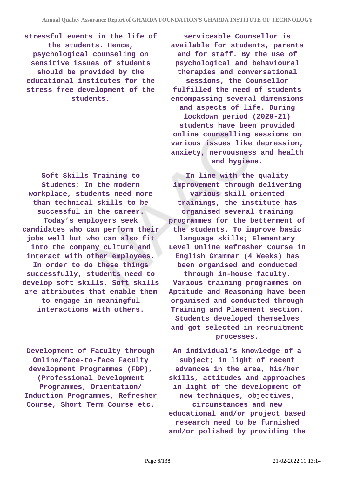| stressful events in the life of<br>the students. Hence,<br>psychological counseling on<br>sensitive issues of students<br>should be provided by the<br>educational institutes for the<br>stress free development of the<br>students.                                                                                                                                                                                                                                                                              | serviceable Counsellor is<br>available for students, parents<br>and for staff. By the use of<br>psychological and behavioural<br>therapies and conversational<br>sessions, the Counsellor<br>fulfilled the need of students<br>encompassing several dimensions<br>and aspects of life. During<br>lockdown period (2020-21)<br>students have been provided<br>online counselling sessions on<br>various issues like depression,<br>anxiety, nervousness and health<br>and hygiene.                                                                                                                                       |
|-------------------------------------------------------------------------------------------------------------------------------------------------------------------------------------------------------------------------------------------------------------------------------------------------------------------------------------------------------------------------------------------------------------------------------------------------------------------------------------------------------------------|-------------------------------------------------------------------------------------------------------------------------------------------------------------------------------------------------------------------------------------------------------------------------------------------------------------------------------------------------------------------------------------------------------------------------------------------------------------------------------------------------------------------------------------------------------------------------------------------------------------------------|
| Soft Skills Training to<br>Students: In the modern<br>workplace, students need more<br>than technical skills to be<br>successful in the career.<br>Today's employers seek<br>candidates who can perform their<br>jobs well but who can also fit<br>into the company culture and<br>interact with other employees.<br>In order to do these things<br>successfully, students need to<br>develop soft skills. Soft skills<br>are attributes that enable them<br>to engage in meaningful<br>interactions with others. | In line with the quality<br>improvement through delivering<br>various skill oriented<br>trainings, the institute has<br>organised several training<br>programmes for the betterment of<br>the students. To improve basic<br>language skills; Elementary<br>Level Online Refresher Course in<br>English Grammar (4 Weeks) has<br>been organised and conducted<br>through in-house faculty.<br>Various training programmes on<br>Aptitude and Reasoning have been<br>organised and conducted through<br>Training and Placement section.<br>Students developed themselves<br>and got selected in recruitment<br>processes. |
| Development of Faculty through<br>Online/face-to-face Faculty<br>development Programmes (FDP),<br>(Professional Development<br>Programmes, Orientation/<br>Induction Programmes, Refresher<br>Course, Short Term Course etc.                                                                                                                                                                                                                                                                                      | An individual's knowledge of a<br>subject; in light of recent<br>advances in the area, his/her<br>skills, attitudes and approaches<br>in light of the development of<br>new techniques, objectives,<br>circumstances and new<br>educational and/or project based<br>research need to be furnished<br>and/or polished by providing the                                                                                                                                                                                                                                                                                   |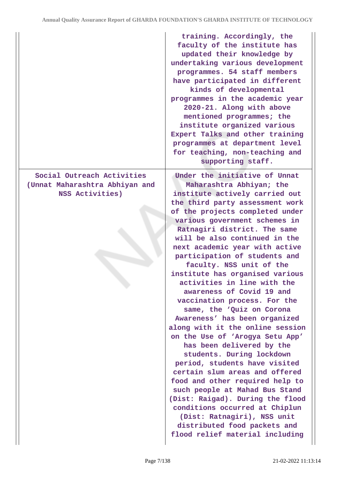|                                                                                 | training. Accordingly, the<br>faculty of the institute has<br>updated their knowledge by<br>undertaking various development<br>programmes. 54 staff members<br>have participated in different<br>kinds of developmental<br>programmes in the academic year<br>2020-21. Along with above<br>mentioned programmes; the<br>institute organized various<br>Expert Talks and other training<br>programmes at department level<br>for teaching, non-teaching and<br>supporting staff.                                                                                                                                                                                                                                                                                                                                                                                                                                                                                                                                  |
|---------------------------------------------------------------------------------|------------------------------------------------------------------------------------------------------------------------------------------------------------------------------------------------------------------------------------------------------------------------------------------------------------------------------------------------------------------------------------------------------------------------------------------------------------------------------------------------------------------------------------------------------------------------------------------------------------------------------------------------------------------------------------------------------------------------------------------------------------------------------------------------------------------------------------------------------------------------------------------------------------------------------------------------------------------------------------------------------------------|
| Social Outreach Activities<br>(Unnat Maharashtra Abhiyan and<br>NSS Activities) | Under the initiative of Unnat<br>Maharashtra Abhiyan; the<br>institute actively carried out<br>the third party assessment work<br>of the projects completed under<br>various government schemes in<br>Ratnagiri district. The same<br>will be also continued in the<br>next academic year with active<br>participation of students and<br>faculty. NSS unit of the<br>institute has organised various<br>activities in line with the<br>awareness of Covid 19 and<br>vaccination process. For the<br>same, the 'Quiz on Corona<br>Awareness' has been organized<br>along with it the online session<br>on the Use of 'Arogya Setu App'<br>has been delivered by the<br>students. During lockdown<br>period, students have visited<br>certain slum areas and offered<br>food and other required help to<br>such people at Mahad Bus Stand<br>(Dist: Raigad). During the flood<br>conditions occurred at Chiplun<br>(Dist: Ratnagiri), NSS unit<br>distributed food packets and<br>flood relief material including |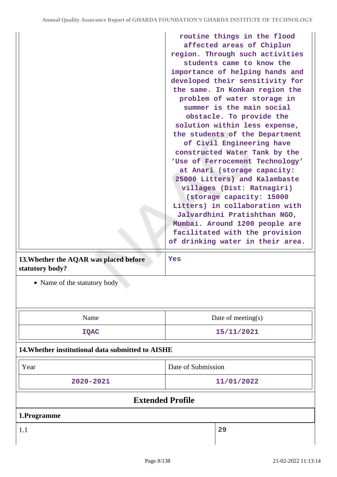|                                                           | routine things in the flood<br>affected areas of Chiplun<br>region. Through such activities<br>students came to know the<br>importance of helping hands and<br>developed their sensitivity for<br>the same. In Konkan region the<br>problem of water storage in<br>summer is the main social<br>obstacle. To provide the<br>solution within less expense,<br>the students of the Department<br>of Civil Engineering have<br>constructed Water Tank by the<br>'Use of Ferrocement Technology'<br>at Anari (storage capacity:<br>25000 Litters) and Kalambaste<br>villages (Dist: Ratnagiri)<br>(storage capacity: 15000<br>Litters) in collaboration with<br>Jalvardhini Pratishthan NGO,<br>Mumbai. Around 1200 people are<br>facilitated with the provision<br>of drinking water in their area. |
|-----------------------------------------------------------|--------------------------------------------------------------------------------------------------------------------------------------------------------------------------------------------------------------------------------------------------------------------------------------------------------------------------------------------------------------------------------------------------------------------------------------------------------------------------------------------------------------------------------------------------------------------------------------------------------------------------------------------------------------------------------------------------------------------------------------------------------------------------------------------------|
| 13. Whether the AQAR was placed before<br>statutory body? | Yes                                                                                                                                                                                                                                                                                                                                                                                                                                                                                                                                                                                                                                                                                                                                                                                              |
| • Name of the statutory body                              |                                                                                                                                                                                                                                                                                                                                                                                                                                                                                                                                                                                                                                                                                                                                                                                                  |
| Name                                                      | Date of meeting $(s)$                                                                                                                                                                                                                                                                                                                                                                                                                                                                                                                                                                                                                                                                                                                                                                            |
| <b>IQAC</b>                                               | 15/11/2021                                                                                                                                                                                                                                                                                                                                                                                                                                                                                                                                                                                                                                                                                                                                                                                       |
| 14. Whether institutional data submitted to AISHE         |                                                                                                                                                                                                                                                                                                                                                                                                                                                                                                                                                                                                                                                                                                                                                                                                  |
| Year                                                      | Date of Submission                                                                                                                                                                                                                                                                                                                                                                                                                                                                                                                                                                                                                                                                                                                                                                               |
| 2020-2021                                                 | 11/01/2022                                                                                                                                                                                                                                                                                                                                                                                                                                                                                                                                                                                                                                                                                                                                                                                       |

# **Extended Profile**

**1.Programme**

1.1 **29**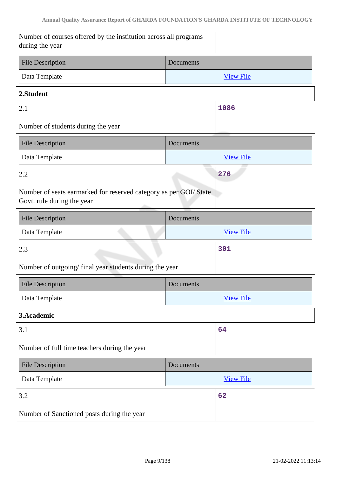| Number of courses offered by the institution across all programs<br>during the year             |                  |  |
|-------------------------------------------------------------------------------------------------|------------------|--|
| <b>File Description</b>                                                                         | Documents        |  |
| Data Template                                                                                   | <b>View File</b> |  |
| 2.Student                                                                                       |                  |  |
| 2.1                                                                                             | 1086             |  |
| Number of students during the year                                                              |                  |  |
| <b>File Description</b>                                                                         | Documents        |  |
| Data Template                                                                                   | <b>View File</b> |  |
| 2.2                                                                                             | 276              |  |
| Number of seats earmarked for reserved category as per GOI/ State<br>Govt. rule during the year |                  |  |
| <b>File Description</b>                                                                         | Documents        |  |
| Data Template                                                                                   | <b>View File</b> |  |
| 2.3                                                                                             | 301              |  |
| Number of outgoing/final year students during the year                                          |                  |  |
| <b>File Description</b>                                                                         | <b>Documents</b> |  |
| Data Template                                                                                   | <b>View File</b> |  |
| 3.Academic                                                                                      |                  |  |
| 3.1                                                                                             | 64               |  |
| Number of full time teachers during the year                                                    |                  |  |
| <b>File Description</b>                                                                         | Documents        |  |
| Data Template                                                                                   | <b>View File</b> |  |
| 3.2                                                                                             | 62               |  |
| Number of Sanctioned posts during the year                                                      |                  |  |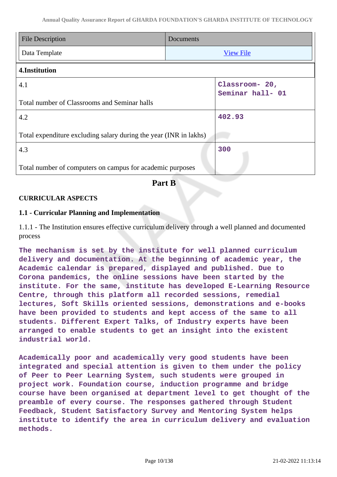| <b>File Description</b>                                           | Documents |                                    |
|-------------------------------------------------------------------|-----------|------------------------------------|
| Data Template                                                     |           | <b>View File</b>                   |
| 4.Institution                                                     |           |                                    |
| 4.1                                                               |           | Classroom- 20,<br>Seminar hall- 01 |
| Total number of Classrooms and Seminar halls                      |           |                                    |
| 4.2                                                               |           | 402.93                             |
| Total expenditure excluding salary during the year (INR in lakhs) |           |                                    |
| 4.3                                                               |           | 300                                |
| Total number of computers on campus for academic purposes         |           |                                    |

# **Part B**

### **CURRICULAR ASPECTS**

#### **1.1 - Curricular Planning and Implementation**

1.1.1 - The Institution ensures effective curriculum delivery through a well planned and documented process

**The mechanism is set by the institute for well planned curriculum delivery and documentation. At the beginning of academic year, the Academic calendar is prepared, displayed and published. Due to Corona pandemics, the online sessions have been started by the institute. For the same, institute has developed E-Learning Resource Centre, through this platform all recorded sessions, remedial lectures, Soft Skills oriented sessions, demonstrations and e-books have been provided to students and kept access of the same to all students. Different Expert Talks, of Industry experts have been arranged to enable students to get an insight into the existent industrial world.**

**Academically poor and academically very good students have been integrated and special attention is given to them under the policy of Peer to Peer Learning System, such students were grouped in project work. Foundation course, induction programme and bridge course have been organised at department level to get thought of the preamble of every course. The responses gathered through Student Feedback, Student Satisfactory Survey and Mentoring System helps institute to identify the area in curriculum delivery and evaluation methods.**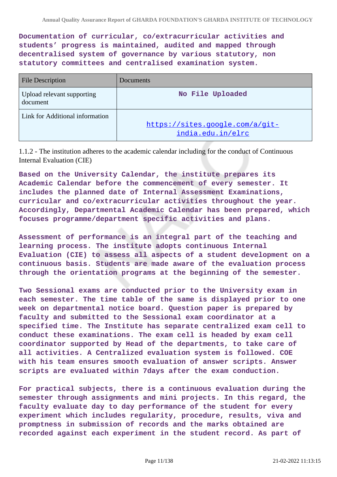**Documentation of curricular, co/extracurricular activities and students' progress is maintained, audited and mapped through decentralised system of governance by various statutory, non statutory committees and centralised examination system.**

| <b>File Description</b>                | Documents                                            |
|----------------------------------------|------------------------------------------------------|
| Upload relevant supporting<br>document | No File Uploaded                                     |
| Link for Additional information        | https://sites.google.com/a/git-<br>india.edu.in/elrc |

1.1.2 - The institution adheres to the academic calendar including for the conduct of Continuous Internal Evaluation (CIE)

**Based on the University Calendar, the institute prepares its Academic Calendar before the commencement of every semester. It includes the planned date of Internal Assessment Examinations, curricular and co/extracurricular activities throughout the year. Accordingly, Departmental Academic Calendar has been prepared, which focuses programme/department specific activities and plans.**

**Assessment of performance is an integral part of the teaching and learning process. The institute adopts continuous Internal Evaluation (CIE) to assess all aspects of a student development on a continuous basis. Students are made aware of the evaluation process through the orientation programs at the beginning of the semester.**

**Two Sessional exams are conducted prior to the University exam in each semester. The time table of the same is displayed prior to one week on departmental notice board. Question paper is prepared by faculty and submitted to the Sessional exam coordinator at a specified time. The Institute has separate centralized exam cell to conduct these examinations. The exam cell is headed by exam cell coordinator supported by Head of the departments, to take care of all activities. A Centralized evaluation system is followed. COE with his team ensures smooth evaluation of answer scripts. Answer scripts are evaluated within 7days after the exam conduction.**

**For practical subjects, there is a continuous evaluation during the semester through assignments and mini projects. In this regard, the faculty evaluate day to day performance of the student for every experiment which includes regularity, procedure, results, viva and promptness in submission of records and the marks obtained are recorded against each experiment in the student record. As part of**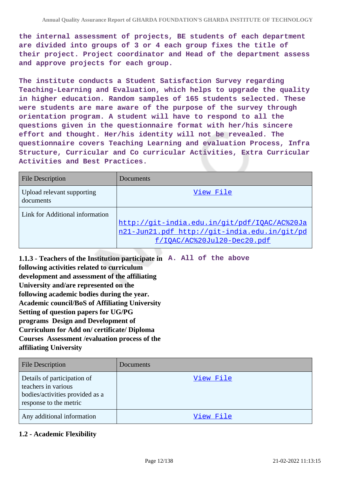**the internal assessment of projects, BE students of each department are divided into groups of 3 or 4 each group fixes the title of their project. Project coordinator and Head of the department assess and approve projects for each group.**

**The institute conducts a Student Satisfaction Survey regarding Teaching-Learning and Evaluation, which helps to upgrade the quality in higher education. Random samples of 165 students selected. These were students are mare aware of the purpose of the survey through orientation program. A student will have to respond to all the questions given in the questionnaire format with her/his sincere effort and thought. Her/his identity will not be revealed. The questionnaire covers Teaching Learning and evaluation Process, Infra Structure, Curricular and Co curricular Activities, Extra Curricular Activities and Best Practices.**

| <b>File Description</b>                 | <b>Documents</b>                                                                                                            |
|-----------------------------------------|-----------------------------------------------------------------------------------------------------------------------------|
| Upload relevant supporting<br>documents | View File                                                                                                                   |
| Link for Additional information         | http://git-india.edu.in/git/pdf/IQAC/AC%20Ja<br>n21-Jun21.pdf http://git-india.edu.in/git/pd<br>f/IOAC/AC%20Jul20-Dec20.pdf |

**1.1.3 - Teachers of the Institution participate in A. All of the above following activities related to curriculum development and assessment of the affiliating University and/are represented on the following academic bodies during the year. Academic council/BoS of Affiliating University Setting of question papers for UG/PG programs Design and Development of Curriculum for Add on/ certificate/ Diploma Courses Assessment /evaluation process of the affiliating University**

| <b>File Description</b>                                                                                         | Documents |
|-----------------------------------------------------------------------------------------------------------------|-----------|
| Details of participation of<br>teachers in various<br>bodies/activities provided as a<br>response to the metric | View File |
| Any additional information                                                                                      | View File |

### **1.2 - Academic Flexibility**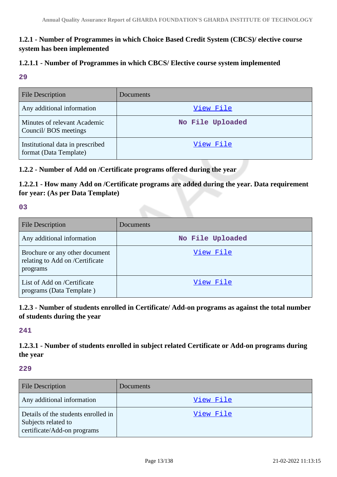# **1.2.1 - Number of Programmes in which Choice Based Credit System (CBCS)/ elective course system has been implemented**

#### **1.2.1.1 - Number of Programmes in which CBCS/ Elective course system implemented**

#### **29**

| <b>File Description</b>                                    | Documents        |
|------------------------------------------------------------|------------------|
| Any additional information                                 | View File        |
| Minutes of relevant Academic<br>Council/BOS meetings       | No File Uploaded |
| Institutional data in prescribed<br>format (Data Template) | View File        |

# **1.2.2 - Number of Add on /Certificate programs offered during the year**

**1.2.2.1 - How many Add on /Certificate programs are added during the year. Data requirement for year: (As per Data Template)**

#### **03**

| <b>File Description</b>                                                       | Documents        |
|-------------------------------------------------------------------------------|------------------|
| Any additional information                                                    | No File Uploaded |
| Brochure or any other document<br>relating to Add on /Certificate<br>programs | View File        |
| List of Add on /Certificate<br>programs (Data Template)                       | View File        |

### **1.2.3 - Number of students enrolled in Certificate/ Add-on programs as against the total number of students during the year**

### **241**

**1.2.3.1 - Number of students enrolled in subject related Certificate or Add-on programs during the year**

#### **229**

| <b>File Description</b>                                                                   | Documents |
|-------------------------------------------------------------------------------------------|-----------|
| Any additional information                                                                | View File |
| Details of the students enrolled in<br>Subjects related to<br>certificate/Add-on programs | View File |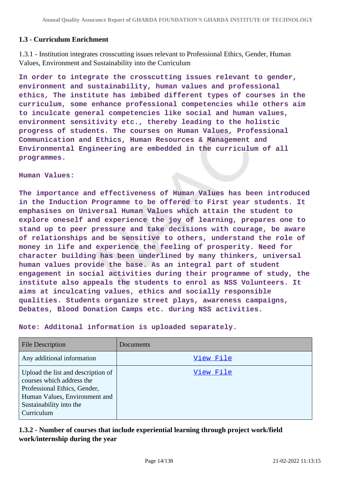### **1.3 - Curriculum Enrichment**

1.3.1 - Institution integrates crosscutting issues relevant to Professional Ethics, Gender, Human Values, Environment and Sustainability into the Curriculum

**In order to integrate the crosscutting issues relevant to gender, environment and sustainability, human values and professional ethics, The institute has imbibed different types of courses in the curriculum, some enhance professional competencies while others aim to inculcate general competencies like social and human values, environment sensitivity etc., thereby leading to the holistic progress of students. The courses on Human Values, Professional Communication and Ethics, Human Resources & Management and Environmental Engineering are embedded in the curriculum of all programmes.**

#### **Human Values:**

**The importance and effectiveness of Human Values has been introduced in the Induction Programme to be offered to First year students. It emphasises on Universal Human Values which attain the student to explore oneself and experience the joy of learning, prepares one to stand up to peer pressure and take decisions with courage, be aware of relationships and be sensitive to others, understand the role of money in life and experience the feeling of prosperity. Need for character building has been underlined by many thinkers, universal human values provide the base. As an integral part of student engagement in social activities during their programme of study, the institute also appeals the students to enrol as NSS Volunteers. It aims at inculcating values, ethics and socially responsible qualities. Students organize street plays, awareness campaigns, Debates, Blood Donation Camps etc. during NSS activities.**

| File Description                                                                                                                                                          | Documents |
|---------------------------------------------------------------------------------------------------------------------------------------------------------------------------|-----------|
| Any additional information                                                                                                                                                | View File |
| Upload the list and description of<br>courses which address the<br>Professional Ethics, Gender,<br>Human Values, Environment and<br>Sustainability into the<br>Curriculum | View File |

**Note: Additonal information is uploaded separately.**

### **1.3.2 - Number of courses that include experiential learning through project work/field work/internship during the year**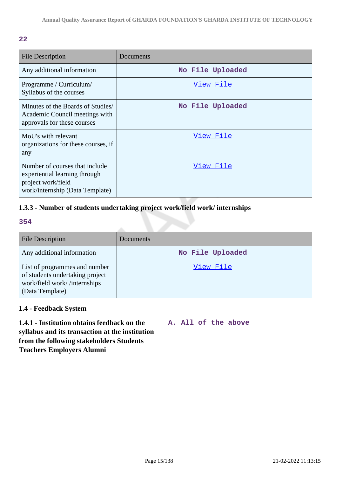| <b>File Description</b>                                                                                                  | Documents        |
|--------------------------------------------------------------------------------------------------------------------------|------------------|
| Any additional information                                                                                               | No File Uploaded |
| Programme / Curriculum/<br>Syllabus of the courses                                                                       | View File        |
| Minutes of the Boards of Studies/<br>Academic Council meetings with<br>approvals for these courses                       | No File Uploaded |
| MoU's with relevant<br>organizations for these courses, if<br>any                                                        | View File        |
| Number of courses that include<br>experiential learning through<br>project work/field<br>work/internship (Data Template) | View File        |

# **1.3.3 - Number of students undertaking project work/field work/ internships**

#### **354**

| <b>File Description</b>                                                                                             | Documents        |
|---------------------------------------------------------------------------------------------------------------------|------------------|
| Any additional information                                                                                          | No File Uploaded |
| List of programmes and number<br>of students undertaking project<br>work/field work//internships<br>(Data Template) | View File        |

### **1.4 - Feedback System**

**1.4.1 - Institution obtains feedback on the syllabus and its transaction at the institution from the following stakeholders Students Teachers Employers Alumni**

#### **A. All of the above**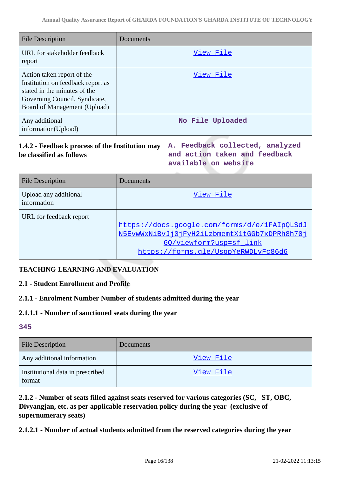| File Description                                                                                                                                                 | Documents        |
|------------------------------------------------------------------------------------------------------------------------------------------------------------------|------------------|
| URL for stakeholder feedback<br>report                                                                                                                           | View File        |
| Action taken report of the<br>Institution on feedback report as<br>stated in the minutes of the<br>Governing Council, Syndicate,<br>Board of Management (Upload) | View File        |
| Any additional<br>information(Upload)                                                                                                                            | No File Uploaded |

### **1.4.2 - Feedback process of the Institution may A. Feedback collected, analyzed be classified as follows**

**and action taken and feedback available on website**

| <b>File Description</b>              | Documents                                                                                                                                                      |
|--------------------------------------|----------------------------------------------------------------------------------------------------------------------------------------------------------------|
| Upload any additional<br>information | View File                                                                                                                                                      |
| URL for feedback report              | https://docs.google.com/forms/d/e/1FAIpQLSdJ<br>N5EvwWxNiBvJj0jFyH2iLzbmemtX1tGGb7xDPRh8h70j<br>60/viewform?usp=sf link<br>https://forms.gle/UsqpYeRWDLvFc86d6 |

# **TEACHING-LEARNING AND EVALUATION**

### **2.1 - Student Enrollment and Profile**

### **2.1.1 - Enrolment Number Number of students admitted during the year**

### **2.1.1.1 - Number of sanctioned seats during the year**

### **345**

| <b>File Description</b>                    | <b>Documents</b> |
|--------------------------------------------|------------------|
| Any additional information                 | View File        |
| Institutional data in prescribed<br>format | View File        |

**2.1.2 - Number of seats filled against seats reserved for various categories (SC, ST, OBC, Divyangjan, etc. as per applicable reservation policy during the year (exclusive of supernumerary seats)**

**2.1.2.1 - Number of actual students admitted from the reserved categories during the year**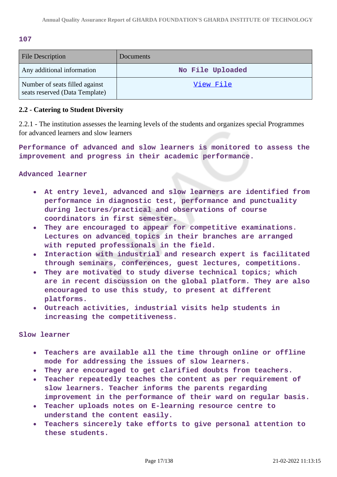#### **107**

| <b>File Description</b>                                          | Documents        |
|------------------------------------------------------------------|------------------|
| Any additional information                                       | No File Uploaded |
| Number of seats filled against<br>seats reserved (Data Template) | View File        |

#### **2.2 - Catering to Student Diversity**

2.2.1 - The institution assesses the learning levels of the students and organizes special Programmes for advanced learners and slow learners

**Performance of advanced and slow learners is monitored to assess the improvement and progress in their academic performance.**

#### **Advanced learner**

- **At entry level, advanced and slow learners are identified from performance in diagnostic test, performance and punctuality during lectures/practical and observations of course coordinators in first semester.**
- **They are encouraged to appear for competitive examinations. Lectures on advanced topics in their branches are arranged with reputed professionals in the field.**
- **Interaction with industrial and research expert is facilitated through seminars, conferences, guest lectures, competitions.**
- **They are motivated to study diverse technical topics; which**  $\bullet$ **are in recent discussion on the global platform. They are also encouraged to use this study, to present at different platforms.**
- **Outreach activities, industrial visits help students in increasing the competitiveness.**

#### **Slow learner**

- **Teachers are available all the time through online or offline**  $\bullet$ **mode for addressing the issues of slow learners.**
- **They are encouraged to get clarified doubts from teachers.**
- **Teacher repeatedly teaches the content as per requirement of**  $\bullet$ **slow learners. Teacher informs the parents regarding improvement in the performance of their ward on regular basis.**
- **Teacher uploads notes on E-learning resource centre to understand the content easily.**
- **Teachers sincerely take efforts to give personal attention to**  $\bullet$ **these students.**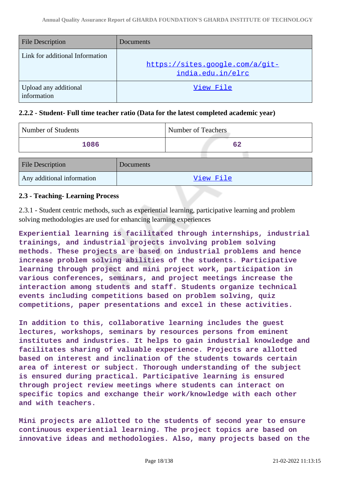| <b>File Description</b>              | Documents                                            |
|--------------------------------------|------------------------------------------------------|
| Link for additional Information      | https://sites.google.com/a/git-<br>india.edu.in/elrc |
| Upload any additional<br>information | View File                                            |

#### **2.2.2 - Student- Full time teacher ratio (Data for the latest completed academic year)**

| Number of Students         |           | Number of Teachers |
|----------------------------|-----------|--------------------|
| 1086                       |           | 62                 |
| <b>File Description</b>    | Documents |                    |
| Any additional information |           | View File          |

### **2.3 - Teaching- Learning Process**

2.3.1 - Student centric methods, such as experiential learning, participative learning and problem solving methodologies are used for enhancing learning experiences

**Experiential learning is facilitated through internships, industrial trainings, and industrial projects involving problem solving methods. These projects are based on industrial problems and hence increase problem solving abilities of the students. Participative learning through project and mini project work, participation in various conferences, seminars, and project meetings increase the interaction among students and staff. Students organize technical events including competitions based on problem solving, quiz competitions, paper presentations and excel in these activities.**

**In addition to this, collaborative learning includes the guest lectures, workshops, seminars by resources persons from eminent institutes and industries. It helps to gain industrial knowledge and facilitates sharing of valuable experience. Projects are allotted based on interest and inclination of the students towards certain area of interest or subject. Thorough understanding of the subject is ensured during practical. Participative learning is ensured through project review meetings where students can interact on specific topics and exchange their work/knowledge with each other and with teachers.**

**Mini projects are allotted to the students of second year to ensure continuous experiential learning. The project topics are based on innovative ideas and methodologies. Also, many projects based on the**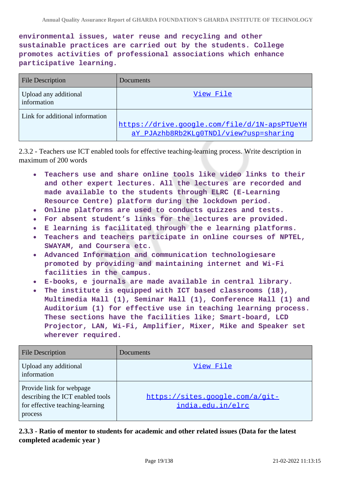**environmental issues, water reuse and recycling and other sustainable practices are carried out by the students. College promotes activities of professional associations which enhance participative learning.**

| <b>File Description</b>              | Documents                                                                              |
|--------------------------------------|----------------------------------------------------------------------------------------|
| Upload any additional<br>information | View File                                                                              |
| Link for additional information      | https://drive.google.com/file/d/1N-apsPTUeYH<br>aY PJAzhb8Rb2KLq0TNDl/view?usp=sharinq |

2.3.2 - Teachers use ICT enabled tools for effective teaching-learning process. Write description in maximum of 200 words

- **Teachers use and share online tools like video links to their and other expert lectures. All the lectures are recorded and made available to the students through ELRC (E-Learning Resource Centre) platform during the lockdown period.**
- **Online platforms are used to conducts quizzes and tests.**
- **For absent student's links for the lectures are provided.**
- **E learning is facilitated through the e learning platforms.**
- **Teachers and teachers participate in online courses of NPTEL, SWAYAM, and Coursera etc.**
- **Advanced Information and communication technologiesare promoted by providing and maintaining internet and Wi-Fi facilities in the campus.**
- **E-books, e journals are made available in central library.**
- **The institute is equipped with ICT based classrooms (18),**  $\bullet$ **Multimedia Hall (1), Seminar Hall (1), Conference Hall (1) and Auditorium (1) for effective use in teaching learning process. These sections have the facilities like; Smart-board, LCD Projector, LAN, Wi-Fi, Amplifier, Mixer, Mike and Speaker set wherever required.**

| <b>File Description</b>                                                                                    | Documents                                            |
|------------------------------------------------------------------------------------------------------------|------------------------------------------------------|
| Upload any additional<br>information                                                                       | View File                                            |
| Provide link for webpage<br>describing the ICT enabled tools<br>for effective teaching-learning<br>process | https://sites.google.com/a/git-<br>india.edu.in/elrc |

**2.3.3 - Ratio of mentor to students for academic and other related issues (Data for the latest completed academic year )**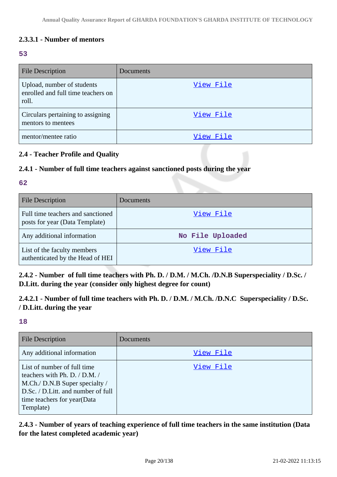### **2.3.3.1 - Number of mentors**

#### **53**

| <b>File Description</b>                                                   | Documents |
|---------------------------------------------------------------------------|-----------|
| Upload, number of students<br>enrolled and full time teachers on<br>roll. | View File |
| Circulars pertaining to assigning<br>mentors to mentees                   | View File |
| mentor/mentee ratio                                                       | View File |

#### **2.4 - Teacher Profile and Quality**

#### **2.4.1 - Number of full time teachers against sanctioned posts during the year**

#### **62**

| <b>File Description</b>                                             | <b>Documents</b> |
|---------------------------------------------------------------------|------------------|
| Full time teachers and sanctioned<br>posts for year (Data Template) | View File        |
| Any additional information                                          | No File Uploaded |
| List of the faculty members<br>authenticated by the Head of HEI     | View File        |

**2.4.2 - Number of full time teachers with Ph. D. / D.M. / M.Ch. /D.N.B Superspeciality / D.Sc. / D.Litt. during the year (consider only highest degree for count)**

# **2.4.2.1 - Number of full time teachers with Ph. D. / D.M. / M.Ch. /D.N.C Superspeciality / D.Sc. / D.Litt. during the year**

### **18**

| <b>File Description</b>                                                                                                                                                          | Documents |
|----------------------------------------------------------------------------------------------------------------------------------------------------------------------------------|-----------|
| Any additional information                                                                                                                                                       | View File |
| List of number of full time<br>teachers with Ph. D. / D.M. /<br>M.Ch./ D.N.B Super specialty /<br>D.Sc. / D.Litt. and number of full<br>time teachers for year(Data<br>Template) | View File |

**2.4.3 - Number of years of teaching experience of full time teachers in the same institution (Data for the latest completed academic year)**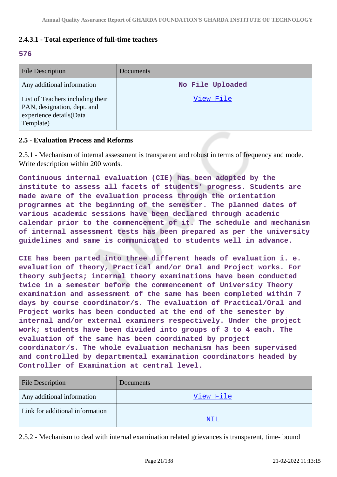### **2.4.3.1 - Total experience of full-time teachers**

#### **576**

| <b>File Description</b>                                                                                 | <b>Documents</b> |
|---------------------------------------------------------------------------------------------------------|------------------|
| Any additional information                                                                              | No File Uploaded |
| List of Teachers including their<br>PAN, designation, dept. and<br>experience details(Data<br>Template) | View File        |

#### **2.5 - Evaluation Process and Reforms**

2.5.1 - Mechanism of internal assessment is transparent and robust in terms of frequency and mode. Write description within 200 words.

**Continuous internal evaluation (CIE) has been adopted by the institute to assess all facets of students' progress. Students are made aware of the evaluation process through the orientation programmes at the beginning of the semester. The planned dates of various academic sessions have been declared through academic calendar prior to the commencement of it. The schedule and mechanism of internal assessment tests has been prepared as per the university guidelines and same is communicated to students well in advance.**

**CIE has been parted into three different heads of evaluation i. e. evaluation of theory, Practical and/or Oral and Project works. For theory subjects; internal theory examinations have been conducted twice in a semester before the commencement of University Theory examination and assessment of the same has been completed within 7 days by course coordinator/s. The evaluation of Practical/Oral and Project works has been conducted at the end of the semester by internal and/or external examiners respectively. Under the project work; students have been divided into groups of 3 to 4 each. The evaluation of the same has been coordinated by project coordinator/s. The whole evaluation mechanism has been supervised and controlled by departmental examination coordinators headed by Controller of Examination at central level.**

| <b>File Description</b>         | <b>Documents</b> |
|---------------------------------|------------------|
| Any additional information      | View File        |
| Link for additional information | <u>NIL</u>       |
|                                 |                  |

2.5.2 - Mechanism to deal with internal examination related grievances is transparent, time- bound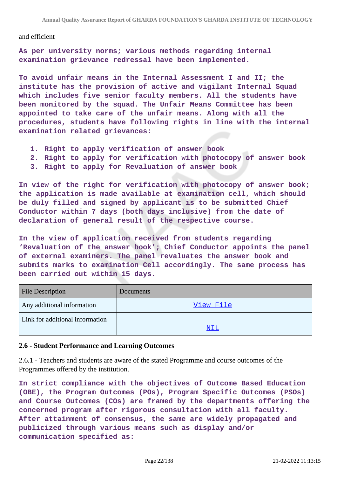and efficient

**As per university norms; various methods regarding internal examination grievance redressal have been implemented.**

**To avoid unfair means in the Internal Assessment I and II; the institute has the provision of active and vigilant Internal Squad which includes five senior faculty members. All the students have been monitored by the squad. The Unfair Means Committee has been appointed to take care of the unfair means. Along with all the procedures, students have following rights in line with the internal examination related grievances:**

- **1. Right to apply verification of answer book**
- **2. Right to apply for verification with photocopy of answer book**
- **3. Right to apply for Revaluation of answer book**

**In view of the right for verification with photocopy of answer book; the application is made available at examination cell, which should be duly filled and signed by applicant is to be submitted Chief Conductor within 7 days (both days inclusive) from the date of declaration of general result of the respective course.**

**In the view of application received from students regarding 'Revaluation of the answer book'; Chief Conductor appoints the panel of external examiners. The panel revaluates the answer book and submits marks to examination Cell accordingly. The same process has been carried out within 15 days.**

| <b>File Description</b>         | Documents |
|---------------------------------|-----------|
| Any additional information      | View File |
| Link for additional information |           |
|                                 | NIL       |

#### **2.6 - Student Performance and Learning Outcomes**

2.6.1 - Teachers and students are aware of the stated Programme and course outcomes of the Programmes offered by the institution.

**In strict compliance with the objectives of Outcome Based Education (OBE), the Program Outcomes (POs), Program Specific Outcomes (PSOs) and Course Outcomes (COs) are framed by the departments offering the concerned program after rigorous consultation with all faculty. After attainment of consensus, the same are widely propagated and publicized through various means such as display and/or communication specified as:**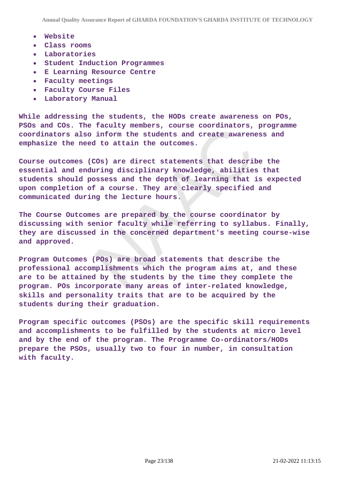- **Website**  $\bullet$
- **Class rooms**
- **Laboratories**  $\bullet$
- **Student Induction Programmes**  $\bullet$
- **E Learning Resource Centre**
- **Faculty meetings**  $\bullet$
- **Faculty Course Files**
- $\bullet$ **Laboratory Manual**

**While addressing the students, the HODs create awareness on POs, PSOs and COs. The faculty members, course coordinators, programme coordinators also inform the students and create awareness and emphasize the need to attain the outcomes.**

**Course outcomes (COs) are direct statements that describe the essential and enduring disciplinary knowledge, abilities that students should possess and the depth of learning that is expected upon completion of a course. They are clearly specified and communicated during the lecture hours.**

**The Course Outcomes are prepared by the course coordinator by discussing with senior faculty while referring to syllabus. Finally, they are discussed in the concerned department's meeting course-wise and approved.**

**Program Outcomes (POs) are broad statements that describe the professional accomplishments which the program aims at, and these are to be attained by the students by the time they complete the program. POs incorporate many areas of inter-related knowledge, skills and personality traits that are to be acquired by the students during their graduation.**

**Program specific outcomes (PSOs) are the specific skill requirements and accomplishments to be fulfilled by the students at micro level and by the end of the program. The Programme Co-ordinators/HODs prepare the PSOs, usually two to four in number, in consultation with faculty.**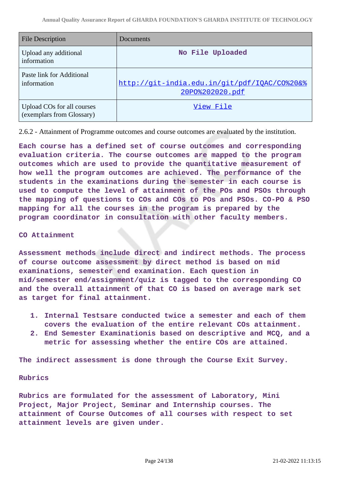| <b>File Description</b>                                 | Documents                                                       |
|---------------------------------------------------------|-----------------------------------------------------------------|
| Upload any additional<br>information                    | No File Uploaded                                                |
| Paste link for Additional<br>information                | http://git-india.edu.in/git/pdf/IOAC/CO%20&%<br>20P0%202020.pdf |
| Upload COs for all courses<br>(exemplars from Glossary) | View File                                                       |

2.6.2 - Attainment of Programme outcomes and course outcomes are evaluated by the institution.

**Each course has a defined set of course outcomes and corresponding evaluation criteria. The course outcomes are mapped to the program outcomes which are used to provide the quantitative measurement of how well the program outcomes are achieved. The performance of the students in the examinations during the semester in each course is used to compute the level of attainment of the POs and PSOs through the mapping of questions to COs and COs to POs and PSOs. CO-PO & PSO mapping for all the courses in the program is prepared by the program coordinator in consultation with other faculty members.**

#### **CO Attainment**

**Assessment methods include direct and indirect methods. The process of course outcome assessment by direct method is based on mid examinations, semester end examination. Each question in mid/semester end/assignment/quiz is tagged to the corresponding CO and the overall attainment of that CO is based on average mark set as target for final attainment.**

- **1. Internal Testsare conducted twice a semester and each of them covers the evaluation of the entire relevant COs attainment.**
- **2. End Semester Examinationis based on descriptive and MCQ, and a metric for assessing whether the entire COs are attained.**

**The indirect assessment is done through the Course Exit Survey.**

#### **Rubrics**

**Rubrics are formulated for the assessment of Laboratory, Mini Project, Major Project, Seminar and Internship courses. The attainment of Course Outcomes of all courses with respect to set attainment levels are given under.**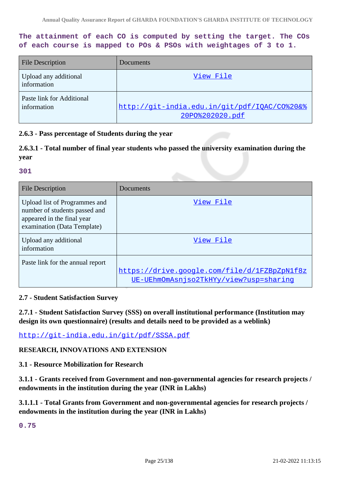**The attainment of each CO is computed by setting the target. The COs of each course is mapped to POs & PSOs with weightages of 3 to 1.**

| <b>File Description</b>                  | Documents                                                       |
|------------------------------------------|-----------------------------------------------------------------|
| Upload any additional<br>information     | View File                                                       |
| Paste link for Additional<br>information | http://git-india.edu.in/git/pdf/IOAC/CO%20&%<br>20P0%202020.pdf |

#### **2.6.3 - Pass percentage of Students during the year**

### **2.6.3.1 - Total number of final year students who passed the university examination during the year**

#### **301**

| <b>File Description</b>                                                                                                     | Documents                                                                              |
|-----------------------------------------------------------------------------------------------------------------------------|----------------------------------------------------------------------------------------|
| Upload list of Programmes and<br>number of students passed and<br>appeared in the final year<br>examination (Data Template) | View File                                                                              |
| Upload any additional<br>information                                                                                        | View File                                                                              |
| Paste link for the annual report                                                                                            | https://drive.google.com/file/d/1FZBpZpN1f8z<br>UE-UEhmOmAsnjso2TkHYy/view?usp=sharing |

#### **2.7 - Student Satisfaction Survey**

**2.7.1 - Student Satisfaction Survey (SSS) on overall institutional performance (Institution may design its own questionnaire) (results and details need to be provided as a weblink)**

<http://git-india.edu.in/git/pdf/SSSA.pdf>

#### **RESEARCH, INNOVATIONS AND EXTENSION**

**3.1 - Resource Mobilization for Research**

**3.1.1 - Grants received from Government and non-governmental agencies for research projects / endowments in the institution during the year (INR in Lakhs)**

**3.1.1.1 - Total Grants from Government and non-governmental agencies for research projects / endowments in the institution during the year (INR in Lakhs)**

**0.75**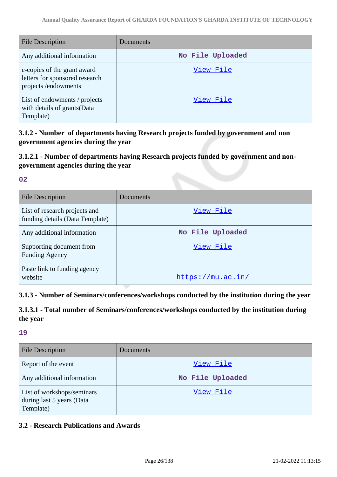| <b>File Description</b>                                                              | Documents        |
|--------------------------------------------------------------------------------------|------------------|
| Any additional information                                                           | No File Uploaded |
| e-copies of the grant award<br>letters for sponsored research<br>projects/endowments | View File        |
| List of endowments / projects<br>with details of grants (Data<br>Template)           | View File        |

**3.1.2 - Number of departments having Research projects funded by government and non government agencies during the year**

# **3.1.2.1 - Number of departments having Research projects funded by government and nongovernment agencies during the year**

**02**

| File Description                                                 | Documents         |
|------------------------------------------------------------------|-------------------|
| List of research projects and<br>funding details (Data Template) | View File         |
| Any additional information                                       | No File Uploaded  |
| Supporting document from<br><b>Funding Agency</b>                | View File         |
| Paste link to funding agency<br>website                          | https://mu.ac.in/ |

### **3.1.3 - Number of Seminars/conferences/workshops conducted by the institution during the year**

**3.1.3.1 - Total number of Seminars/conferences/workshops conducted by the institution during the year**

#### **19**

| <b>File Description</b>                                              | Documents        |
|----------------------------------------------------------------------|------------------|
| Report of the event                                                  | View File        |
| Any additional information                                           | No File Uploaded |
| List of workshops/seminars<br>during last 5 years (Data<br>Template) | View File        |

### **3.2 - Research Publications and Awards**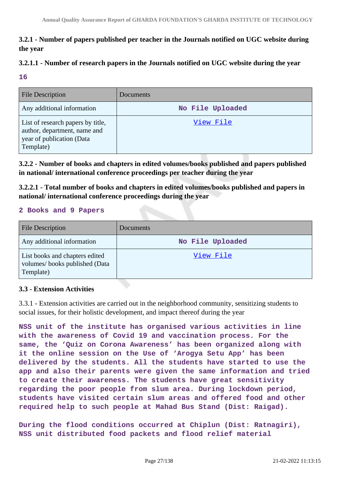# **3.2.1 - Number of papers published per teacher in the Journals notified on UGC website during the year**

# **3.2.1.1 - Number of research papers in the Journals notified on UGC website during the year**

#### **16**

| <b>File Description</b>                                                                                     | <b>Documents</b> |
|-------------------------------------------------------------------------------------------------------------|------------------|
| Any additional information                                                                                  | No File Uploaded |
| List of research papers by title,<br>author, department, name and<br>year of publication (Data<br>Template) | View File        |

**3.2.2 - Number of books and chapters in edited volumes/books published and papers published in national/ international conference proceedings per teacher during the year**

**3.2.2.1 - Total number of books and chapters in edited volumes/books published and papers in national/ international conference proceedings during the year**

#### **2 Books and 9 Papers**

| <b>File Description</b>                                                      | Documents        |
|------------------------------------------------------------------------------|------------------|
| Any additional information                                                   | No File Uploaded |
| List books and chapters edited<br>volumes/books published (Data<br>Template) | View File        |

### **3.3 - Extension Activities**

3.3.1 - Extension activities are carried out in the neighborhood community, sensitizing students to social issues, for their holistic development, and impact thereof during the year

**NSS unit of the institute has organised various activities in line with the awareness of Covid 19 and vaccination process. For the same, the 'Quiz on Corona Awareness' has been organized along with it the online session on the Use of 'Arogya Setu App' has been delivered by the students. All the students have started to use the app and also their parents were given the same information and tried to create their awareness. The students have great sensitivity regarding the poor people from slum area. During lockdown period, students have visited certain slum areas and offered food and other required help to such people at Mahad Bus Stand (Dist: Raigad).**

**During the flood conditions occurred at Chiplun (Dist: Ratnagiri), NSS unit distributed food packets and flood relief material**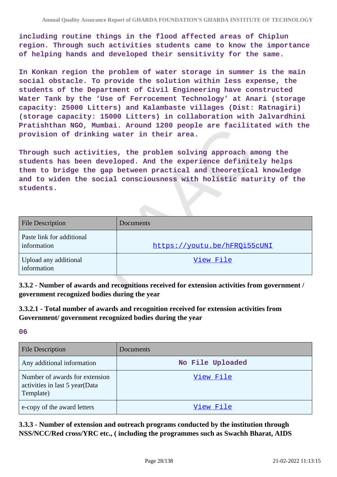**including routine things in the flood affected areas of Chiplun region. Through such activities students came to know the importance of helping hands and developed their sensitivity for the same.**

**In Konkan region the problem of water storage in summer is the main social obstacle. To provide the solution within less expense, the students of the Department of Civil Engineering have constructed Water Tank by the 'Use of Ferrocement Technology' at Anari (storage capacity: 25000 Litters) and Kalambaste villages (Dist: Ratnagiri) (storage capacity: 15000 Litters) in collaboration with Jalvardhini Pratishthan NGO, Mumbai. Around 1200 people are facilitated with the provision of drinking water in their area.**

**Through such activities, the problem solving approach among the students has been developed. And the experience definitely helps them to bridge the gap between practical and theoretical knowledge and to widen the social consciousness with holistic maturity of the students.**

| <b>File Description</b>                  | Documents                    |
|------------------------------------------|------------------------------|
| Paste link for additional<br>information | https://youtu.be/hFRQi55cUNI |
| Upload any additional<br>information     | View File                    |

**3.3.2 - Number of awards and recognitions received for extension activities from government / government recognized bodies during the year**

**3.3.2.1 - Total number of awards and recognition received for extension activities from Government/ government recognized bodies during the year**

#### **06**

| <b>File Description</b>                                                       | <b>Documents</b> |
|-------------------------------------------------------------------------------|------------------|
| Any additional information                                                    | No File Uploaded |
| Number of awards for extension<br>activities in last 5 year(Data<br>Template) | View File        |
| e-copy of the award letters                                                   | View File        |

**3.3.3 - Number of extension and outreach programs conducted by the institution through NSS/NCC/Red cross/YRC etc., ( including the programmes such as Swachh Bharat, AIDS**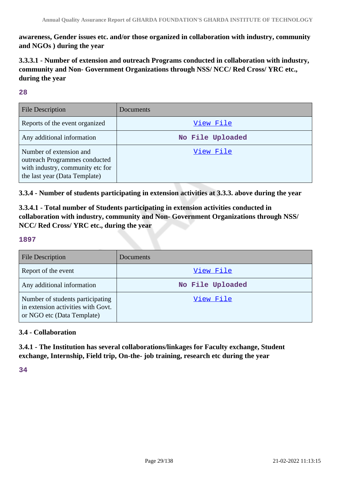**awareness, Gender issues etc. and/or those organized in collaboration with industry, community and NGOs ) during the year**

**3.3.3.1 - Number of extension and outreach Programs conducted in collaboration with industry, community and Non- Government Organizations through NSS/ NCC/ Red Cross/ YRC etc., during the year**

#### **28**

| <b>File Description</b>                                                                                                       | Documents        |
|-------------------------------------------------------------------------------------------------------------------------------|------------------|
| Reports of the event organized                                                                                                | View File        |
| Any additional information                                                                                                    | No File Uploaded |
| Number of extension and<br>outreach Programmes conducted<br>with industry, community etc for<br>the last year (Data Template) | View File        |

### **3.3.4 - Number of students participating in extension activities at 3.3.3. above during the year**

**3.3.4.1 - Total number of Students participating in extension activities conducted in collaboration with industry, community and Non- Government Organizations through NSS/ NCC/ Red Cross/ YRC etc., during the year**

#### **1897**

| <b>File Description</b>                                                                              | Documents        |
|------------------------------------------------------------------------------------------------------|------------------|
| Report of the event                                                                                  | View File        |
| Any additional information                                                                           | No File Uploaded |
| Number of students participating<br>in extension activities with Govt.<br>or NGO etc (Data Template) | View File        |

### **3.4 - Collaboration**

**3.4.1 - The Institution has several collaborations/linkages for Faculty exchange, Student exchange, Internship, Field trip, On-the- job training, research etc during the year**

**34**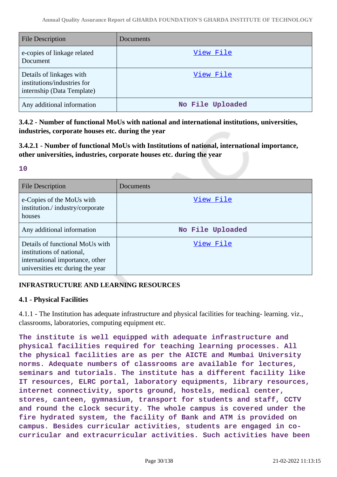| <b>File Description</b>                                                               | Documents        |
|---------------------------------------------------------------------------------------|------------------|
| e-copies of linkage related<br>Document                                               | View File        |
| Details of linkages with<br>institutions/industries for<br>internship (Data Template) | View File        |
| Any additional information                                                            | No File Uploaded |

**3.4.2 - Number of functional MoUs with national and international institutions, universities, industries, corporate houses etc. during the year**

**3.4.2.1 - Number of functional MoUs with Institutions of national, international importance, other universities, industries, corporate houses etc. during the year**

**10**

| <b>File Description</b>                                                                                                             | Documents        |
|-------------------------------------------------------------------------------------------------------------------------------------|------------------|
| e-Copies of the MoUs with<br>institution./industry/corporate<br>houses                                                              | View File        |
| Any additional information                                                                                                          | No File Uploaded |
| Details of functional MoUs with<br>institutions of national,<br>international importance, other<br>universities etc during the year | View File        |

### **INFRASTRUCTURE AND LEARNING RESOURCES**

### **4.1 - Physical Facilities**

4.1.1 - The Institution has adequate infrastructure and physical facilities for teaching- learning. viz., classrooms, laboratories, computing equipment etc.

**The institute is well equipped with adequate infrastructure and physical facilities required for teaching learning processes. All the physical facilities are as per the AICTE and Mumbai University norms. Adequate numbers of classrooms are available for lectures, seminars and tutorials. The institute has a different facility like IT resources, ELRC portal, laboratory equipments, library resources, internet connectivity, sports ground, hostels, medical center, stores, canteen, gymnasium, transport for students and staff, CCTV and round the clock security. The whole campus is covered under the fire hydrated system, the facility of Bank and ATM is provided on campus. Besides curricular activities, students are engaged in cocurricular and extracurricular activities. Such activities have been**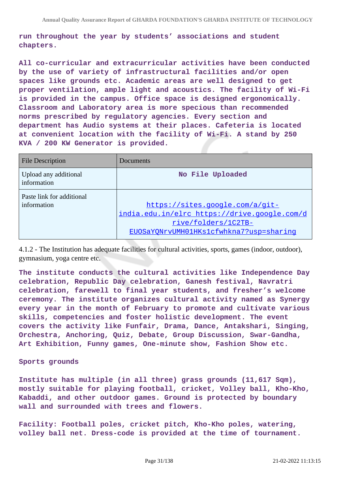**run throughout the year by students' associations and student chapters.**

**All co-curricular and extracurricular activities have been conducted by the use of variety of infrastructural facilities and/or open spaces like grounds etc. Academic areas are well designed to get proper ventilation, ample light and acoustics. The facility of Wi-Fi is provided in the campus. Office space is designed ergonomically. Classroom and Laboratory area is more specious than recommended norms prescribed by regulatory agencies. Every section and department has Audio systems at their places. Cafeteria is located at convenient location with the facility of Wi-Fi. A stand by 250 KVA / 200 KW Generator is provided.**

| <b>File Description</b>                  | Documents                                                                                                                                         |
|------------------------------------------|---------------------------------------------------------------------------------------------------------------------------------------------------|
| Upload any additional<br>information     | No File Uploaded                                                                                                                                  |
| Paste link for additional<br>information | https://sites.google.com/a/git-<br>india.edu.in/elrc https://drive.google.com/d<br>rive/folders/1C2TB-<br>EUOSaYONrvUMH01HKs1cfwhkna7?usp=sharinq |

4.1.2 - The Institution has adequate facilities for cultural activities, sports, games (indoor, outdoor), gymnasium, yoga centre etc.

**The institute conducts the cultural activities like Independence Day celebration, Republic Day celebration, Ganesh festival, Navratri celebration, farewell to final year students, and fresher's welcome ceremony. The institute organizes cultural activity named as Synergy every year in the month of February to promote and cultivate various skills, competencies and foster holistic development. The event covers the activity like Funfair, Drama, Dance, Antakshari, Singing, Orchestra, Anchoring, Quiz, Debate, Group Discussion, Swar-Gandha, Art Exhibition, Funny games, One-minute show, Fashion Show etc.**

#### **Sports grounds**

**Institute has multiple (in all three) grass grounds (11,617 Sqm), mostly suitable for playing football, cricket, Volley ball, Kho-Kho, Kabaddi, and other outdoor games. Ground is protected by boundary wall and surrounded with trees and flowers.**

**Facility: Football poles, cricket pitch, Kho-Kho poles, watering, volley ball net. Dress-code is provided at the time of tournament.**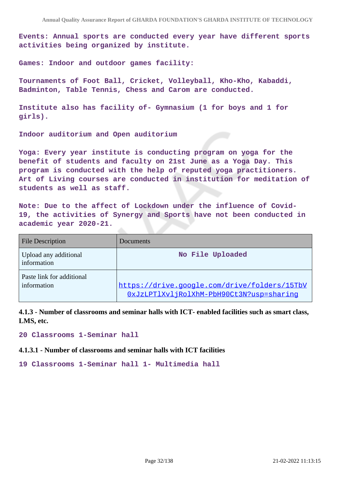**Events: Annual sports are conducted every year have different sports activities being organized by institute.**

**Games: Indoor and outdoor games facility:**

**Tournaments of Foot Ball, Cricket, Volleyball, Kho-Kho, Kabaddi, Badminton, Table Tennis, Chess and Carom are conducted.**

**Institute also has facility of- Gymnasium (1 for boys and 1 for girls).**

**Indoor auditorium and Open auditorium**

**Yoga: Every year institute is conducting program on yoga for the benefit of students and faculty on 21st June as a Yoga Day. This program is conducted with the help of reputed yoga practitioners. Art of Living courses are conducted in institution for meditation of students as well as staff.**

**Note: Due to the affect of Lockdown under the influence of Covid-19, the activities of Synergy and Sports have not been conducted in academic year 2020-21.**

| <b>File Description</b>                  | Documents                                                                                |
|------------------------------------------|------------------------------------------------------------------------------------------|
| Upload any additional<br>information     | No File Uploaded                                                                         |
| Paste link for additional<br>information | https://drive.google.com/drive/folders/15TbV<br>OxJzLPTlXvljRolXhM-PbH90Ct3N?usp=sharing |

**4.1.3 - Number of classrooms and seminar halls with ICT- enabled facilities such as smart class, LMS, etc.**

**20 Classrooms 1-Seminar hall**

**4.1.3.1 - Number of classrooms and seminar halls with ICT facilities**

**19 Classrooms 1-Seminar hall 1- Multimedia hall**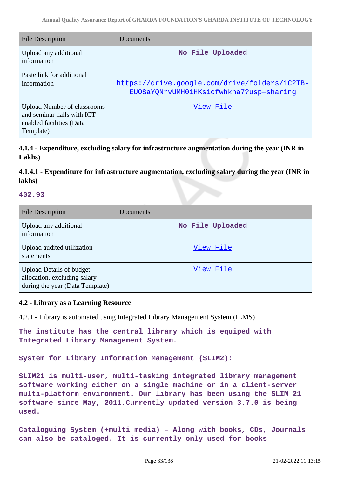| <b>File Description</b>                                                                                   | Documents                                                                                |
|-----------------------------------------------------------------------------------------------------------|------------------------------------------------------------------------------------------|
| Upload any additional<br>information                                                                      | No File Uploaded                                                                         |
| Paste link for additional<br>information                                                                  | https://drive.google.com/drive/folders/1C2TB-<br>EUOSaYONrvUMH01HKs1cfwhkna7?usp=sharing |
| <b>Upload Number of classrooms</b><br>and seminar halls with ICT<br>enabled facilities (Data<br>Template) | View File                                                                                |

**4.1.4 - Expenditure, excluding salary for infrastructure augmentation during the year (INR in Lakhs)**

### **4.1.4.1 - Expenditure for infrastructure augmentation, excluding salary during the year (INR in lakhs)**

#### **402.93**

| <b>File Description</b>                                                                            | Documents        |
|----------------------------------------------------------------------------------------------------|------------------|
| Upload any additional<br>information                                                               | No File Uploaded |
| Upload audited utilization<br>statements                                                           | View File        |
| <b>Upload Details of budget</b><br>allocation, excluding salary<br>during the year (Data Template) | View File        |

#### **4.2 - Library as a Learning Resource**

4.2.1 - Library is automated using Integrated Library Management System (ILMS)

**The institute has the central library which is equiped with Integrated Library Management System.**

**System for Library Information Management (SLIM2):**

**SLIM21 is multi-user, multi-tasking integrated library management software working either on a single machine or in a client-server multi-platform environment. Our library has been using the SLIM 21 software since May, 2011.Currently updated version 3.7.0 is being used.**

**Cataloguing System (+multi media) – Along with books, CDs, Journals can also be cataloged. It is currently only used for books**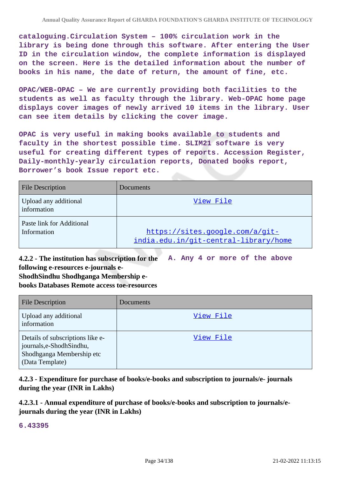**cataloguing.Circulation System – 100% circulation work in the library is being done through this software. After entering the User ID in the circulation window, the complete information is displayed on the screen. Here is the detailed information about the number of books in his name, the date of return, the amount of fine, etc.**

**OPAC/WEB-OPAC – We are currently providing both facilities to the students as well as faculty through the library. Web-OPAC home page displays cover images of newly arrived 10 items in the library. User can see item details by clicking the cover image.**

**OPAC is very useful in making books available to students and faculty in the shortest possible time. SLIM21 software is very useful for creating different types of reports. Accession Register, Daily-monthly-yearly circulation reports, Donated books report, Borrower's book Issue report etc.**

| <b>File Description</b>                  | Documents                                                                |
|------------------------------------------|--------------------------------------------------------------------------|
| Upload any additional<br>information     | View File                                                                |
| Paste link for Additional<br>Information | https://sites.google.com/a/git-<br>india.edu.in/git-central-library/home |

**4.2.2 - The institution has subscription for the following e-resources e-journals e-ShodhSindhu Shodhganga Membership e-A. Any 4 or more of the above**

**books Databases Remote access toe-resources**

| <b>File Description</b>                                                                                       | Documents |
|---------------------------------------------------------------------------------------------------------------|-----------|
| Upload any additional<br>information                                                                          | View File |
| Details of subscriptions like e-<br>journals, e-Shodh Sindhu,<br>Shodhganga Membership etc<br>(Data Template) | View File |

**4.2.3 - Expenditure for purchase of books/e-books and subscription to journals/e- journals during the year (INR in Lakhs)**

**4.2.3.1 - Annual expenditure of purchase of books/e-books and subscription to journals/ejournals during the year (INR in Lakhs)**

**6.43395**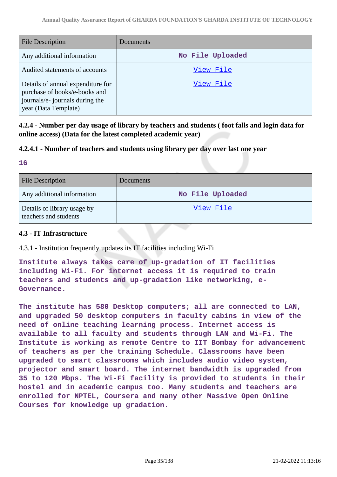| <b>File Description</b>                                                                                                       | Documents        |
|-------------------------------------------------------------------------------------------------------------------------------|------------------|
| Any additional information                                                                                                    | No File Uploaded |
| Audited statements of accounts                                                                                                | View File        |
| Details of annual expenditure for<br>purchase of books/e-books and<br>journals/e- journals during the<br>year (Data Template) | View File        |

**4.2.4 - Number per day usage of library by teachers and students ( foot falls and login data for online access) (Data for the latest completed academic year)**

### **4.2.4.1 - Number of teachers and students using library per day over last one year**

**16**

| <b>File Description</b>                              | <b>Documents</b> |
|------------------------------------------------------|------------------|
| Any additional information                           | No File Uploaded |
| Details of library usage by<br>teachers and students | <u>View File</u> |

### **4.3 - IT Infrastructure**

4.3.1 - Institution frequently updates its IT facilities including Wi-Fi

**Institute always takes care of up-gradation of IT facilities including Wi-Fi. For internet access it is required to train teachers and students and up-gradation like networking, e-Governance.**

**The institute has 580 Desktop computers; all are connected to LAN, and upgraded 50 desktop computers in faculty cabins in view of the need of online teaching learning process. Internet access is available to all faculty and students through LAN and Wi-Fi. The Institute is working as remote Centre to IIT Bombay for advancement of teachers as per the training Schedule. Classrooms have been upgraded to smart classrooms which includes audio video system, projector and smart board. The internet bandwidth is upgraded from 35 to 120 Mbps. The Wi-Fi facility is provided to students in their hostel and in academic campus too. Many students and teachers are enrolled for NPTEL, Coursera and many other Massive Open Online Courses for knowledge up gradation.**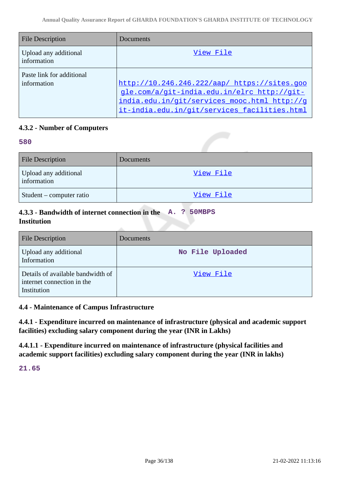| <b>File Description</b>                  | Documents                                                                                                                                                                                   |
|------------------------------------------|---------------------------------------------------------------------------------------------------------------------------------------------------------------------------------------------|
| Upload any additional<br>information     | View File                                                                                                                                                                                   |
| Paste link for additional<br>information | http://10.246.246.222/aap/ https://sites.goo<br>gle.com/a/git-india.edu.in/elrc http://git-<br>india.edu.in/git/services mooc.html http://g<br>it-india.edu.in/git/services facilities.html |

# **4.3.2 - Number of Computers**

#### **580**

| <b>File Description</b>              | Documents |
|--------------------------------------|-----------|
| Upload any additional<br>information | View File |
| Student – computer ratio             | View File |

# **4.3.3 - Bandwidth of internet connection in the A. ? 50MBPS Institution**

| <b>File Description</b>                                                        | <b>Documents</b> |
|--------------------------------------------------------------------------------|------------------|
| Upload any additional<br>Information                                           | No File Uploaded |
| Details of available bandwidth of<br>internet connection in the<br>Institution | View File        |

### **4.4 - Maintenance of Campus Infrastructure**

**4.4.1 - Expenditure incurred on maintenance of infrastructure (physical and academic support facilities) excluding salary component during the year (INR in Lakhs)**

**4.4.1.1 - Expenditure incurred on maintenance of infrastructure (physical facilities and academic support facilities) excluding salary component during the year (INR in lakhs)**

**21.65**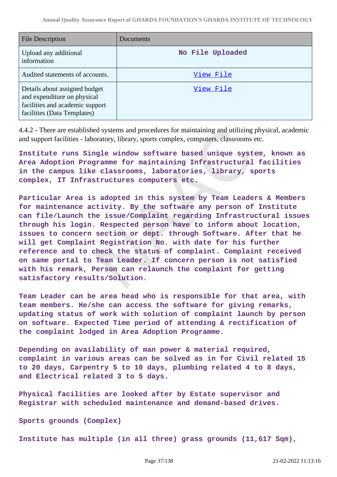| <b>File Description</b>                                                                                                        | Documents        |
|--------------------------------------------------------------------------------------------------------------------------------|------------------|
| Upload any additional<br>information                                                                                           | No File Uploaded |
| Audited statements of accounts.                                                                                                | View File        |
| Details about assigned budget<br>and expenditure on physical<br>facilities and academic support<br>facilities (Data Templates) | View File        |

4.4.2 - There are established systems and procedures for maintaining and utilizing physical, academic and support facilities - laboratory, library, sports complex, computers, classrooms etc.

**Institute runs Single window software based unique system, known as Area Adoption Programme for maintaining Infrastructural facilities in the campus like classrooms, laboratories, library, sports complex, IT Infrastructures computers etc.**

**Particular Area is adopted in this system by Team Leaders & Members for maintenance activity. By the software any person of Institute can file/Launch the issue/Complaint regarding Infrastructural issues through his login. Respected person have to inform about location, issues to concern section or dept. through Software. After that he will get Complaint Registration No. with date for his further reference and to check the status of complaint. Complaint received on same portal to Team Leader. If concern person is not satisfied with his remark, Person can relaunch the complaint for getting satisfactory results/Solution.**

**Team Leader can be area head who is responsible for that area, with team members. He/she can access the software for giving remarks, updating status of work with solution of complaint launch by person on software. Expected Time period of attending & rectification of the complaint lodged in Area Adoption Programme.**

**Depending on availability of man power & material required, complaint in various areas can be solved as in for Civil related 15 to 20 days, Carpentry 5 to 10 days, plumbing related 4 to 8 days, and Electrical related 3 to 5 days.**

**Physical facilities are looked after by Estate supervisor and Registrar with scheduled maintenance and demand-based drives.**

**Sports grounds (Complex)**

**Institute has multiple (in all three) grass grounds (11,617 Sqm),**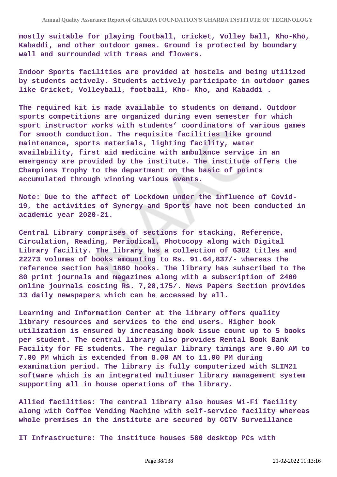**mostly suitable for playing football, cricket, Volley ball, Kho-Kho, Kabaddi, and other outdoor games. Ground is protected by boundary wall and surrounded with trees and flowers.**

**Indoor Sports facilities are provided at hostels and being utilized by students actively. Students actively participate in outdoor games like Cricket, Volleyball, football, Kho- Kho, and Kabaddi .**

**The required kit is made available to students on demand. Outdoor sports competitions are organized during even semester for which sport instructor works with students' coordinators of various games for smooth conduction. The requisite facilities like ground maintenance, sports materials, lighting facility, water availability, first aid medicine with ambulance service in an emergency are provided by the institute. The institute offers the Champions Trophy to the department on the basic of points accumulated through winning various events.**

**Note: Due to the affect of Lockdown under the influence of Covid-19, the activities of Synergy and Sports have not been conducted in academic year 2020-21.**

**Central Library comprises of sections for stacking, Reference, Circulation, Reading, Periodical, Photocopy along with Digital Library facility. The library has a collection of 6382 titles and 22273 volumes of books amounting to Rs. 91.64,837/- whereas the reference section has 1860 books. The library has subscribed to the 80 print journals and magazines along with a subscription of 2400 online journals costing Rs. 7,28,175/. News Papers Section provides 13 daily newspapers which can be accessed by all.**

**Learning and Information Center at the library offers quality library resources and services to the end users. Higher book utilization is ensured by increasing book issue count up to 5 books per student. The central library also provides Rental Book Bank Facility for FE students. The regular library timings are 9.00 AM to 7.00 PM which is extended from 8.00 AM to 11.00 PM during examination period. The library is fully computerized with SLIM21 software which is an integrated multiuser library management system supporting all in house operations of the library.**

**Allied facilities: The central library also houses Wi-Fi facility along with Coffee Vending Machine with self-service facility whereas whole premises in the institute are secured by CCTV Surveillance**

**IT Infrastructure: The institute houses 580 desktop PCs with**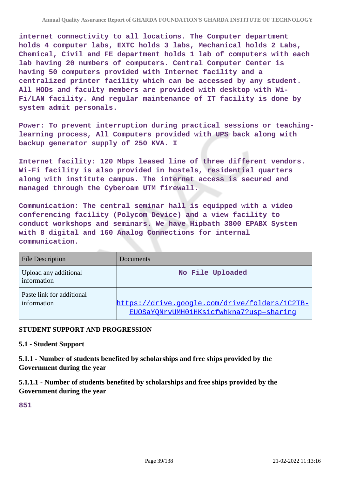**internet connectivity to all locations. The Computer department holds 4 computer labs, EXTC holds 3 labs, Mechanical holds 2 Labs, Chemical, Civil and FE department holds 1 lab of computers with each lab having 20 numbers of computers. Central Computer Center is having 50 computers provided with Internet facility and a centralized printer facility which can be accessed by any student. All HODs and faculty members are provided with desktop with Wi-Fi/LAN facility. And regular maintenance of IT facility is done by system admit personals.**

**Power: To prevent interruption during practical sessions or teachinglearning process, All Computers provided with UPS back along with backup generator supply of 250 KVA. I**

**Internet facility: 120 Mbps leased line of three different vendors. Wi-Fi facility is also provided in hostels, residential quarters along with institute campus. The internet access is secured and managed through the Cyberoam UTM firewall.**

**Communication: The central seminar hall is equipped with a video conferencing facility (Polycom Device) and a view facility to conduct workshops and seminars. We have Hipbath 3800 EPABX System with 8 digital and 160 Analog Connections for internal communication.**

| <b>File Description</b>                  | Documents                                                                                |
|------------------------------------------|------------------------------------------------------------------------------------------|
| Upload any additional<br>information     | No File Uploaded                                                                         |
| Paste link for additional<br>information | https://drive.google.com/drive/folders/1C2TB-<br>EUOSaYONrvUMH01HKs1cfwhkna7?usp=sharing |

## **STUDENT SUPPORT AND PROGRESSION**

### **5.1 - Student Support**

**5.1.1 - Number of students benefited by scholarships and free ships provided by the Government during the year**

**5.1.1.1 - Number of students benefited by scholarships and free ships provided by the Government during the year**

**851**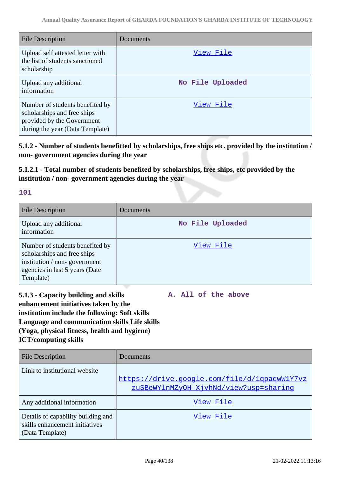| <b>File Description</b>                                                                                                         | Documents        |
|---------------------------------------------------------------------------------------------------------------------------------|------------------|
| Upload self attested letter with<br>the list of students sanctioned<br>scholarship                                              | View File        |
| Upload any additional<br>information                                                                                            | No File Uploaded |
| Number of students benefited by<br>scholarships and free ships<br>provided by the Government<br>during the year (Data Template) | View File        |

**5.1.2 - Number of students benefitted by scholarships, free ships etc. provided by the institution / non- government agencies during the year**

**5.1.2.1 - Total number of students benefited by scholarships, free ships, etc provided by the institution / non- government agencies during the year**

## **101**

| <b>File Description</b>                                                                                                                       | <b>Documents</b> |
|-----------------------------------------------------------------------------------------------------------------------------------------------|------------------|
| Upload any additional<br>information                                                                                                          | No File Uploaded |
| Number of students benefited by<br>scholarships and free ships<br>institution / non-government<br>agencies in last 5 years (Date<br>Template) | View File        |

**5.1.3 - Capacity building and skills enhancement initiatives taken by the institution include the following: Soft skills Language and communication skills Life skills (Yoga, physical fitness, health and hygiene) ICT/computing skills**

**A. All of the above**

| <b>File Description</b>                                                                 | Documents                                                                              |
|-----------------------------------------------------------------------------------------|----------------------------------------------------------------------------------------|
| Link to institutional website                                                           | https://drive.google.com/file/d/1qpaqwW1Y7vz<br>zuSBeWYlnMZyOH-XjvhNd/view?usp=sharinq |
| Any additional information                                                              | View File                                                                              |
| Details of capability building and<br>skills enhancement initiatives<br>(Data Template) | View File                                                                              |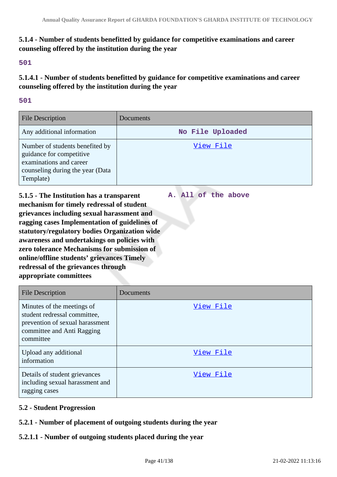# **5.1.4 - Number of students benefitted by guidance for competitive examinations and career counseling offered by the institution during the year**

### **501**

**5.1.4.1 - Number of students benefitted by guidance for competitive examinations and career counseling offered by the institution during the year**

### **501**

| <b>File Description</b>                                                                                                                 | <b>Documents</b> |
|-----------------------------------------------------------------------------------------------------------------------------------------|------------------|
| Any additional information                                                                                                              | No File Uploaded |
| Number of students benefited by<br>guidance for competitive<br>examinations and career<br>counseling during the year (Data<br>Template) | View File        |

**A. All of the above**

**5.1.5 - The Institution has a transparent mechanism for timely redressal of student grievances including sexual harassment and ragging cases Implementation of guidelines of statutory/regulatory bodies Organization wide awareness and undertakings on policies with zero tolerance Mechanisms for submission of online/offline students' grievances Timely redressal of the grievances through appropriate committees**

| <b>File Description</b>                                                                                                                  | Documents |
|------------------------------------------------------------------------------------------------------------------------------------------|-----------|
| Minutes of the meetings of<br>student redressal committee,<br>prevention of sexual harassment<br>committee and Anti Ragging<br>committee | View File |
| Upload any additional<br>information                                                                                                     | View File |
| Details of student grievances<br>including sexual harassment and<br>ragging cases                                                        | View File |

# **5.2 - Student Progression**

## **5.2.1 - Number of placement of outgoing students during the year**

# **5.2.1.1 - Number of outgoing students placed during the year**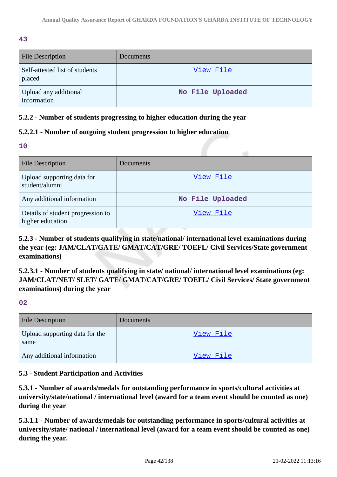**43**

| <b>File Description</b>                  | Documents        |
|------------------------------------------|------------------|
| Self-attested list of students<br>placed | View File        |
| Upload any additional<br>information     | No File Uploaded |

# **5.2.2 - Number of students progressing to higher education during the year**

# **5.2.2.1 - Number of outgoing student progression to higher education**

**10**

| <b>File Description</b>                               | Documents        |
|-------------------------------------------------------|------------------|
| Upload supporting data for<br>student/alumni          | View File        |
| Any additional information                            | No File Uploaded |
| Details of student progression to<br>higher education | View File        |

**5.2.3 - Number of students qualifying in state/national/ international level examinations during the year (eg: JAM/CLAT/GATE/ GMAT/CAT/GRE/ TOEFL/ Civil Services/State government examinations)**

**5.2.3.1 - Number of students qualifying in state/ national/ international level examinations (eg: JAM/CLAT/NET/ SLET/ GATE/ GMAT/CAT/GRE/ TOEFL/ Civil Services/ State government examinations) during the year**

**02**

| <b>File Description</b>                | Documents        |
|----------------------------------------|------------------|
| Upload supporting data for the<br>same | View File        |
| Any additional information             | <u>View File</u> |

# **5.3 - Student Participation and Activities**

**5.3.1 - Number of awards/medals for outstanding performance in sports/cultural activities at university/state/national / international level (award for a team event should be counted as one) during the year**

**5.3.1.1 - Number of awards/medals for outstanding performance in sports/cultural activities at university/state/ national / international level (award for a team event should be counted as one) during the year.**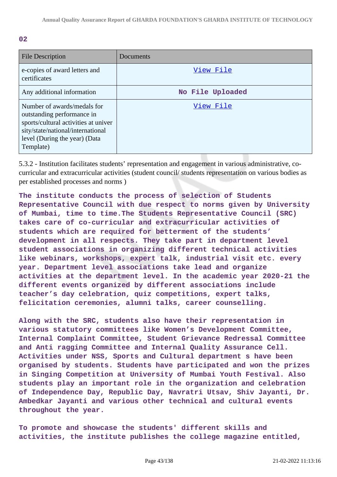| <b>File Description</b>                                                                                                                                                              | Documents        |
|--------------------------------------------------------------------------------------------------------------------------------------------------------------------------------------|------------------|
| e-copies of award letters and<br>certificates                                                                                                                                        | View File        |
| Any additional information                                                                                                                                                           | No File Uploaded |
| Number of awards/medals for<br>outstanding performance in<br>sports/cultural activities at univer<br>sity/state/national/international<br>level (During the year) (Data<br>Template) | View File        |

5.3.2 - Institution facilitates students' representation and engagement in various administrative, cocurricular and extracurricular activities (student council/ students representation on various bodies as per established processes and norms )

**The institute conducts the process of selection of Students Representative Council with due respect to norms given by University of Mumbai, time to time.The Students Representative Council (SRC) takes care of co-curricular and extracurricular activities of students which are required for betterment of the students' development in all respects. They take part in department level student associations in organizing different technical activities like webinars, workshops, expert talk, industrial visit etc. every year. Department level associations take lead and organize activities at the department level. In the academic year 2020-21 the different events organized by different associations include teacher's day celebration, quiz competitions, expert talks, felicitation ceremonies, alumni talks, career counselling.**

**Along with the SRC, students also have their representation in various statutory committees like Women's Development Committee, Internal Complaint Committee, Student Grievance Redressal Committee and Anti ragging Committee and Internal Quality Assurance Cell. Activities under NSS, Sports and Cultural department s have been organised by students. Students have participated and won the prizes in Singing Competition at University of Mumbai Youth Festival. Also students play an important role in the organization and celebration of Independence Day, Republic Day, Navratri Utsav, Shiv Jayanti, Dr. Ambedkar Jayanti and various other technical and cultural events throughout the year.**

**To promote and showcase the students' different skills and activities, the institute publishes the college magazine entitled,**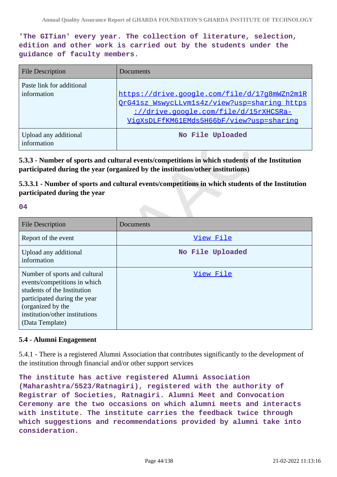**'The GITian' every year. The collection of literature, selection, edition and other work is carried out by the students under the guidance of faculty members.**

| <b>File Description</b>                  | Documents                                                                                                                                                                         |
|------------------------------------------|-----------------------------------------------------------------------------------------------------------------------------------------------------------------------------------|
| Paste link for additional<br>information | https://drive.google.com/file/d/17g8mWZn2m1R<br>OrG41sz WswycLLvm1s4z/view?usp=sharing https<br>://drive.google.com/file/d/15rXHCSRa-<br>VigXsDLFfKM61EMds5H66bF/view?usp=sharing |
| Upload any additional<br>information     | No File Uploaded                                                                                                                                                                  |

**5.3.3 - Number of sports and cultural events/competitions in which students of the Institution participated during the year (organized by the institution/other institutions)**

**5.3.3.1 - Number of sports and cultural events/competitions in which students of the Institution participated during the year**

**04**

| <b>File Description</b>                                                                                                                                                                                | Documents        |
|--------------------------------------------------------------------------------------------------------------------------------------------------------------------------------------------------------|------------------|
| Report of the event                                                                                                                                                                                    | View File        |
| Upload any additional<br>information                                                                                                                                                                   | No File Uploaded |
| Number of sports and cultural<br>events/competitions in which<br>students of the Institution<br>participated during the year<br>(organized by the<br>institution/other institutions<br>(Data Template) | View File        |

## **5.4 - Alumni Engagement**

5.4.1 - There is a registered Alumni Association that contributes significantly to the development of the institution through financial and/or other support services

**The institute has active registered Alumni Association (Maharashtra/5523/Ratnagiri), registered with the authority of Registrar of Societies, Ratnagiri. Alumni Meet and Convocation Ceremony are the two occasions on which alumni meets and interacts with institute. The institute carries the feedback twice through which suggestions and recommendations provided by alumni take into consideration.**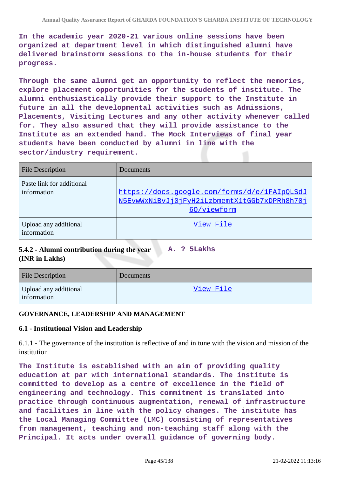**In the academic year 2020-21 various online sessions have been organized at department level in which distinguished alumni have delivered brainstorm sessions to the in-house students for their progress.**

**Through the same alumni get an opportunity to reflect the memories, explore placement opportunities for the students of institute. The alumni enthusiastically provide their support to the Institute in future in all the developmental activities such as Admissions, Placements, Visiting Lectures and any other activity whenever called for. They also assured that they will provide assistance to the Institute as an extended hand. The Mock Interviews of final year students have been conducted by alumni in line with the sector/industry requirement.**

| <b>File Description</b>                  | Documents                                                                                                   |
|------------------------------------------|-------------------------------------------------------------------------------------------------------------|
| Paste link for additional<br>information | https://docs.google.com/forms/d/e/1FAIpQLSdJ<br>N5EvwWxNiBvJj0jFyH2iLzbmemtX1tGGb7xDPRh8h70j<br>60/viewform |
| Upload any additional<br>information     | View File                                                                                                   |

#### **5.4.2 - Alumni contribution during the year (INR in Lakhs) A. ? 5Lakhs**

| <b>File Description</b>              | Documents |
|--------------------------------------|-----------|
| Upload any additional<br>information | View File |

### **GOVERNANCE, LEADERSHIP AND MANAGEMENT**

### **6.1 - Institutional Vision and Leadership**

6.1.1 - The governance of the institution is reflective of and in tune with the vision and mission of the institution

**The Institute is established with an aim of providing quality education at par with international standards. The institute is committed to develop as a centre of excellence in the field of engineering and technology. This commitment is translated into practice through continuous augmentation, renewal of infrastructure and facilities in line with the policy changes. The institute has the Local Managing Committee (LMC) consisting of representatives from management, teaching and non-teaching staff along with the Principal. It acts under overall guidance of governing body.**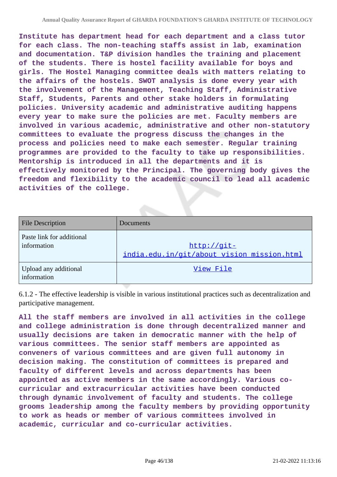**Institute has department head for each department and a class tutor for each class. The non-teaching staffs assist in lab, examination and documentation. T&P division handles the training and placement of the students. There is hostel facility available for boys and girls. The Hostel Managing committee deals with matters relating to the affairs of the hostels. SWOT analysis is done every year with the involvement of the Management, Teaching Staff, Administrative Staff, Students, Parents and other stake holders in formulating policies. University academic and administrative auditing happens every year to make sure the policies are met. Faculty members are involved in various academic, administrative and other non-statutory committees to evaluate the progress discuss the changes in the process and policies need to make each semester. Regular training programmes are provided to the faculty to take up responsibilities. Mentorship is introduced in all the departments and it is effectively monitored by the Principal. The governing body gives the freedom and flexibility to the academic council to lead all academic activities of the college.**

| <b>File Description</b>                  | Documents                                                   |
|------------------------------------------|-------------------------------------------------------------|
| Paste link for additional<br>information | $http://qit-$<br>india.edu.in/git/about_vision_mission.html |
| Upload any additional<br>information     | View File                                                   |

6.1.2 - The effective leadership is visible in various institutional practices such as decentralization and participative management.

**All the staff members are involved in all activities in the college and college administration is done through decentralized manner and usually decisions are taken in democratic manner with the help of various committees. The senior staff members are appointed as conveners of various committees and are given full autonomy in decision making. The constitution of committees is prepared and faculty of different levels and across departments has been appointed as active members in the same accordingly. Various cocurricular and extracurricular activities have been conducted through dynamic involvement of faculty and students. The college grooms leadership among the faculty members by providing opportunity to work as heads or member of various committees involved in academic, curricular and co-curricular activities.**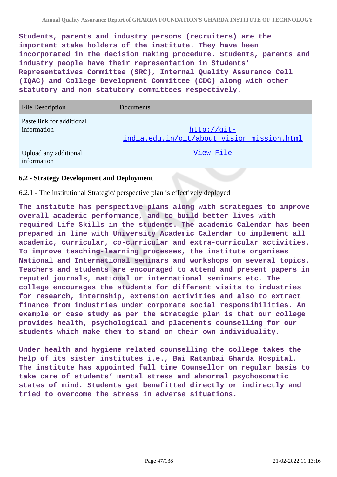**Students, parents and industry persons (recruiters) are the important stake holders of the institute. They have been incorporated in the decision making procedure. Students, parents and industry people have their representation in Students' Representatives Committee (SRC), Internal Quality Assurance Cell (IQAC) and College Development Committee (CDC) along with other statutory and non statutory committees respectively.**

| <b>File Description</b>                  | Documents                                                   |
|------------------------------------------|-------------------------------------------------------------|
| Paste link for additional<br>information | $http://qit-$<br>india.edu.in/git/about_vision_mission.html |
| Upload any additional<br>information     | View File                                                   |

### **6.2 - Strategy Development and Deployment**

### 6.2.1 - The institutional Strategic/ perspective plan is effectively deployed

**The institute has perspective plans along with strategies to improve overall academic performance, and to build better lives with required Life Skills in the students. The academic Calendar has been prepared in line with University Academic Calendar to implement all academic, curricular, co-curricular and extra-curricular activities. To improve teaching-learning processes, the institute organises National and International seminars and workshops on several topics. Teachers and students are encouraged to attend and present papers in reputed journals, national or international seminars etc. The college encourages the students for different visits to industries for research, internship, extension activities and also to extract finance from industries under corporate social responsibilities. An example or case study as per the strategic plan is that our college provides health, psychological and placements counselling for our students which make them to stand on their own individuality.**

**Under health and hygiene related counselling the college takes the help of its sister institutes i.e., Bai Ratanbai Gharda Hospital. The institute has appointed full time Counsellor on regular basis to take care of students' mental stress and abnormal psychosomatic states of mind. Students get benefitted directly or indirectly and tried to overcome the stress in adverse situations.**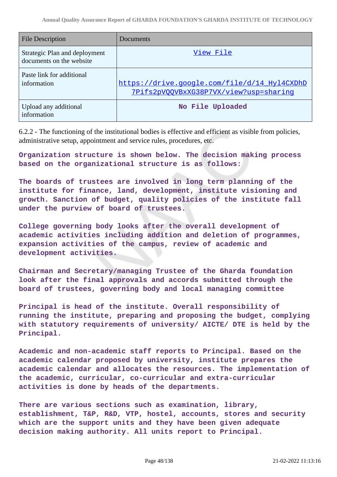| <b>File Description</b>                                   | Documents                                                                              |
|-----------------------------------------------------------|----------------------------------------------------------------------------------------|
| Strategic Plan and deployment<br>documents on the website | View File                                                                              |
| Paste link for additional<br>information                  | https://drive.google.com/file/d/14 Hyl4CXDhD<br>7Pifs2pV0QVBxXG38P7VX/view?usp=sharing |
| Upload any additional<br>information                      | No File Uploaded                                                                       |

6.2.2 - The functioning of the institutional bodies is effective and efficient as visible from policies, administrative setup, appointment and service rules, procedures, etc.

**Organization structure is shown below. The decision making process based on the organizational structure is as follows:**

**The boards of trustees are involved in long term planning of the institute for finance, land, development, institute visioning and growth. Sanction of budget, quality policies of the institute fall under the purview of board of trustees.**

**College governing body looks after the overall development of academic activities including addition and deletion of programmes, expansion activities of the campus, review of academic and development activities.**

**Chairman and Secretary/managing Trustee of the Gharda foundation look after the final approvals and accords submitted through the board of trustees, governing body and local managing committee**

**Principal is head of the institute. Overall responsibility of running the institute, preparing and proposing the budget, complying with statutory requirements of university/ AICTE/ DTE is held by the Principal.**

**Academic and non-academic staff reports to Principal. Based on the academic calendar proposed by university, institute prepares the academic calendar and allocates the resources. The implementation of the academic, curricular, co-curricular and extra-curricular activities is done by heads of the departments.**

**There are various sections such as examination, library, establishment, T&P, R&D, VTP, hostel, accounts, stores and security which are the support units and they have been given adequate decision making authority. All units report to Principal.**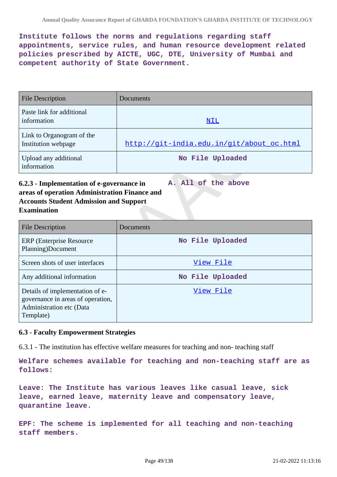**Institute follows the norms and regulations regarding staff appointments, service rules, and human resource development related policies prescribed by AICTE, UGC, DTE, University of Mumbai and competent authority of State Government.**

| <b>File Description</b>                          | <b>Documents</b>                          |
|--------------------------------------------------|-------------------------------------------|
| Paste link for additional<br>information         | NIL                                       |
| Link to Organogram of the<br>Institution webpage | http://qit-india.edu.in/qit/about oc.html |
| Upload any additional<br>information             | No File Uploaded                          |

### **6.2.3 - Implementation of e-governance in areas of operation Administration Finance and Accounts Student Admission and Support Examination A. All of the above**

| <b>File Description</b>                                                                                       | Documents        |
|---------------------------------------------------------------------------------------------------------------|------------------|
| <b>ERP</b> (Enterprise Resource)<br>Planning)Document                                                         | No File Uploaded |
| Screen shots of user interfaces                                                                               | View File        |
| Any additional information                                                                                    | No File Uploaded |
| Details of implementation of e-<br>governance in areas of operation,<br>Administration etc (Data<br>Template) | View File        |

## **6.3 - Faculty Empowerment Strategies**

6.3.1 - The institution has effective welfare measures for teaching and non- teaching staff

**Welfare schemes available for teaching and non-teaching staff are as follows:**

**Leave: The Institute has various leaves like casual leave, sick leave, earned leave, maternity leave and compensatory leave, quarantine leave.**

**EPF: The scheme is implemented for all teaching and non-teaching staff members.**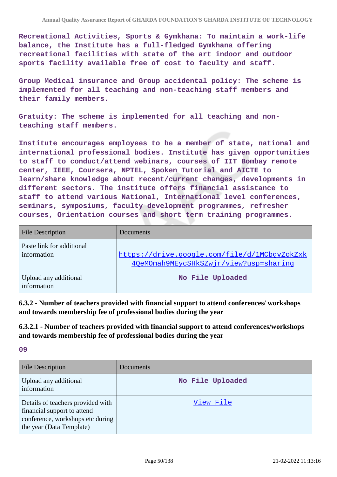**Recreational Activities, Sports & Gymkhana: To maintain a work-life balance, the Institute has a full-fledged Gymkhana offering recreational facilities with state of the art indoor and outdoor sports facility available free of cost to faculty and staff.**

**Group Medical insurance and Group accidental policy: The scheme is implemented for all teaching and non-teaching staff members and their family members.**

**Gratuity: The scheme is implemented for all teaching and nonteaching staff members.**

**Institute encourages employees to be a member of state, national and international professional bodies. Institute has given opportunities to staff to conduct/attend webinars, courses of IIT Bombay remote center, IEEE, Coursera, NPTEL, Spoken Tutorial and AICTE to learn/share knowledge about recent/current changes, developments in different sectors. The institute offers financial assistance to staff to attend various National, International level conferences, seminars, symposiums, faculty development programmes, refresher courses, Orientation courses and short term training programmes.**

| <b>File Description</b>                  | Documents                                                                              |
|------------------------------------------|----------------------------------------------------------------------------------------|
| Paste link for additional<br>information | https://drive.google.com/file/d/1MCbqvZokZxk<br>40eMOmah9MEycSHkSZwjr/view?usp=sharing |
| Upload any additional<br>information     | No File Uploaded                                                                       |

**6.3.2 - Number of teachers provided with financial support to attend conferences/ workshops and towards membership fee of professional bodies during the year**

**6.3.2.1 - Number of teachers provided with financial support to attend conferences/workshops and towards membership fee of professional bodies during the year**

**09**

| <b>File Description</b>                                                                                                          | Documents        |
|----------------------------------------------------------------------------------------------------------------------------------|------------------|
| Upload any additional<br>information                                                                                             | No File Uploaded |
| Details of teachers provided with<br>financial support to attend<br>conference, workshops etc during<br>the year (Data Template) | View File        |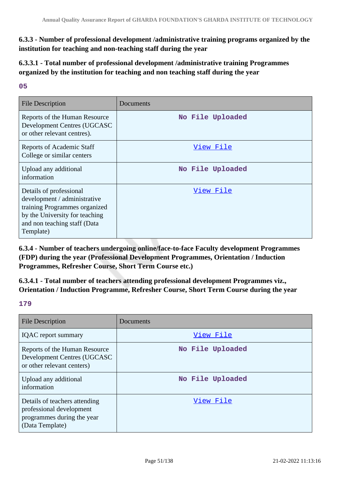**6.3.3 - Number of professional development /administrative training programs organized by the institution for teaching and non-teaching staff during the year**

**6.3.3.1 - Total number of professional development /administrative training Programmes organized by the institution for teaching and non teaching staff during the year**

### **05**

| <b>File Description</b>                                                                                                                                                 | Documents        |
|-------------------------------------------------------------------------------------------------------------------------------------------------------------------------|------------------|
| Reports of the Human Resource<br>Development Centres (UGCASC<br>or other relevant centres).                                                                             | No File Uploaded |
| <b>Reports of Academic Staff</b><br>College or similar centers                                                                                                          | View File        |
| Upload any additional<br>information                                                                                                                                    | No File Uploaded |
| Details of professional<br>development / administrative<br>training Programmes organized<br>by the University for teaching<br>and non teaching staff (Data<br>Template) | View File        |

**6.3.4 - Number of teachers undergoing online/face-to-face Faculty development Programmes (FDP) during the year (Professional Development Programmes, Orientation / Induction Programmes, Refresher Course, Short Term Course etc.)**

**6.3.4.1 - Total number of teachers attending professional development Programmes viz., Orientation / Induction Programme, Refresher Course, Short Term Course during the year**

**179**

| <b>File Description</b>                                                                                    | Documents        |
|------------------------------------------------------------------------------------------------------------|------------------|
| <b>IQAC</b> report summary                                                                                 | View File        |
| Reports of the Human Resource<br>Development Centres (UGCASC<br>or other relevant centers)                 | No File Uploaded |
| Upload any additional<br>information                                                                       | No File Uploaded |
| Details of teachers attending<br>professional development<br>programmes during the year<br>(Data Template) | View File        |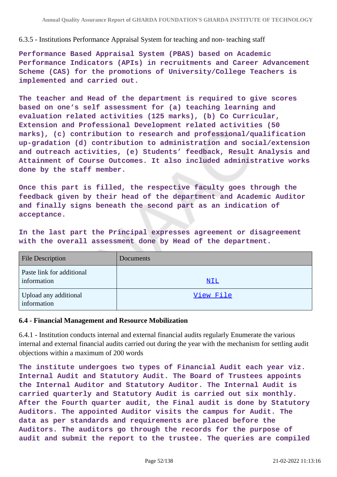### 6.3.5 - Institutions Performance Appraisal System for teaching and non- teaching staff

**Performance Based Appraisal System (PBAS) based on Academic Performance Indicators (APIs) in recruitments and Career Advancement Scheme (CAS) for the promotions of University/College Teachers is implemented and carried out.**

**The teacher and Head of the department is required to give scores based on one's self assessment for (a) teaching learning and evaluation related activities (125 marks), (b) Co Curricular, Extension and Professional Development related activities (50 marks), (c) contribution to research and professional/qualification up-gradation (d) contribution to administration and social/extension and outreach activities, (e) Students' feedback, Result Analysis and Attainment of Course Outcomes. It also included administrative works done by the staff member.**

**Once this part is filled, the respective faculty goes through the feedback given by their head of the department and Academic Auditor and finally signs beneath the second part as an indication of acceptance.**

**In the last part the Principal expresses agreement or disagreement with the overall assessment done by Head of the department.**

| <b>File Description</b>                  | Documents  |
|------------------------------------------|------------|
| Paste link for additional<br>information | <u>NIL</u> |
| Upload any additional<br>information     | View File  |

### **6.4 - Financial Management and Resource Mobilization**

6.4.1 - Institution conducts internal and external financial audits regularly Enumerate the various internal and external financial audits carried out during the year with the mechanism for settling audit objections within a maximum of 200 words

**The institute undergoes two types of Financial Audit each year viz. Internal Audit and Statutory Audit. The Board of Trustees appoints the Internal Auditor and Statutory Auditor. The Internal Audit is carried quarterly and Statutory Audit is carried out six monthly. After the Fourth quarter audit, the Final audit is done by Statutory Auditors. The appointed Auditor visits the campus for Audit. The data as per standards and requirements are placed before the Auditors. The auditors go through the records for the purpose of audit and submit the report to the trustee. The queries are compiled**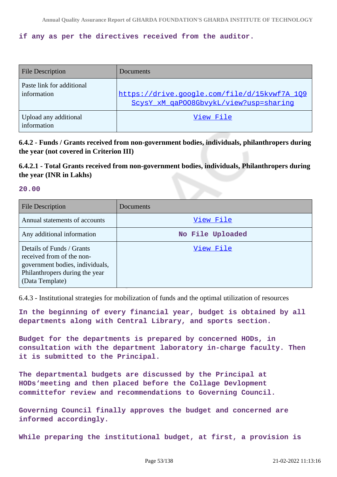### **if any as per the directives received from the auditor.**

| <b>File Description</b>                  | Documents                                                                              |
|------------------------------------------|----------------------------------------------------------------------------------------|
| Paste link for additional<br>information | https://drive.google.com/file/d/15kvwf7A 109<br>ScysY xM qaP008GbvykL/view?usp=sharinq |
| Upload any additional<br>information     | View File                                                                              |

**6.4.2 - Funds / Grants received from non-government bodies, individuals, philanthropers during the year (not covered in Criterion III)**

# **6.4.2.1 - Total Grants received from non-government bodies, individuals, Philanthropers during the year (INR in Lakhs)**

#### **20.00**

| File Description                                                                                                                               | Documents        |
|------------------------------------------------------------------------------------------------------------------------------------------------|------------------|
| Annual statements of accounts                                                                                                                  | View File        |
| Any additional information                                                                                                                     | No File Uploaded |
| Details of Funds / Grants<br>received from of the non-<br>government bodies, individuals,<br>Philanthropers during the year<br>(Data Template) | View File        |

6.4.3 - Institutional strategies for mobilization of funds and the optimal utilization of resources

**In the beginning of every financial year, budget is obtained by all departments along with Central Library, and sports section.**

**Budget for the departments is prepared by concerned HODs, in consultation with the department laboratory in-charge faculty. Then it is submitted to the Principal.**

**The departmental budgets are discussed by the Principal at HODs'meeting and then placed before the Collage Devlopment committefor review and recommendations to Governing Council.**

**Governing Council finally approves the budget and concerned are informed accordingly.**

**While preparing the institutional budget, at first, a provision is**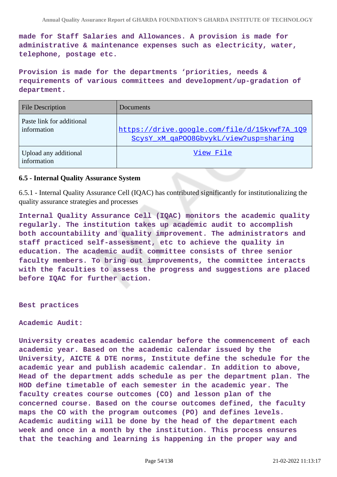**made for Staff Salaries and Allowances. A provision is made for administrative & maintenance expenses such as electricity, water, telephone, postage etc.**

**Provision is made for the departments 'priorities, needs & requirements of various committees and development/up-gradation of department.**

| <b>File Description</b>                  | Documents                                                                              |
|------------------------------------------|----------------------------------------------------------------------------------------|
| Paste link for additional<br>information | https://drive.google.com/file/d/15kvwf7A 109<br>ScysY_xM_qaP008GbvykL/view?usp=sharing |
| Upload any additional<br>information     | View File                                                                              |

### **6.5 - Internal Quality Assurance System**

6.5.1 - Internal Quality Assurance Cell (IQAC) has contributed significantly for institutionalizing the quality assurance strategies and processes

**Internal Quality Assurance Cell (IQAC) monitors the academic quality regularly. The institution takes up academic audit to accomplish both accountability and quality improvement. The administrators and staff practiced self-assessment, etc to achieve the quality in education. The academic audit committee consists of three senior faculty members. To bring out improvements, the committee interacts with the faculties to assess the progress and suggestions are placed before IQAC for further action.**

**Best practices**

**Academic Audit:**

**University creates academic calendar before the commencement of each academic year. Based on the academic calendar issued by the University, AICTE & DTE norms, Institute define the schedule for the academic year and publish academic calendar. In addition to above, Head of the department adds schedule as per the department plan. The HOD define timetable of each semester in the academic year. The faculty creates course outcomes (CO) and lesson plan of the concerned course. Based on the course outcomes defined, the faculty maps the CO with the program outcomes (PO) and defines levels. Academic auditing will be done by the head of the department each week and once in a month by the institution. This process ensures that the teaching and learning is happening in the proper way and**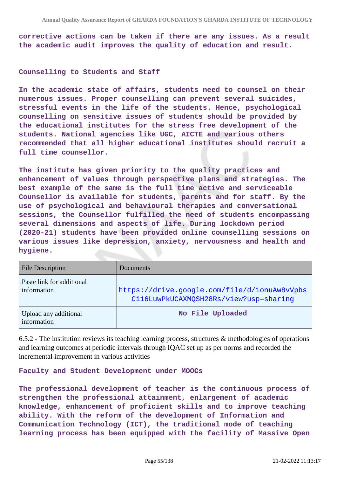**corrective actions can be taken if there are any issues. As a result the academic audit improves the quality of education and result.**

#### **Counselling to Students and Staff**

**In the academic state of affairs, students need to counsel on their numerous issues. Proper counselling can prevent several suicides, stressful events in the life of the students. Hence, psychological counselling on sensitive issues of students should be provided by the educational institutes for the stress free development of the students. National agencies like UGC, AICTE and various others recommended that all higher educational institutes should recruit a full time counsellor.**

**The institute has given priority to the quality practices and enhancement of values through perspective plans and strategies. The best example of the same is the full time active and serviceable Counsellor is available for students, parents and for staff. By the use of psychological and behavioural therapies and conversational sessions, the Counsellor fulfilled the need of students encompassing several dimensions and aspects of life. During lockdown period (2020-21) students have been provided online counselling sessions on various issues like depression, anxiety, nervousness and health and hygiene.**

| <b>File Description</b>                  | Documents                                                                              |
|------------------------------------------|----------------------------------------------------------------------------------------|
| Paste link for additional<br>information | https://drive.google.com/file/d/1onuAw8vVpbs<br>Cil6LuwPkUCAXMOSH28Rs/view?usp=sharing |
| Upload any additional<br>information     | No File Uploaded                                                                       |

6.5.2 - The institution reviews its teaching learning process, structures & methodologies of operations and learning outcomes at periodic intervals through IQAC set up as per norms and recorded the incremental improvement in various activities

**Faculty and Student Development under MOOCs**

**The professional development of teacher is the continuous process of strengthen the professional attainment, enlargement of academic knowledge, enhancement of proficient skills and to improve teaching ability. With the reform of the development of Information and Communication Technology (ICT), the traditional mode of teaching learning process has been equipped with the facility of Massive Open**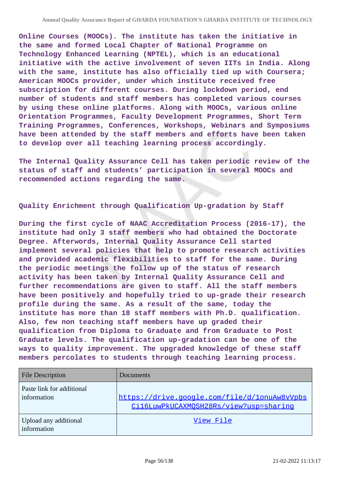**Online Courses (MOOCs). The institute has taken the initiative in the same and formed Local Chapter of National Programme on Technology Enhanced Learning (NPTEL), which is an educational initiative with the active involvement of seven IITs in India. Along with the same, institute has also officially tied up with Coursera; American MOOCs provider, under which institute received free subscription for different courses. During lockdown period, end number of students and staff members has completed various courses by using these online platforms. Along with MOOCs, various online Orientation Programmes, Faculty Development Programmes, Short Term Training Programmes, Conferences, Workshops, Webinars and Symposiums have been attended by the staff members and efforts have been taken to develop over all teaching learning process accordingly.**

**The Internal Quality Assurance Cell has taken periodic review of the status of staff and students' participation in several MOOCs and recommended actions regarding the same.**

**Quality Enrichment through Qualification Up-gradation by Staff**

**During the first cycle of NAAC Accreditation Process (2016-17), the institute had only 3 staff members who had obtained the Doctorate Degree. Afterwords, Internal Quality Assurance Cell started implement several policies that help to promote research activities and provided academic flexibilities to staff for the same. During the periodic meetings the follow up of the status of research activity has been taken by Internal Quality Assurance Cell and further recommendations are given to staff. All the staff members have been positively and hopefully tried to up-grade their research profile during the same. As a result of the same, today the institute has more than 18 staff members with Ph.D. qualification. Also, few non teaching staff members have up graded their qualification from Diploma to Graduate and from Graduate to Post Graduate levels. The qualification up-gradation can be one of the ways to quality improvement. The upgraded knowledge of these staff members percolates to students through teaching learning process.**

| <b>File Description</b>                  | Documents                                                                              |
|------------------------------------------|----------------------------------------------------------------------------------------|
| Paste link for additional<br>information | https://drive.google.com/file/d/1onuAw8vVpbs<br>Cil6LuwPkUCAXMOSH28Rs/view?usp=sharinq |
| Upload any additional<br>information     | View File                                                                              |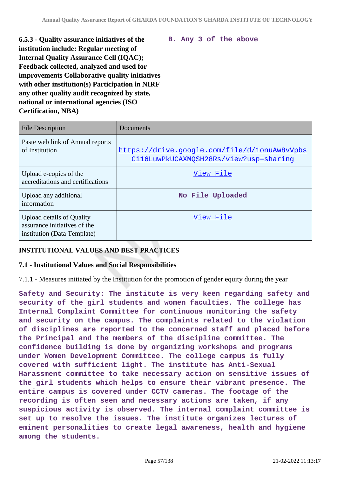**6.5.3 - Quality assurance initiatives of the institution include: Regular meeting of Internal Quality Assurance Cell (IQAC); Feedback collected, analyzed and used for improvements Collaborative quality initiatives with other institution(s) Participation in NIRF any other quality audit recognized by state, national or international agencies (ISO Certification, NBA)**

**B. Any 3 of the above**

| <b>File Description</b>                                                                         | Documents                                                                              |
|-------------------------------------------------------------------------------------------------|----------------------------------------------------------------------------------------|
| Paste web link of Annual reports<br>of Institution                                              | https://drive.google.com/file/d/1onuAw8vVpbs<br>Cil6LuwPkUCAXMQSH28Rs/view?usp=sharing |
| Upload e-copies of the<br>accreditations and certifications                                     | View File                                                                              |
| Upload any additional<br>information                                                            | No File Uploaded                                                                       |
| <b>Upload details of Quality</b><br>assurance initiatives of the<br>institution (Data Template) | View File                                                                              |

## **INSTITUTIONAL VALUES AND BEST PRACTICES**

### **7.1 - Institutional Values and Social Responsibilities**

7.1.1 - Measures initiated by the Institution for the promotion of gender equity during the year

**Safety and Security: The institute is very keen regarding safety and security of the girl students and women faculties. The college has Internal Complaint Committee for continuous monitoring the safety and security on the campus. The complaints related to the violation of disciplines are reported to the concerned staff and placed before the Principal and the members of the discipline committee. The confidence building is done by organizing workshops and programs under Women Development Committee. The college campus is fully covered with sufficient light. The institute has Anti-Sexual Harassment committee to take necessary action on sensitive issues of the girl students which helps to ensure their vibrant presence. The entire campus is covered under CCTV cameras. The footage of the recording is often seen and necessary actions are taken, if any suspicious activity is observed. The internal complaint committee is set up to resolve the issues. The institute organizes lectures of eminent personalities to create legal awareness, health and hygiene among the students.**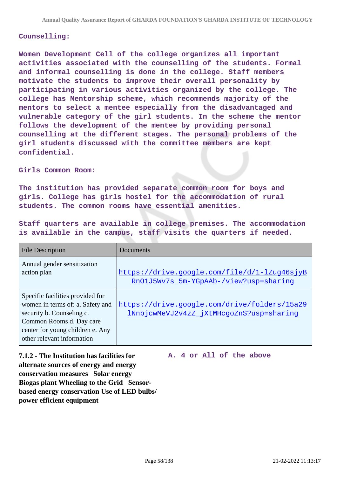#### **Counselling:**

**Women Development Cell of the college organizes all important activities associated with the counselling of the students. Formal and informal counselling is done in the college. Staff members motivate the students to improve their overall personality by participating in various activities organized by the college. The college has Mentorship scheme, which recommends majority of the mentors to select a mentee especially from the disadvantaged and vulnerable category of the girl students. In the scheme the mentor follows the development of the mentee by providing personal counselling at the different stages. The personal problems of the girl students discussed with the committee members are kept confidential.**

#### **Girls Common Room:**

**The institution has provided separate common room for boys and girls. College has girls hostel for the accommodation of rural students. The common rooms have essential amenities.**

**Staff quarters are available in college premises. The accommodation is available in the campus, staff visits the quarters if needed.**

| <b>File Description</b>                                                                                                                                                                         | Documents                                                                                |
|-------------------------------------------------------------------------------------------------------------------------------------------------------------------------------------------------|------------------------------------------------------------------------------------------|
| Annual gender sensitization<br>action plan                                                                                                                                                      | https://drive.google.com/file/d/1-lZug46sjyB<br>RnO1J5Wv7s 5m-YGpAAb-/view?usp=sharing   |
| Specific facilities provided for<br>women in terms of: a. Safety and<br>security b. Counseling c.<br>Common Rooms d. Day care<br>center for young children e. Any<br>other relevant information | https://drive.google.com/drive/folders/15a29<br>1NnbjcwMeVJ2v4zZ_jXtMHcgoZnS?usp=sharing |

**7.1.2 - The Institution has facilities for alternate sources of energy and energy conservation measures Solar energy Biogas plant Wheeling to the Grid Sensorbased energy conservation Use of LED bulbs/ power efficient equipment** 

**A. 4 or All of the above**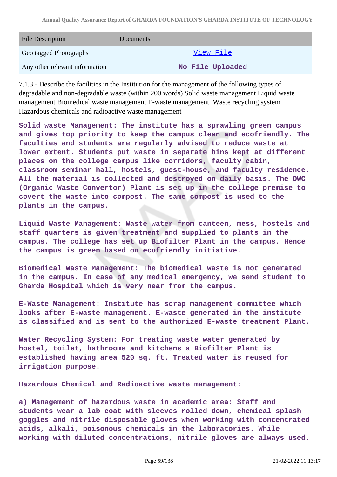| <b>File Description</b>        | Documents        |
|--------------------------------|------------------|
| Geo tagged Photographs         | View File        |
| Any other relevant information | No File Uploaded |

7.1.3 - Describe the facilities in the Institution for the management of the following types of degradable and non-degradable waste (within 200 words) Solid waste management Liquid waste management Biomedical waste management E-waste management Waste recycling system Hazardous chemicals and radioactive waste management

**Solid waste Management: The institute has a sprawling green campus and gives top priority to keep the campus clean and ecofriendly. The faculties and students are regularly advised to reduce waste at lower extent. Students put waste in separate bins kept at different places on the college campus like corridors, faculty cabin, classroom seminar hall, hostels, guest-house, and faculty residence. All the material is collected and destroyed on daily basis. The OWC (Organic Waste Convertor) Plant is set up in the college premise to covert the waste into compost. The same compost is used to the plants in the campus.**

**Liquid Waste Management: Waste water from canteen, mess, hostels and staff quarters is given treatment and supplied to plants in the campus. The college has set up Biofilter Plant in the campus. Hence the campus is green based on ecofriendly initiative.**

**Biomedical Waste Management: The biomedical waste is not generated in the campus. In case of any medical emergency, we send student to Gharda Hospital which is very near from the campus.**

**E-Waste Management: Institute has scrap management committee which looks after E-waste management. E-waste generated in the institute is classified and is sent to the authorized E-waste treatment Plant.**

**Water Recycling System: For treating waste water generated by hostel, toilet, bathrooms and kitchens a Biofilter Plant is established having area 520 sq. ft. Treated water is reused for irrigation purpose.**

**Hazardous Chemical and Radioactive waste management:**

**a) Management of hazardous waste in academic area: Staff and students wear a lab coat with sleeves rolled down, chemical splash goggles and nitrile disposable gloves when working with concentrated acids, alkali, poisonous chemicals in the laboratories. While working with diluted concentrations, nitrile gloves are always used.**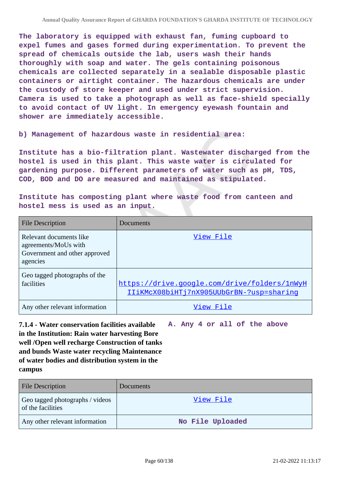**The laboratory is equipped with exhaust fan, fuming cupboard to expel fumes and gases formed during experimentation. To prevent the spread of chemicals outside the lab, users wash their hands thoroughly with soap and water. The gels containing poisonous chemicals are collected separately in a sealable disposable plastic containers or airtight container. The hazardous chemicals are under the custody of store keeper and used under strict supervision. Camera is used to take a photograph as well as face-shield specially to avoid contact of UV light. In emergency eyewash fountain and shower are immediately accessible.**

**b) Management of hazardous waste in residential area:**

**Institute has a bio-filtration plant. Wastewater discharged from the hostel is used in this plant. This waste water is circulated for gardening purpose. Different parameters of water such as pH, TDS, COD, BOD and DO are measured and maintained as stipulated.**

**Institute has composting plant where waste food from canteen and hostel mess is used as an input.**

| <b>File Description</b>                                                                      | Documents                                                                                |
|----------------------------------------------------------------------------------------------|------------------------------------------------------------------------------------------|
| Relevant documents like<br>agreements/MoUs with<br>Government and other approved<br>agencies | View File                                                                                |
| Geo tagged photographs of the<br>facilities                                                  | https://drive.google.com/drive/folders/1nWyH<br>IIiKMcX08biHTj7nX905UUbGrBN-?usp=sharing |
| Any other relevant information                                                               | View File                                                                                |

**7.1.4 - Water conservation facilities available in the Institution: Rain water harvesting Bore well /Open well recharge Construction of tanks and bunds Waste water recycling Maintenance of water bodies and distribution system in the campus A. Any 4 or all of the above**

| <b>File Description</b>                              | <b>Documents</b> |
|------------------------------------------------------|------------------|
| Geo tagged photographs / videos<br>of the facilities | View File        |
| Any other relevant information                       | No File Uploaded |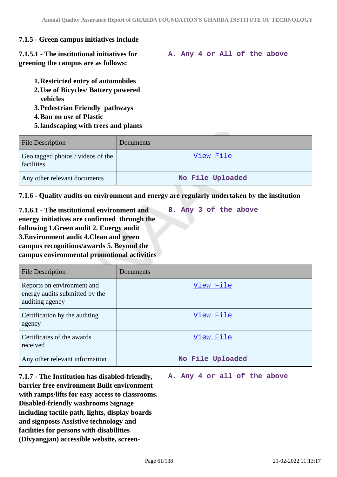# **7.1.5 - Green campus initiatives include**

**7.1.5.1 - The institutional initiatives for greening the campus are as follows:**

- **1.Restricted entry of automobiles**
- **2.Use of Bicycles/ Battery powered vehicles**
- **3.Pedestrian Friendly pathways**
- **4.Ban on use of Plastic**
- **5.landscaping with trees and plants**

| <b>File Description</b>                         | <b>Documents</b> |
|-------------------------------------------------|------------------|
| Geo tagged photos / videos of the<br>facilities | View File        |
| Any other relevant documents                    | No File Uploaded |

## **7.1.6 - Quality audits on environment and energy are regularly undertaken by the institution**

**7.1.6.1 - The institutional environment and energy initiatives are confirmed through the following 1.Green audit 2. Energy audit 3.Environment audit 4.Clean and green campus recognitions/awards 5. Beyond the campus environmental promotional activities**

**B. Any 3 of the above**

| <b>File Description</b>                                                         | Documents        |
|---------------------------------------------------------------------------------|------------------|
| Reports on environment and<br>energy audits submitted by the<br>auditing agency | View File        |
| Certification by the auditing<br>agency                                         | View File        |
| Certificates of the awards<br>received                                          | View File        |
| Any other relevant information                                                  | No File Uploaded |

**7.1.7 - The Institution has disabled-friendly, barrier free environment Built environment with ramps/lifts for easy access to classrooms. Disabled-friendly washrooms Signage including tactile path, lights, display boards and signposts Assistive technology and facilities for persons with disabilities (Divyangjan) accessible website, screen-**

#### **A. Any 4 or all of the above**

**A. Any 4 or All of the above**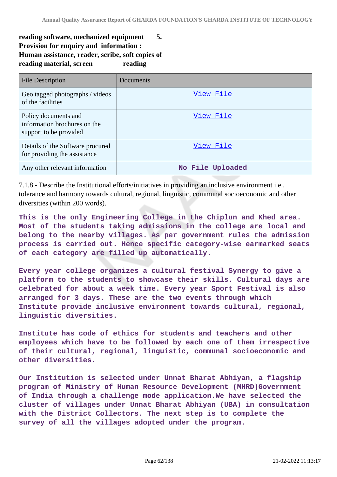# **reading software, mechanized equipment 5. Provision for enquiry and information : Human assistance, reader, scribe, soft copies of** reading material, screen reading

| File Description                                                               | Documents        |
|--------------------------------------------------------------------------------|------------------|
| Geo tagged photographs / videos<br>of the facilities                           | View File        |
| Policy documents and<br>information brochures on the<br>support to be provided | View File        |
| Details of the Software procured<br>for providing the assistance               | View File        |
| Any other relevant information                                                 | No File Uploaded |

7.1.8 - Describe the Institutional efforts/initiatives in providing an inclusive environment i.e., tolerance and harmony towards cultural, regional, linguistic, communal socioeconomic and other diversities (within 200 words).

**This is the only Engineering College in the Chiplun and Khed area. Most of the students taking admissions in the college are local and belong to the nearby villages. As per government rules the admission process is carried out. Hence specific category-wise earmarked seats of each category are filled up automatically.**

**Every year college organizes a cultural festival Synergy to give a platform to the students to showcase their skills. Cultural days are celebrated for about a week time. Every year Sport Festival is also arranged for 3 days. These are the two events through which Institute provide inclusive environment towards cultural, regional, linguistic diversities.**

**Institute has code of ethics for students and teachers and other employees which have to be followed by each one of them irrespective of their cultural, regional, linguistic, communal socioeconomic and other diversities.**

**Our Institution is selected under Unnat Bharat Abhiyan, a flagship program of Ministry of Human Resource Development (MHRD)Government of India through a challenge mode application.We have selected the cluster of villages under Unnat Bharat Abhiyan (UBA) in consultation with the District Collectors. The next step is to complete the survey of all the villages adopted under the program.**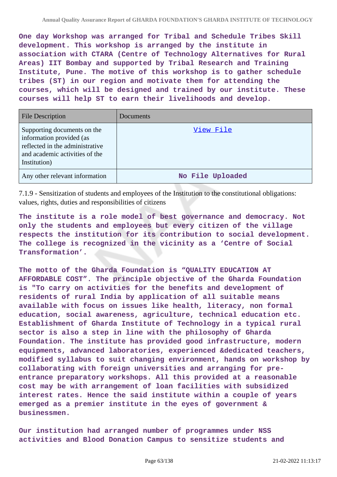**One day Workshop was arranged for Tribal and Schedule Tribes Skill development. This workshop is arranged by the institute in association with CTARA (Centre of Technology Alternatives for Rural Areas) IIT Bombay and supported by Tribal Research and Training Institute, Pune. The motive of this workshop is to gather schedule tribes (ST) in our region and motivate them for attending the courses, which will be designed and trained by our institute. These courses will help ST to earn their livelihoods and develop.**

| <b>File Description</b>                                                                                                                      | Documents        |
|----------------------------------------------------------------------------------------------------------------------------------------------|------------------|
| Supporting documents on the<br>information provided (as<br>reflected in the administrative<br>and academic activities of the<br>Institution) | View File        |
| Any other relevant information                                                                                                               | No File Uploaded |

7.1.9 - Sensitization of students and employees of the Institution to the constitutional obligations: values, rights, duties and responsibilities of citizens

**The institute is a role model of best governance and democracy. Not only the students and employees but every citizen of the village respects the institution for its contribution to social development. The college is recognized in the vicinity as a 'Centre of Social Transformation'.**

**The motto of the Gharda Foundation is "QUALITY EDUCATION AT AFFORDABLE COST". The principle objective of the Gharda Foundation is "To carry on activities for the benefits and development of residents of rural India by application of all suitable means available with focus on issues like health, literacy, non formal education, social awareness, agriculture, technical education etc. Establishment of Gharda Institute of Technology in a typical rural sector is also a step in line with the philosophy of Gharda Foundation. The institute has provided good infrastructure, modern equipments, advanced laboratories, experienced &dedicated teachers, modified syllabus to suit changing environment, hands on workshop by collaborating with foreign universities and arranging for preentrance preparatory workshops. All this provided at a reasonable cost may be with arrangement of loan facilities with subsidized interest rates. Hence the said institute within a couple of years emerged as a premier institute in the eyes of government & businessmen.**

**Our institution had arranged number of programmes under NSS activities and Blood Donation Campus to sensitize students and**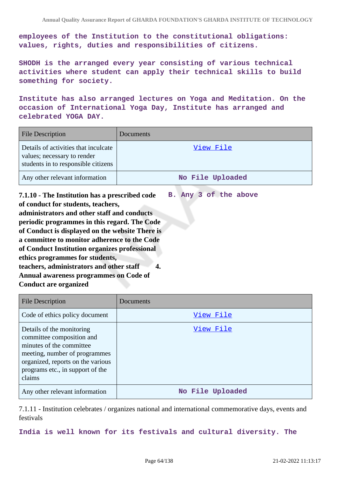**employees of the Institution to the constitutional obligations: values, rights, duties and responsibilities of citizens.**

**SHODH is the arranged every year consisting of various technical activities where student can apply their technical skills to build something for society.**

**Institute has also arranged lectures on Yoga and Meditation. On the occasion of International Yoga Day, Institute has arranged and celebrated YOGA DAY.**

| <b>File Description</b>                                                                                    | Documents        |
|------------------------------------------------------------------------------------------------------------|------------------|
| Details of activities that inculcate<br>values; necessary to render<br>students in to responsible citizens | View File        |
| Any other relevant information                                                                             | No File Uploaded |

**7.1.10 - The Institution has a prescribed code of conduct for students, teachers, administrators and other staff and conducts periodic programmes in this regard. The Code of Conduct is displayed on the website There is a committee to monitor adherence to the Code of Conduct Institution organizes professional ethics programmes for students, teachers, administrators and other staff 4. Annual awareness programmes on Code of Conduct are organized B. Any 3 of the above**

| <b>File Description</b>                                                                                                                                                                                | Documents        |
|--------------------------------------------------------------------------------------------------------------------------------------------------------------------------------------------------------|------------------|
| Code of ethics policy document                                                                                                                                                                         | View File        |
| Details of the monitoring<br>committee composition and<br>minutes of the committee<br>meeting, number of programmes<br>organized, reports on the various<br>programs etc., in support of the<br>claims | View File        |
| Any other relevant information                                                                                                                                                                         | No File Uploaded |

7.1.11 - Institution celebrates / organizes national and international commemorative days, events and festivals

**India is well known for its festivals and cultural diversity. The**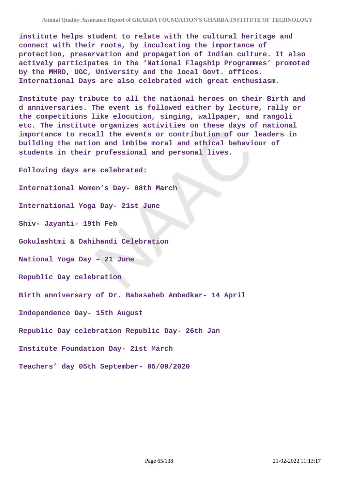**institute helps student to relate with the cultural heritage and connect with their roots, by inculcating the importance of protection, preservation and propagation of Indian culture. It also actively participates in the 'National Flagship Programmes' promoted by the MHRD, UGC, University and the local Govt. offices. International Days are also celebrated with great enthusiasm.**

**Institute pay tribute to all the national heroes on their Birth and d anniversaries. The event is followed either by lecture, rally or the competitions like elocution, singing, wallpaper, and rangoli etc. The institute organizes activities on these days of national importance to recall the events or contribution of our leaders in building the nation and imbibe moral and ethical behaviour of students in their professional and personal lives.**

**Following days are celebrated: International Women's Day- 08th March International Yoga Day- 21st June Shiv- Jayanti- 19th Feb Gokulashtmi & Dahihandi Celebration National Yoga Day – 21 June Republic Day celebration Birth anniversary of Dr. Babasaheb Ambedkar- 14 April Independence Day- 15th August Republic Day celebration Republic Day- 26th Jan Institute Foundation Day- 21st March Teachers' day 05th September- 05/09/2020**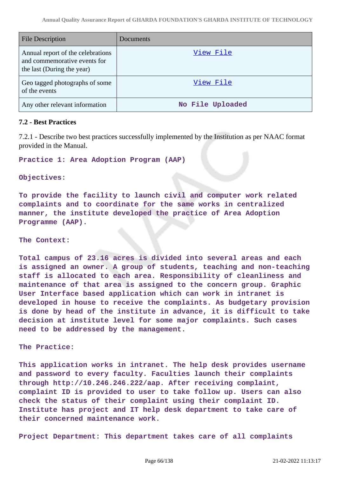| <b>File Description</b>                                                                         | Documents        |
|-------------------------------------------------------------------------------------------------|------------------|
| Annual report of the celebrations<br>and commemorative events for<br>the last (During the year) | View File        |
| Geo tagged photographs of some<br>of the events                                                 | View File        |
| Any other relevant information                                                                  | No File Uploaded |

#### **7.2 - Best Practices**

7.2.1 - Describe two best practices successfully implemented by the Institution as per NAAC format provided in the Manual.

**Practice 1: Area Adoption Program (AAP)**

#### **Objectives:**

**To provide the facility to launch civil and computer work related complaints and to coordinate for the same works in centralized manner, the institute developed the practice of Area Adoption Programme (AAP).**

#### **The Context:**

**Total campus of 23.16 acres is divided into several areas and each is assigned an owner. A group of students, teaching and non-teaching staff is allocated to each area. Responsibility of cleanliness and maintenance of that area is assigned to the concern group. Graphic User Interface based application which can work in intranet is developed in house to receive the complaints. As budgetary provision is done by head of the institute in advance, it is difficult to take decision at institute level for some major complaints. Such cases need to be addressed by the management.**

#### **The Practice:**

**This application works in intranet. The help desk provides username and password to every faculty. Faculties launch their complaints through http://10.246.246.222/aap. After receiving complaint, complaint ID is provided to user to take follow up. Users can also check the status of their complaint using their complaint ID. Institute has project and IT help desk department to take care of their concerned maintenance work.**

**Project Department: This department takes care of all complaints**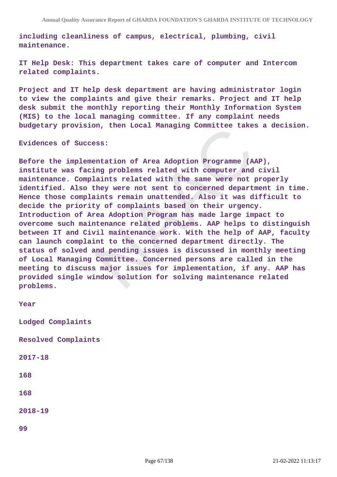**including cleanliness of campus, electrical, plumbing, civil maintenance.**

**IT Help Desk: This department takes care of computer and Intercom related complaints.**

**Project and IT help desk department are having administrator login to view the complaints and give their remarks. Project and IT help desk submit the monthly reporting their Monthly Information System (MIS) to the local managing committee. If any complaint needs budgetary provision, then Local Managing Committee takes a decision.**

**Evidences of Success:**

**Before the implementation of Area Adoption Programme (AAP), institute was facing problems related with computer and civil maintenance. Complaints related with the same were not properly identified. Also they were not sent to concerned department in time. Hence those complaints remain unattended. Also it was difficult to decide the priority of complaints based on their urgency. Introduction of Area Adoption Program has made large impact to overcome such maintenance related problems. AAP helps to distinguish between IT and Civil maintenance work. With the help of AAP, faculty can launch complaint to the concerned department directly. The status of solved and pending issues is discussed in monthly meeting of Local Managing Committee. Concerned persons are called in the meeting to discuss major issues for implementation, if any. AAP has provided single window solution for solving maintenance related problems.**

| Year                |
|---------------------|
| Lodged Complaints   |
| Resolved Complaints |
| $2017 - 18$         |
| 168                 |
| 168                 |
| $2018 - 19$         |
| 99                  |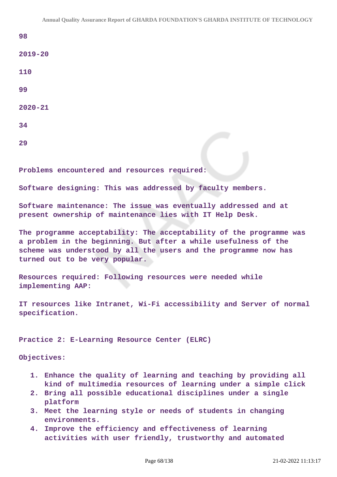**98**

**2019-20**

**110**

**99**

**2020-21**

**34**

**29**

**Problems encountered and resources required:**

**Software designing: This was addressed by faculty members.**

**Software maintenance: The issue was eventually addressed and at present ownership of maintenance lies with IT Help Desk.**

**The programme acceptability: The acceptability of the programme was a problem in the beginning. But after a while usefulness of the scheme was understood by all the users and the programme now has turned out to be very popular.**

**Resources required: Following resources were needed while implementing AAP:**

**IT resources like Intranet, Wi-Fi accessibility and Server of normal specification.**

**Practice 2: E-Learning Resource Center (ELRC)**

**Objectives:**

- **1. Enhance the quality of learning and teaching by providing all kind of multimedia resources of learning under a simple click**
- **2. Bring all possible educational disciplines under a single platform**
- **3. Meet the learning style or needs of students in changing environments.**
- **4. Improve the efficiency and effectiveness of learning activities with user friendly, trustworthy and automated**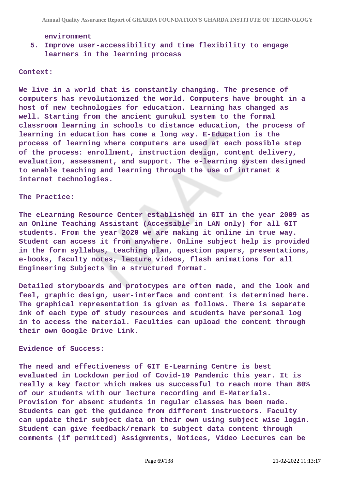#### **environment**

## **5. Improve user-accessibility and time flexibility to engage learners in the learning process**

#### **Context:**

**We live in a world that is constantly changing. The presence of computers has revolutionized the world. Computers have brought in a host of new technologies for education. Learning has changed as well. Starting from the ancient gurukul system to the formal classroom learning in schools to distance education, the process of learning in education has come a long way. E-Education is the process of learning where computers are used at each possible step of the process: enrollment, instruction design, content delivery, evaluation, assessment, and support. The e-learning system designed to enable teaching and learning through the use of intranet & internet technologies.**

#### **The Practice:**

**The eLearning Resource Center established in GIT in the year 2009 as an Online Teaching Assistant (Accessible in LAN only) for all GIT students. From the year 2020 we are making it online in true way. Student can access it from anywhere. Online subject help is provided in the form syllabus, teaching plan, question papers, presentations, e-books, faculty notes, lecture videos, flash animations for all Engineering Subjects in a structured format.**

**Detailed storyboards and prototypes are often made, and the look and feel, graphic design, user-interface and content is determined here. The graphical representation is given as follows. There is separate ink of each type of study resources and students have personal log in to access the material. Faculties can upload the content through their own Google Drive Link.**

#### **Evidence of Success:**

**The need and effectiveness of GIT E-Learning Centre is best evaluated in Lockdown period of Covid-19 Pandemic this year. It is really a key factor which makes us successful to reach more than 80% of our students with our lecture recording and E-Materials. Provision for absent students in regular classes has been made. Students can get the guidance from different instructors. Faculty can update their subject data on their own using subject wise login. Student can give feedback/remark to subject data content through comments (if permitted) Assignments, Notices, Video Lectures can be**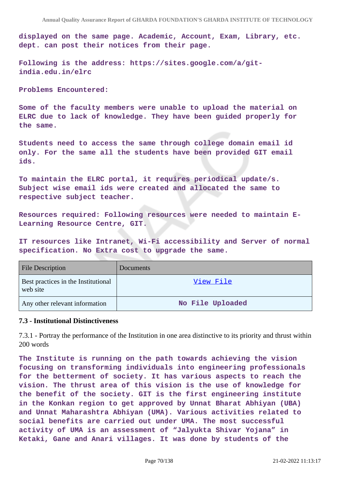**displayed on the same page. Academic, Account, Exam, Library, etc. dept. can post their notices from their page.**

**Following is the address: https://sites.google.com/a/gitindia.edu.in/elrc**

#### **Problems Encountered:**

**Some of the faculty members were unable to upload the material on ELRC due to lack of knowledge. They have been guided properly for the same.**

**Students need to access the same through college domain email id only. For the same all the students have been provided GIT email ids.**

**To maintain the ELRC portal, it requires periodical update/s. Subject wise email ids were created and allocated the same to respective subject teacher.**

**Resources required: Following resources were needed to maintain E-Learning Resource Centre, GIT.**

**IT resources like Intranet, Wi-Fi accessibility and Server of normal specification. No Extra cost to upgrade the same.**

| <b>File Description</b>                         | <b>Documents</b> |
|-------------------------------------------------|------------------|
| Best practices in the Institutional<br>web site | <u>View File</u> |
| Any other relevant information                  | No File Uploaded |

### **7.3 - Institutional Distinctiveness**

7.3.1 - Portray the performance of the Institution in one area distinctive to its priority and thrust within 200 words

**The Institute is running on the path towards achieving the vision focusing on transforming individuals into engineering professionals for the betterment of society. It has various aspects to reach the vision. The thrust area of this vision is the use of knowledge for the benefit of the society. GIT is the first engineering institute in the Konkan region to get approved by Unnat Bharat Abhiyan (UBA) and Unnat Maharashtra Abhiyan (UMA). Various activities related to social benefits are carried out under UMA. The most successful activity of UMA is an assessment of "Jalyukta Shivar Yojana" in Ketaki, Gane and Anari villages. It was done by students of the**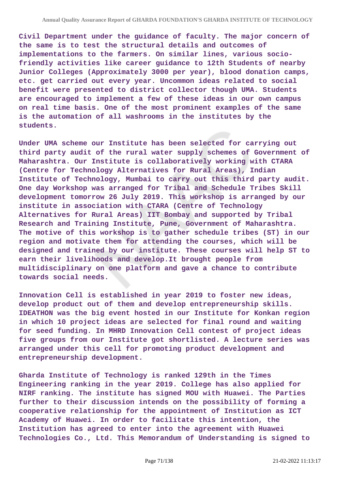**Civil Department under the guidance of faculty. The major concern of the same is to test the structural details and outcomes of implementations to the farmers. On similar lines, various sociofriendly activities like career guidance to 12th Students of nearby Junior Colleges (Approximately 3000 per year), blood donation camps, etc. get carried out every year. Uncommon ideas related to social benefit were presented to district collector though UMA. Students are encouraged to implement a few of these ideas in our own campus on real time basis. One of the most prominent examples of the same is the automation of all washrooms in the institutes by the students.**

**Under UMA scheme our Institute has been selected for carrying out third party audit of the rural water supply schemes of Government of Maharashtra. Our Institute is collaboratively working with CTARA (Centre for Technology Alternatives for Rural Areas), Indian Institute of Technology, Mumbai to carry out this third party audit. One day Workshop was arranged for Tribal and Schedule Tribes Skill development tomorrow 26 July 2019. This workshop is arranged by our institute in association with CTARA (Centre of Technology Alternatives for Rural Areas) IIT Bombay and supported by Tribal Research and Training Institute, Pune, Government of Maharashtra. The motive of this workshop is to gather schedule tribes (ST) in our region and motivate them for attending the courses, which will be designed and trained by our institute. These courses will help ST to earn their livelihoods and develop.It brought people from multidisciplinary on one platform and gave a chance to contribute towards social needs.**

**Innovation Cell is established in year 2019 to foster new ideas, develop product out of them and develop entrepreneurship skills. IDEATHON was the big event hosted in our Institute for Konkan region in which 10 project ideas are selected for final round and waiting for seed funding. In MHRD Innovation Cell contest of project ideas five groups from our Institute got shortlisted. A lecture series was arranged under this cell for promoting product development and entrepreneurship development.**

**Gharda Institute of Technology is ranked 129th in the Times Engineering ranking in the year 2019. College has also applied for NIRF ranking. The institute has signed MOU with Huawei. The Parties further to their discussion intends on the possibility of forming a cooperative relationship for the appointment of Institution as ICT Academy of Huawei. In order to facilitate this intention, the Institution has agreed to enter into the agreement with Huawei Technologies Co., Ltd. This Memorandum of Understanding is signed to**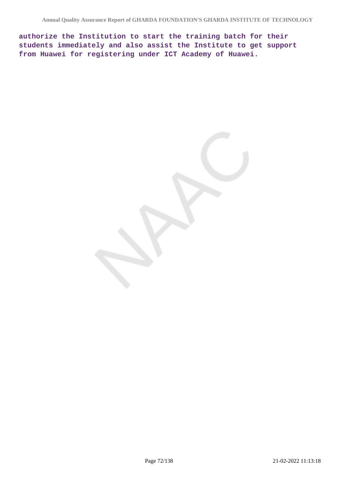**authorize the Institution to start the training batch for their students immediately and also assist the Institute to get support from Huawei for registering under ICT Academy of Huawei.**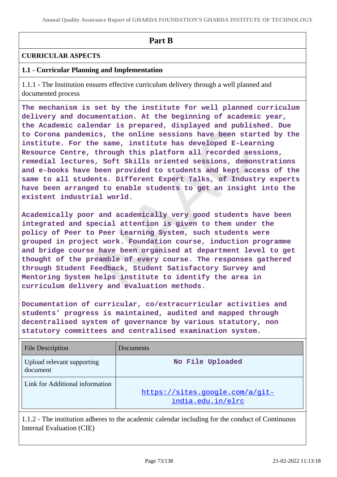# **Part B**

# **CURRICULAR ASPECTS**

# **1.1 - Curricular Planning and Implementation**

1.1.1 - The Institution ensures effective curriculum delivery through a well planned and documented process

**The mechanism is set by the institute for well planned curriculum delivery and documentation. At the beginning of academic year, the Academic calendar is prepared, displayed and published. Due to Corona pandemics, the online sessions have been started by the institute. For the same, institute has developed E-Learning Resource Centre, through this platform all recorded sessions, remedial lectures, Soft Skills oriented sessions, demonstrations and e-books have been provided to students and kept access of the same to all students. Different Expert Talks, of Industry experts have been arranged to enable students to get an insight into the existent industrial world.**

**Academically poor and academically very good students have been integrated and special attention is given to them under the policy of Peer to Peer Learning System, such students were grouped in project work. Foundation course, induction programme and bridge course have been organised at department level to get thought of the preamble of every course. The responses gathered through Student Feedback, Student Satisfactory Survey and Mentoring System helps institute to identify the area in curriculum delivery and evaluation methods.**

**Documentation of curricular, co/extracurricular activities and students' progress is maintained, audited and mapped through decentralised system of governance by various statutory, non statutory committees and centralised examination system.**

| <b>File Description</b>                | Documents                                            |
|----------------------------------------|------------------------------------------------------|
| Upload relevant supporting<br>document | No File Uploaded                                     |
| Link for Additional information        | https://sites.google.com/a/git-<br>india.edu.in/elrc |

1.1.2 - The institution adheres to the academic calendar including for the conduct of Continuous Internal Evaluation (CIE)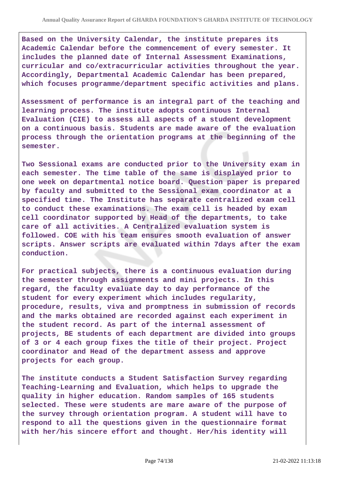**Based on the University Calendar, the institute prepares its Academic Calendar before the commencement of every semester. It includes the planned date of Internal Assessment Examinations, curricular and co/extracurricular activities throughout the year. Accordingly, Departmental Academic Calendar has been prepared, which focuses programme/department specific activities and plans.**

**Assessment of performance is an integral part of the teaching and learning process. The institute adopts continuous Internal Evaluation (CIE) to assess all aspects of a student development on a continuous basis. Students are made aware of the evaluation process through the orientation programs at the beginning of the semester.**

**Two Sessional exams are conducted prior to the University exam in each semester. The time table of the same is displayed prior to one week on departmental notice board. Question paper is prepared by faculty and submitted to the Sessional exam coordinator at a specified time. The Institute has separate centralized exam cell to conduct these examinations. The exam cell is headed by exam cell coordinator supported by Head of the departments, to take care of all activities. A Centralized evaluation system is followed. COE with his team ensures smooth evaluation of answer scripts. Answer scripts are evaluated within 7days after the exam conduction.**

**For practical subjects, there is a continuous evaluation during the semester through assignments and mini projects. In this regard, the faculty evaluate day to day performance of the student for every experiment which includes regularity, procedure, results, viva and promptness in submission of records and the marks obtained are recorded against each experiment in the student record. As part of the internal assessment of projects, BE students of each department are divided into groups of 3 or 4 each group fixes the title of their project. Project coordinator and Head of the department assess and approve projects for each group.**

**The institute conducts a Student Satisfaction Survey regarding Teaching-Learning and Evaluation, which helps to upgrade the quality in higher education. Random samples of 165 students selected. These were students are mare aware of the purpose of the survey through orientation program. A student will have to respond to all the questions given in the questionnaire format with her/his sincere effort and thought. Her/his identity will**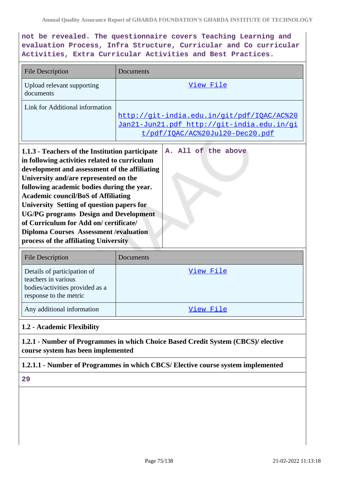# **not be revealed. The questionnaire covers Teaching Learning and evaluation Process, Infra Structure, Curricular and Co curricular Activities, Extra Curricular Activities and Best Practices.**

| <b>File Description</b>                                                                                                                                                                                                                                                                                                                                                                                                                                                                                                                              | Documents                                                                                                                   |  |
|------------------------------------------------------------------------------------------------------------------------------------------------------------------------------------------------------------------------------------------------------------------------------------------------------------------------------------------------------------------------------------------------------------------------------------------------------------------------------------------------------------------------------------------------------|-----------------------------------------------------------------------------------------------------------------------------|--|
| Upload relevant supporting<br>documents                                                                                                                                                                                                                                                                                                                                                                                                                                                                                                              | View File                                                                                                                   |  |
| Link for Additional information                                                                                                                                                                                                                                                                                                                                                                                                                                                                                                                      | http://qit-india.edu.in/qit/pdf/IQAC/AC%20<br>Jan21-Jun21.pdf http://git-india.edu.in/gi<br>t/pdf/IOAC/AC%20Jul20-Dec20.pdf |  |
| A. All of the above<br>1.1.3 - Teachers of the Institution participate<br>in following activities related to curriculum<br>development and assessment of the affiliating<br>University and/are represented on the<br>following academic bodies during the year.<br><b>Academic council/BoS of Affiliating</b><br><b>University Setting of question papers for</b><br><b>UG/PG programs Design and Development</b><br>of Curriculum for Add on/certificate/<br><b>Diploma Courses Assessment /evaluation</b><br>process of the affiliating University |                                                                                                                             |  |
| <b>File Description</b>                                                                                                                                                                                                                                                                                                                                                                                                                                                                                                                              | Documents                                                                                                                   |  |
| Details of participation of<br>teachers in various<br>bodies/activities provided as a<br>response to the metric                                                                                                                                                                                                                                                                                                                                                                                                                                      | View File                                                                                                                   |  |
| Any additional information                                                                                                                                                                                                                                                                                                                                                                                                                                                                                                                           | View File                                                                                                                   |  |
| 1.2 - Academic Flexibility                                                                                                                                                                                                                                                                                                                                                                                                                                                                                                                           |                                                                                                                             |  |
| 1.2.1 - Number of Programmes in which Choice Based Credit System (CBCS)/ elective<br>course system has been implemented                                                                                                                                                                                                                                                                                                                                                                                                                              |                                                                                                                             |  |
|                                                                                                                                                                                                                                                                                                                                                                                                                                                                                                                                                      | 1.2.1.1 - Number of Programmes in which CBCS/ Elective course system implemented                                            |  |
| 29                                                                                                                                                                                                                                                                                                                                                                                                                                                                                                                                                   |                                                                                                                             |  |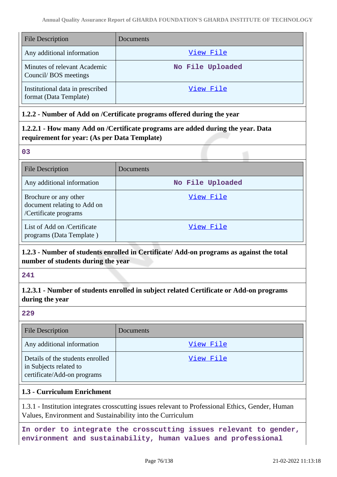| <b>File Description</b>                                    | <b>Documents</b> |
|------------------------------------------------------------|------------------|
| Any additional information                                 | View File        |
| Minutes of relevant Academic<br>Council/BOS meetings       | No File Uploaded |
| Institutional data in prescribed<br>format (Data Template) | View File        |

# **1.2.2 - Number of Add on /Certificate programs offered during the year**

# **1.2.2.1 - How many Add on /Certificate programs are added during the year. Data requirement for year: (As per Data Template)**

#### **03**

| <b>File Description</b>                                                       | Documents        |
|-------------------------------------------------------------------------------|------------------|
| Any additional information                                                    | No File Uploaded |
| Brochure or any other<br>document relating to Add on<br>/Certificate programs | View File        |
| List of Add on /Certificate<br>programs (Data Template)                       | View File        |

# **1.2.3 - Number of students enrolled in Certificate/ Add-on programs as against the total number of students during the year**

#### **241**

# **1.2.3.1 - Number of students enrolled in subject related Certificate or Add-on programs during the year**

## **229**

| File Description                                                                          | Documents |
|-------------------------------------------------------------------------------------------|-----------|
| Any additional information                                                                | View File |
| Details of the students enrolled<br>in Subjects related to<br>certificate/Add-on programs | View File |

## **1.3 - Curriculum Enrichment**

1.3.1 - Institution integrates crosscutting issues relevant to Professional Ethics, Gender, Human Values, Environment and Sustainability into the Curriculum

**In order to integrate the crosscutting issues relevant to gender, environment and sustainability, human values and professional**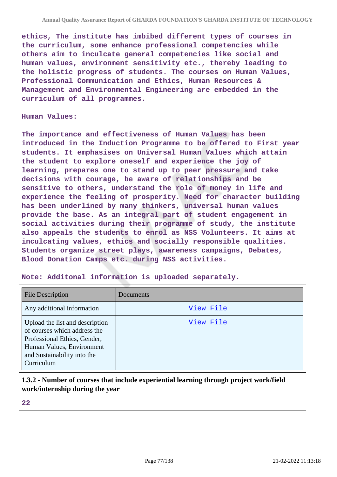**ethics, The institute has imbibed different types of courses in the curriculum, some enhance professional competencies while others aim to inculcate general competencies like social and human values, environment sensitivity etc., thereby leading to the holistic progress of students. The courses on Human Values, Professional Communication and Ethics, Human Resources & Management and Environmental Engineering are embedded in the curriculum of all programmes.**

#### **Human Values:**

**The importance and effectiveness of Human Values has been introduced in the Induction Programme to be offered to First year students. It emphasises on Universal Human Values which attain the student to explore oneself and experience the joy of learning, prepares one to stand up to peer pressure and take decisions with courage, be aware of relationships and be sensitive to others, understand the role of money in life and experience the feeling of prosperity. Need for character building has been underlined by many thinkers, universal human values provide the base. As an integral part of student engagement in social activities during their programme of study, the institute also appeals the students to enrol as NSS Volunteers. It aims at inculcating values, ethics and socially responsible qualities. Students organize street plays, awareness campaigns, Debates, Blood Donation Camps etc. during NSS activities.**

## **Note: Additonal information is uploaded separately.**

| <b>File Description</b>                                                                                                                                                   | Documents |
|---------------------------------------------------------------------------------------------------------------------------------------------------------------------------|-----------|
| Any additional information                                                                                                                                                | View File |
| Upload the list and description<br>of courses which address the<br>Professional Ethics, Gender,<br>Human Values, Environment<br>and Sustainability into the<br>Curriculum | View File |

# **1.3.2 - Number of courses that include experiential learning through project work/field work/internship during the year**

**22**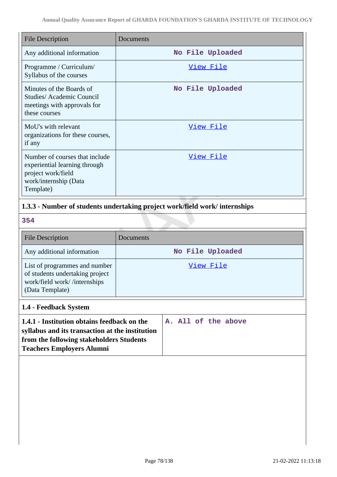| <b>File Description</b>                                                                                                     | Documents        |
|-----------------------------------------------------------------------------------------------------------------------------|------------------|
| Any additional information                                                                                                  | No File Uploaded |
| Programme / Curriculum/<br>Syllabus of the courses                                                                          | View File        |
| Minutes of the Boards of<br>Studies/Academic Council<br>meetings with approvals for<br>these courses                        | No File Uploaded |
| MoU's with relevant<br>organizations for these courses,<br>if any                                                           | View File        |
| Number of courses that include<br>experiential learning through<br>project work/field<br>work/internship (Data<br>Template) | <u>View File</u> |

# **1.3.3 - Number of students undertaking project work/field work/ internships**

**354**

| <b>File Description</b>                                                                                             | Documents        |
|---------------------------------------------------------------------------------------------------------------------|------------------|
| Any additional information                                                                                          | No File Uploaded |
| List of programmes and number<br>of students undertaking project<br>work/field work//internships<br>(Data Template) | View File        |
| 1.4 - Feedback System                                                                                               |                  |

| 1.4.1 - Institution obtains feedback on the     | A. All of the above |
|-------------------------------------------------|---------------------|
| syllabus and its transaction at the institution |                     |
| from the following stakeholders Students        |                     |
| <b>Teachers Employers Alumni</b>                |                     |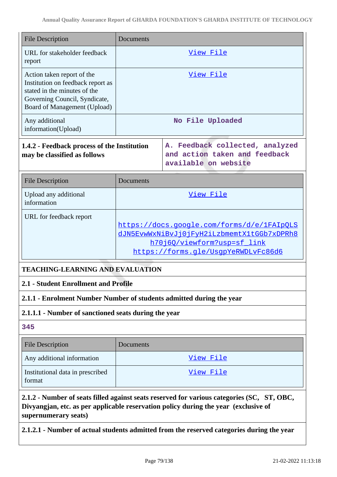| <b>File Description</b>                                                                                                                                          | Documents                                                                                |                                                                                                                                                                                   |
|------------------------------------------------------------------------------------------------------------------------------------------------------------------|------------------------------------------------------------------------------------------|-----------------------------------------------------------------------------------------------------------------------------------------------------------------------------------|
| URL for stakeholder feedback<br>report                                                                                                                           | <u>View File</u>                                                                         |                                                                                                                                                                                   |
| Action taken report of the<br>Institution on feedback report as<br>stated in the minutes of the<br>Governing Council, Syndicate,<br>Board of Management (Upload) |                                                                                          | View File                                                                                                                                                                         |
| Any additional<br>information(Upload)                                                                                                                            |                                                                                          | No File Uploaded                                                                                                                                                                  |
| 1.4.2 - Feedback process of the Institution<br>may be classified as follows                                                                                      | A. Feedback collected, analyzed<br>and action taken and feedback<br>available on website |                                                                                                                                                                                   |
| <b>File Description</b>                                                                                                                                          | Documents                                                                                |                                                                                                                                                                                   |
| Upload any additional<br>information                                                                                                                             | View File                                                                                |                                                                                                                                                                                   |
| URL for feedback report                                                                                                                                          |                                                                                          | https://docs.google.com/forms/d/e/1FAIpOLS<br>dJN5EvwWxNiBvJj0jFyH2iLzbmemtX1tGGb7xDPRh8<br>h70j60/viewform?usp=sf link<br>https://forms.gle/UsgpYeRWDLvFc86d6                    |
| <b>TEACHING-LEARNING AND EVALUATION</b>                                                                                                                          |                                                                                          |                                                                                                                                                                                   |
| 2.1 - Student Enrollment and Profile                                                                                                                             |                                                                                          |                                                                                                                                                                                   |
| 2.1.1 - Enrolment Number Number of students admitted during the year                                                                                             |                                                                                          |                                                                                                                                                                                   |
| 2.1.1.1 - Number of sanctioned seats during the year                                                                                                             |                                                                                          |                                                                                                                                                                                   |
| 345                                                                                                                                                              |                                                                                          |                                                                                                                                                                                   |
| <b>File Description</b>                                                                                                                                          | Documents                                                                                |                                                                                                                                                                                   |
| Any additional information                                                                                                                                       |                                                                                          | <u>View File</u>                                                                                                                                                                  |
| Institutional data in prescribed<br>format                                                                                                                       |                                                                                          | View File                                                                                                                                                                         |
| supernumerary seats)                                                                                                                                             |                                                                                          | 2.1.2 - Number of seats filled against seats reserved for various categories (SC, ST, OBC,<br>Divyangjan, etc. as per applicable reservation policy during the year (exclusive of |

**2.1.2.1 - Number of actual students admitted from the reserved categories during the year**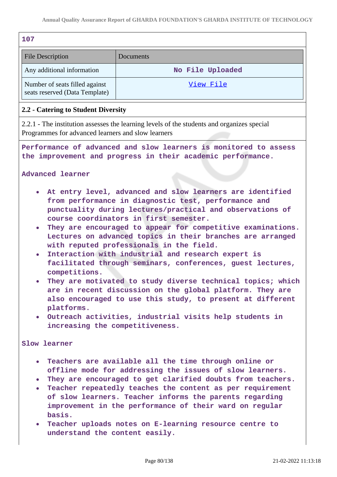| 107                                                                           |                                                                                                                                                                                                                                                                                                                                                                                                                                                                                                                                                                                                                                                                                                                                                                              |  |  |  |
|-------------------------------------------------------------------------------|------------------------------------------------------------------------------------------------------------------------------------------------------------------------------------------------------------------------------------------------------------------------------------------------------------------------------------------------------------------------------------------------------------------------------------------------------------------------------------------------------------------------------------------------------------------------------------------------------------------------------------------------------------------------------------------------------------------------------------------------------------------------------|--|--|--|
| <b>File Description</b><br>Documents                                          |                                                                                                                                                                                                                                                                                                                                                                                                                                                                                                                                                                                                                                                                                                                                                                              |  |  |  |
| Any additional information<br>No File Uploaded                                |                                                                                                                                                                                                                                                                                                                                                                                                                                                                                                                                                                                                                                                                                                                                                                              |  |  |  |
| Number of seats filled against<br>View File<br>seats reserved (Data Template) |                                                                                                                                                                                                                                                                                                                                                                                                                                                                                                                                                                                                                                                                                                                                                                              |  |  |  |
| 2.2 - Catering to Student Diversity                                           |                                                                                                                                                                                                                                                                                                                                                                                                                                                                                                                                                                                                                                                                                                                                                                              |  |  |  |
| Programmes for advanced learners and slow learners                            | 2.2.1 - The institution assesses the learning levels of the students and organizes special                                                                                                                                                                                                                                                                                                                                                                                                                                                                                                                                                                                                                                                                                   |  |  |  |
| Advanced learner                                                              | Performance of advanced and slow learners is monitored to assess<br>the improvement and progress in their academic performance.                                                                                                                                                                                                                                                                                                                                                                                                                                                                                                                                                                                                                                              |  |  |  |
| $\bullet$<br>competitions.<br>platforms.<br>increasing the competitiveness.   | At entry level, advanced and slow learners are identified<br>from performance in diagnostic test, performance and<br>punctuality during lectures/practical and observations of<br>course coordinators in first semester.<br>They are encouraged to appear for competitive examinations.<br>Lectures on advanced topics in their branches are arranged<br>with reputed professionals in the field.<br>Interaction with industrial and research expert is<br>facilitated through seminars, conferences, guest lectures,<br>They are motivated to study diverse technical topics; which<br>are in recent discussion on the global platform. They are<br>also encouraged to use this study, to present at different<br>. Outreach activities, industrial visits help students in |  |  |  |
| <b>Slow learner</b>                                                           |                                                                                                                                                                                                                                                                                                                                                                                                                                                                                                                                                                                                                                                                                                                                                                              |  |  |  |
| $\bullet$<br>basis.<br>$\bullet$ .<br>understand the content easily.          | . Teachers are available all the time through online or<br>offline mode for addressing the issues of slow learners.<br>They are encouraged to get clarified doubts from teachers.<br>Teacher repeatedly teaches the content as per requirement<br>of slow learners. Teacher informs the parents regarding<br>improvement in the performance of their ward on regular<br>Teacher uploads notes on E-learning resource centre to                                                                                                                                                                                                                                                                                                                                               |  |  |  |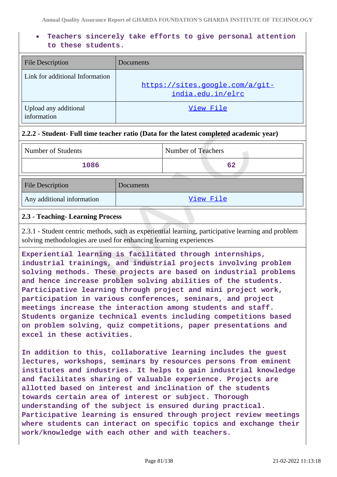# **Teachers sincerely take efforts to give personal attention to these students.**

| <b>File Description</b>              | Documents                                            |
|--------------------------------------|------------------------------------------------------|
| Link for additional Information      | https://sites.google.com/a/git-<br>india.edu.in/elrc |
| Upload any additional<br>information | View File                                            |

## **2.2.2 - Student- Full time teacher ratio (Data for the latest completed academic year)**

| Number of Students         |           | Number of Teachers |
|----------------------------|-----------|--------------------|
| 1086                       |           | 62                 |
| <b>File Description</b>    | Documents |                    |
| Any additional information |           | View File          |

#### **2.3 - Teaching- Learning Process**

2.3.1 - Student centric methods, such as experiential learning, participative learning and problem solving methodologies are used for enhancing learning experiences

**Experiential learning is facilitated through internships, industrial trainings, and industrial projects involving problem solving methods. These projects are based on industrial problems and hence increase problem solving abilities of the students. Participative learning through project and mini project work, participation in various conferences, seminars, and project meetings increase the interaction among students and staff. Students organize technical events including competitions based on problem solving, quiz competitions, paper presentations and excel in these activities.**

**In addition to this, collaborative learning includes the guest lectures, workshops, seminars by resources persons from eminent institutes and industries. It helps to gain industrial knowledge and facilitates sharing of valuable experience. Projects are allotted based on interest and inclination of the students towards certain area of interest or subject. Thorough understanding of the subject is ensured during practical. Participative learning is ensured through project review meetings where students can interact on specific topics and exchange their work/knowledge with each other and with teachers.**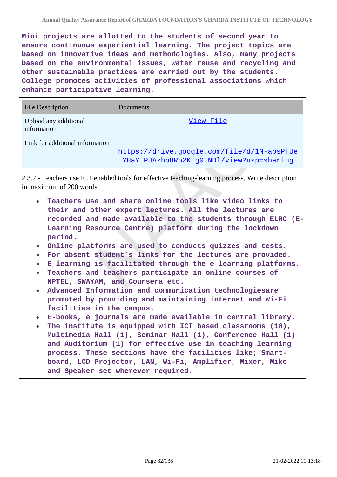**Mini projects are allotted to the students of second year to ensure continuous experiential learning. The project topics are based on innovative ideas and methodologies. Also, many projects based on the environmental issues, water reuse and recycling and other sustainable practices are carried out by the students. College promotes activities of professional associations which enhance participative learning.**

| <b>File Description</b>              | Documents                                                                              |
|--------------------------------------|----------------------------------------------------------------------------------------|
| Upload any additional<br>information | View File                                                                              |
| Link for additional information      | https://drive.google.com/file/d/1N-apsPTUe<br>YHaY PJAzhb8Rb2KLq0TNDl/view?usp=sharinq |

2.3.2 - Teachers use ICT enabled tools for effective teaching-learning process. Write description in maximum of 200 words

- **Teachers use and share online tools like video links to their and other expert lectures. All the lectures are recorded and made available to the students through ELRC (E-Learning Resource Centre) platform during the lockdown period.**
- **Online platforms are used to conducts quizzes and tests.**
- **For absent student's links for the lectures are provided.**
- **E learning is facilitated through the e learning platforms.**
- **Teachers and teachers participate in online courses of NPTEL, SWAYAM, and Coursera etc.**
- **Advanced Information and communication technologiesare promoted by providing and maintaining internet and Wi-Fi facilities in the campus.**
- **E-books, e journals are made available in central library.**
- **The institute is equipped with ICT based classrooms (18), Multimedia Hall (1), Seminar Hall (1), Conference Hall (1) and Auditorium (1) for effective use in teaching learning process. These sections have the facilities like; Smartboard, LCD Projector, LAN, Wi-Fi, Amplifier, Mixer, Mike and Speaker set wherever required.**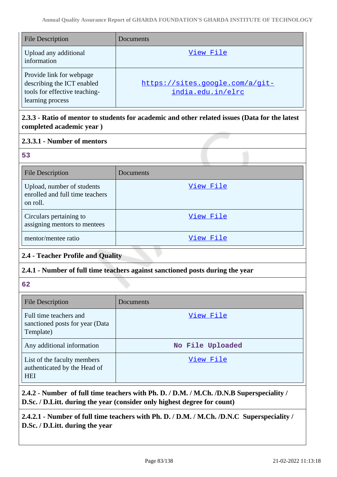| <b>File Description</b>                                                                                     | Documents                                            |
|-------------------------------------------------------------------------------------------------------------|------------------------------------------------------|
| Upload any additional<br>information                                                                        | View File                                            |
| Provide link for webpage<br>describing the ICT enabled<br>tools for effective teaching-<br>learning process | https://sites.google.com/a/git-<br>india.edu.in/elrc |

# **2.3.3 - Ratio of mentor to students for academic and other related issues (Data for the latest completed academic year )**

# **2.3.3.1 - Number of mentors**

## **53**

| <b>File Description</b>                                                   | Documents |
|---------------------------------------------------------------------------|-----------|
| Upload, number of students<br>enrolled and full time teachers<br>on roll. | View File |
| Circulars pertaining to<br>assigning mentors to mentees                   | View File |
| mentor/mentee ratio                                                       | View File |

# **2.4 - Teacher Profile and Quality**

# **2.4.1 - Number of full time teachers against sanctioned posts during the year**

**62**

| <b>File Description</b>                                                   | Documents        |
|---------------------------------------------------------------------------|------------------|
| Full time teachers and<br>sanctioned posts for year (Data<br>Template)    | View File        |
| Any additional information                                                | No File Uploaded |
| List of the faculty members<br>authenticated by the Head of<br><b>HEI</b> | View File        |

**2.4.2 - Number of full time teachers with Ph. D. / D.M. / M.Ch. /D.N.B Superspeciality / D.Sc. / D.Litt. during the year (consider only highest degree for count)**

**2.4.2.1 - Number of full time teachers with Ph. D. / D.M. / M.Ch. /D.N.C Superspeciality / D.Sc. / D.Litt. during the year**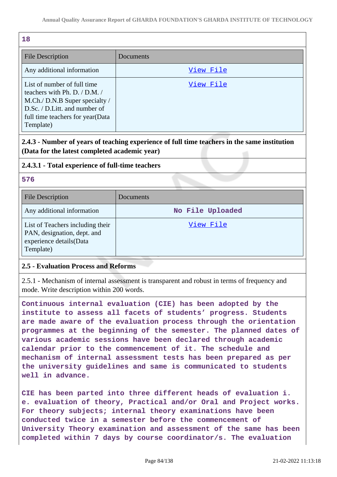| 18                                                                                                                                                                                |           |
|-----------------------------------------------------------------------------------------------------------------------------------------------------------------------------------|-----------|
| <b>File Description</b>                                                                                                                                                           | Documents |
| Any additional information                                                                                                                                                        | View File |
| List of number of full time<br>teachers with Ph. D. / D.M. /<br>M.Ch./ D.N.B Super specialty /<br>D.Sc. / D.Litt. and number of<br>full time teachers for year (Data<br>Template) | View File |

# **2.4.3 - Number of years of teaching experience of full time teachers in the same institution (Data for the latest completed academic year)**

#### **2.4.3.1 - Total experience of full-time teachers**

#### **576**

| <b>File Description</b>                                                                                 | Documents        |
|---------------------------------------------------------------------------------------------------------|------------------|
| Any additional information                                                                              | No File Uploaded |
| List of Teachers including their<br>PAN, designation, dept. and<br>experience details(Data<br>Template) | View File        |

## **2.5 - Evaluation Process and Reforms**

2.5.1 - Mechanism of internal assessment is transparent and robust in terms of frequency and mode. Write description within 200 words.

**Continuous internal evaluation (CIE) has been adopted by the institute to assess all facets of students' progress. Students are made aware of the evaluation process through the orientation programmes at the beginning of the semester. The planned dates of various academic sessions have been declared through academic calendar prior to the commencement of it. The schedule and mechanism of internal assessment tests has been prepared as per the university guidelines and same is communicated to students well in advance.**

**CIE has been parted into three different heads of evaluation i. e. evaluation of theory, Practical and/or Oral and Project works. For theory subjects; internal theory examinations have been conducted twice in a semester before the commencement of University Theory examination and assessment of the same has been completed within 7 days by course coordinator/s. The evaluation**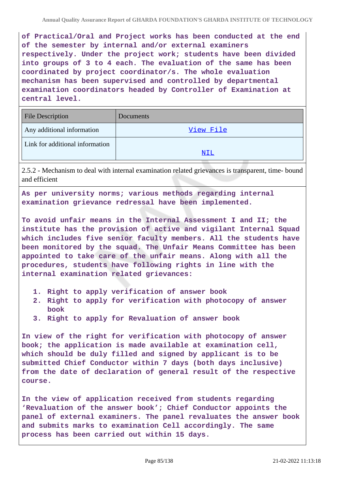**of Practical/Oral and Project works has been conducted at the end of the semester by internal and/or external examiners respectively. Under the project work; students have been divided into groups of 3 to 4 each. The evaluation of the same has been coordinated by project coordinator/s. The whole evaluation mechanism has been supervised and controlled by departmental examination coordinators headed by Controller of Examination at central level.**

| <b>File Description</b>         | Documents |
|---------------------------------|-----------|
| Any additional information      | View File |
| Link for additional information |           |
|                                 | NIL       |

2.5.2 - Mechanism to deal with internal examination related grievances is transparent, time- bound and efficient

**As per university norms; various methods regarding internal examination grievance redressal have been implemented.**

**To avoid unfair means in the Internal Assessment I and II; the institute has the provision of active and vigilant Internal Squad which includes five senior faculty members. All the students have been monitored by the squad. The Unfair Means Committee has been appointed to take care of the unfair means. Along with all the procedures, students have following rights in line with the internal examination related grievances:**

- **1. Right to apply verification of answer book**
- **2. Right to apply for verification with photocopy of answer book**
- **3. Right to apply for Revaluation of answer book**

**In view of the right for verification with photocopy of answer book; the application is made available at examination cell, which should be duly filled and signed by applicant is to be submitted Chief Conductor within 7 days (both days inclusive) from the date of declaration of general result of the respective course.**

**In the view of application received from students regarding 'Revaluation of the answer book'; Chief Conductor appoints the panel of external examiners. The panel revaluates the answer book and submits marks to examination Cell accordingly. The same process has been carried out within 15 days.**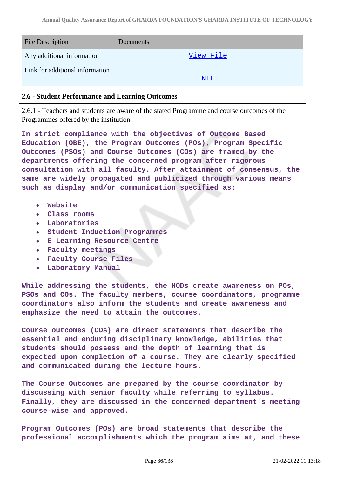| <b>File Description</b>         | Documents |
|---------------------------------|-----------|
| Any additional information      | View File |
| Link for additional information | NIL       |

#### **2.6 - Student Performance and Learning Outcomes**

2.6.1 - Teachers and students are aware of the stated Programme and course outcomes of the Programmes offered by the institution.

**In strict compliance with the objectives of Outcome Based Education (OBE), the Program Outcomes (POs), Program Specific Outcomes (PSOs) and Course Outcomes (COs) are framed by the departments offering the concerned program after rigorous consultation with all faculty. After attainment of consensus, the same are widely propagated and publicized through various means such as display and/or communication specified as:**

- **Website**
- **Class rooms**
- **Laboratories**
- **Student Induction Programmes**
- **E Learning Resource Centre**
- **Faculty meetings**
- **Faculty Course Files**
- **Laboratory Manual**

**While addressing the students, the HODs create awareness on POs, PSOs and COs. The faculty members, course coordinators, programme coordinators also inform the students and create awareness and emphasize the need to attain the outcomes.**

**Course outcomes (COs) are direct statements that describe the essential and enduring disciplinary knowledge, abilities that students should possess and the depth of learning that is expected upon completion of a course. They are clearly specified and communicated during the lecture hours.**

**The Course Outcomes are prepared by the course coordinator by discussing with senior faculty while referring to syllabus. Finally, they are discussed in the concerned department's meeting course-wise and approved.**

**Program Outcomes (POs) are broad statements that describe the professional accomplishments which the program aims at, and these**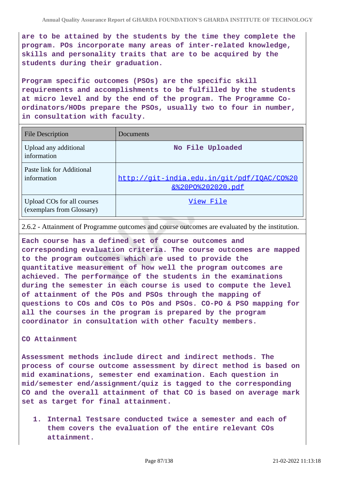**are to be attained by the students by the time they complete the program. POs incorporate many areas of inter-related knowledge, skills and personality traits that are to be acquired by the students during their graduation.**

**Program specific outcomes (PSOs) are the specific skill requirements and accomplishments to be fulfilled by the students at micro level and by the end of the program. The Programme Coordinators/HODs prepare the PSOs, usually two to four in number, in consultation with faculty.**

| <b>File Description</b>                                 | Documents                                                       |
|---------------------------------------------------------|-----------------------------------------------------------------|
| Upload any additional<br>information                    | No File Uploaded                                                |
| Paste link for Additional<br>information                | http://qit-india.edu.in/qit/pdf/IQAC/CO%20<br>&%20P0%202020.pdf |
| Upload COs for all courses<br>(exemplars from Glossary) | View File                                                       |

2.6.2 - Attainment of Programme outcomes and course outcomes are evaluated by the institution.

**Each course has a defined set of course outcomes and corresponding evaluation criteria. The course outcomes are mapped to the program outcomes which are used to provide the quantitative measurement of how well the program outcomes are achieved. The performance of the students in the examinations during the semester in each course is used to compute the level of attainment of the POs and PSOs through the mapping of questions to COs and COs to POs and PSOs. CO-PO & PSO mapping for all the courses in the program is prepared by the program coordinator in consultation with other faculty members.**

#### **CO Attainment**

**Assessment methods include direct and indirect methods. The process of course outcome assessment by direct method is based on mid examinations, semester end examination. Each question in mid/semester end/assignment/quiz is tagged to the corresponding CO and the overall attainment of that CO is based on average mark set as target for final attainment.**

**1. Internal Testsare conducted twice a semester and each of them covers the evaluation of the entire relevant COs attainment.**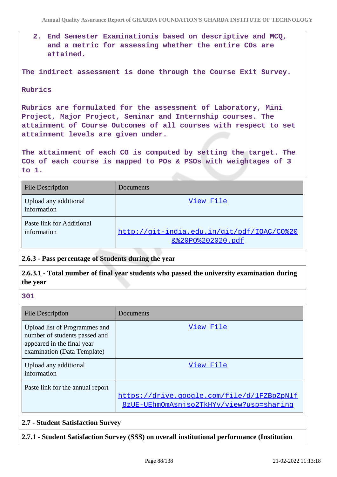**2. End Semester Examinationis based on descriptive and MCQ, and a metric for assessing whether the entire COs are attained.**

**The indirect assessment is done through the Course Exit Survey.**

#### **Rubrics**

**Rubrics are formulated for the assessment of Laboratory, Mini Project, Major Project, Seminar and Internship courses. The attainment of Course Outcomes of all courses with respect to set attainment levels are given under.**

**The attainment of each CO is computed by setting the target. The COs of each course is mapped to POs & PSOs with weightages of 3 to 1.**

| <b>File Description</b>                  | Documents                                                                  |
|------------------------------------------|----------------------------------------------------------------------------|
| Upload any additional<br>information     | View File                                                                  |
| Paste link for Additional<br>information | http://git-india.edu.in/git/pdf/IOAC/CO%20<br><u>&amp;%20P0%202020.pdf</u> |

## **2.6.3 - Pass percentage of Students during the year**

**2.6.3.1 - Total number of final year students who passed the university examination during the year**

#### **301**

| <b>File Description</b>                                                                                                     | Documents                                                                              |
|-----------------------------------------------------------------------------------------------------------------------------|----------------------------------------------------------------------------------------|
| Upload list of Programmes and<br>number of students passed and<br>appeared in the final year<br>examination (Data Template) | View File                                                                              |
| Upload any additional<br>information                                                                                        | View File                                                                              |
| Paste link for the annual report                                                                                            | https://drive.google.com/file/d/1FZBpZpN1f<br>8zUE-UEhmOmAsniso2TkHYy/view?usp=sharing |

#### **2.7 - Student Satisfaction Survey**

**2.7.1 - Student Satisfaction Survey (SSS) on overall institutional performance (Institution**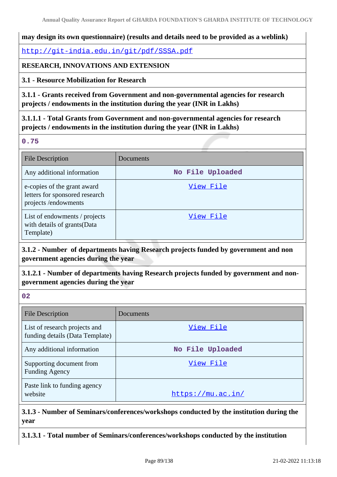## **may design its own questionnaire) (results and details need to be provided as a weblink)**

<http://git-india.edu.in/git/pdf/SSSA.pdf>

# **RESEARCH, INNOVATIONS AND EXTENSION**

**3.1 - Resource Mobilization for Research**

**3.1.1 - Grants received from Government and non-governmental agencies for research projects / endowments in the institution during the year (INR in Lakhs)**

**3.1.1.1 - Total Grants from Government and non-governmental agencies for research projects / endowments in the institution during the year (INR in Lakhs)**

**0.75**

| <b>File Description</b>                                                               | Documents        |
|---------------------------------------------------------------------------------------|------------------|
| Any additional information                                                            | No File Uploaded |
| e-copies of the grant award<br>letters for sponsored research<br>projects /endowments | View File        |
| List of endowments / projects<br>with details of grants(Data<br>Template)             | View File        |

**3.1.2 - Number of departments having Research projects funded by government and non government agencies during the year**

**3.1.2.1 - Number of departments having Research projects funded by government and nongovernment agencies during the year**

**02**

| <b>File Description</b>                                          | Documents         |
|------------------------------------------------------------------|-------------------|
| List of research projects and<br>funding details (Data Template) | View File         |
| Any additional information                                       | No File Uploaded  |
| Supporting document from<br><b>Funding Agency</b>                | View File         |
| Paste link to funding agency<br>website                          | https://mu.ac.in/ |

**3.1.3 - Number of Seminars/conferences/workshops conducted by the institution during the year**

**3.1.3.1 - Total number of Seminars/conferences/workshops conducted by the institution**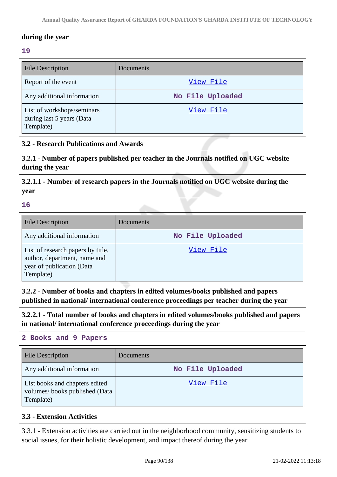# **during the year 19** File Description Documents Report of the event  $\frac{View \text{ File}}{V1}$ Any additional information **No File Uploaded** List of workshops/seminars during last 5 years (Data Template) [View File](https://assessmentonline.naac.gov.in/storage/app/public/aqar/15201/15201_31_69.xlsx?1645422186)

# **3.2 - Research Publications and Awards**

**3.2.1 - Number of papers published per teacher in the Journals notified on UGC website during the year**

**3.2.1.1 - Number of research papers in the Journals notified on UGC website during the year**

#### **16**

| <b>File Description</b>                                                                                     | Documents        |
|-------------------------------------------------------------------------------------------------------------|------------------|
| Any additional information                                                                                  | No File Uploaded |
| List of research papers by title,<br>author, department, name and<br>year of publication (Data<br>Template) | View File        |

**3.2.2 - Number of books and chapters in edited volumes/books published and papers published in national/ international conference proceedings per teacher during the year**

**3.2.2.1 - Total number of books and chapters in edited volumes/books published and papers in national/ international conference proceedings during the year**

## **2 Books and 9 Papers**

| File Description                                                             | Documents        |
|------------------------------------------------------------------------------|------------------|
| Any additional information                                                   | No File Uploaded |
| List books and chapters edited<br>volumes/books published (Data<br>Template) | View File        |

# **3.3 - Extension Activities**

3.3.1 - Extension activities are carried out in the neighborhood community, sensitizing students to social issues, for their holistic development, and impact thereof during the year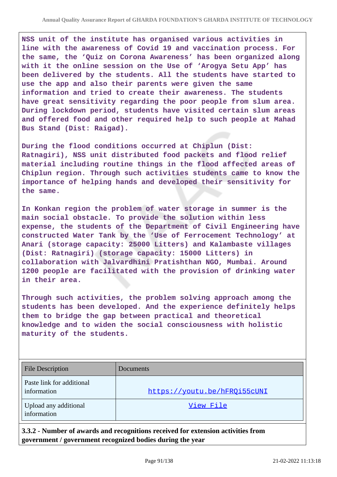**NSS unit of the institute has organised various activities in line with the awareness of Covid 19 and vaccination process. For the same, the 'Quiz on Corona Awareness' has been organized along with it the online session on the Use of 'Arogya Setu App' has been delivered by the students. All the students have started to use the app and also their parents were given the same information and tried to create their awareness. The students have great sensitivity regarding the poor people from slum area. During lockdown period, students have visited certain slum areas and offered food and other required help to such people at Mahad Bus Stand (Dist: Raigad).**

**During the flood conditions occurred at Chiplun (Dist: Ratnagiri), NSS unit distributed food packets and flood relief material including routine things in the flood affected areas of Chiplun region. Through such activities students came to know the importance of helping hands and developed their sensitivity for the same.**

**In Konkan region the problem of water storage in summer is the main social obstacle. To provide the solution within less expense, the students of the Department of Civil Engineering have constructed Water Tank by the 'Use of Ferrocement Technology' at Anari (storage capacity: 25000 Litters) and Kalambaste villages (Dist: Ratnagiri) (storage capacity: 15000 Litters) in collaboration with Jalvardhini Pratishthan NGO, Mumbai. Around 1200 people are facilitated with the provision of drinking water in their area.**

**Through such activities, the problem solving approach among the students has been developed. And the experience definitely helps them to bridge the gap between practical and theoretical knowledge and to widen the social consciousness with holistic maturity of the students.**

| <b>File Description</b>                  | Documents                    |
|------------------------------------------|------------------------------|
| Paste link for additional<br>information | https://youtu.be/hFRQi55cUNI |
| Upload any additional<br>information     | View File                    |

**3.3.2 - Number of awards and recognitions received for extension activities from government / government recognized bodies during the year**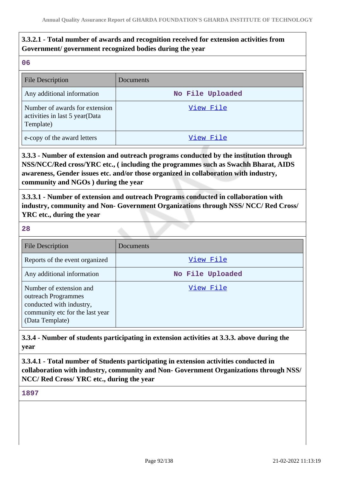# **3.3.2.1 - Total number of awards and recognition received for extension activities from Government/ government recognized bodies during the year**

**06**

| <b>File Description</b>                                                       | Documents        |
|-------------------------------------------------------------------------------|------------------|
| Any additional information                                                    | No File Uploaded |
| Number of awards for extension<br>activities in last 5 year(Data<br>Template) | View File        |
| e-copy of the award letters                                                   | View File        |

**3.3.3 - Number of extension and outreach programs conducted by the institution through NSS/NCC/Red cross/YRC etc., ( including the programmes such as Swachh Bharat, AIDS awareness, Gender issues etc. and/or those organized in collaboration with industry, community and NGOs ) during the year**

**3.3.3.1 - Number of extension and outreach Programs conducted in collaboration with industry, community and Non- Government Organizations through NSS/ NCC/ Red Cross/ YRC etc., during the year**

**28**

| <b>File Description</b>                                                                                                          | Documents        |
|----------------------------------------------------------------------------------------------------------------------------------|------------------|
| Reports of the event organized                                                                                                   | View File        |
| Any additional information                                                                                                       | No File Uploaded |
| Number of extension and<br>outreach Programmes<br>conducted with industry,<br>community etc for the last year<br>(Data Template) | View File        |

**3.3.4 - Number of students participating in extension activities at 3.3.3. above during the year**

**3.3.4.1 - Total number of Students participating in extension activities conducted in collaboration with industry, community and Non- Government Organizations through NSS/ NCC/ Red Cross/ YRC etc., during the year**

**1897**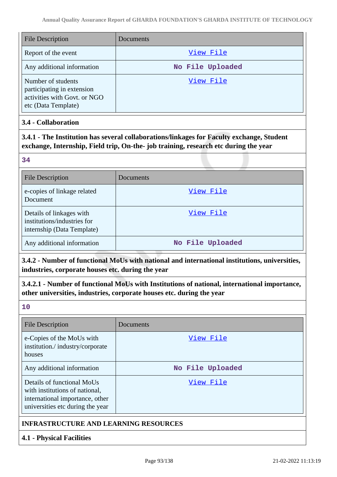| <b>File Description</b>                                                                                 | Documents        |
|---------------------------------------------------------------------------------------------------------|------------------|
| Report of the event                                                                                     | View File        |
| Any additional information                                                                              | No File Uploaded |
| Number of students<br>participating in extension<br>activities with Govt. or NGO<br>etc (Data Template) | View File        |

# **3.4 - Collaboration**

**3.4.1 - The Institution has several collaborations/linkages for Faculty exchange, Student exchange, Internship, Field trip, On-the- job training, research etc during the year**

#### **34**

| <b>File Description</b>                                                               | Documents        |
|---------------------------------------------------------------------------------------|------------------|
| e-copies of linkage related<br>Document                                               | View File        |
| Details of linkages with<br>institutions/industries for<br>internship (Data Template) | View File        |
| Any additional information                                                            | No File Uploaded |

**3.4.2 - Number of functional MoUs with national and international institutions, universities, industries, corporate houses etc. during the year**

**3.4.2.1 - Number of functional MoUs with Institutions of national, international importance, other universities, industries, corporate houses etc. during the year**

**10**

| <b>File Description</b>                                                                                                             | Documents        |
|-------------------------------------------------------------------------------------------------------------------------------------|------------------|
| e-Copies of the MoUs with<br>institution./industry/corporate<br>houses                                                              | View File        |
| Any additional information                                                                                                          | No File Uploaded |
| Details of functional MoUs<br>with institutions of national,<br>international importance, other<br>universities etc during the year | View File        |
| <b>INFRASTRUCTURE AND LEARNING RESOURCES</b>                                                                                        |                  |

# **4.1 - Physical Facilities**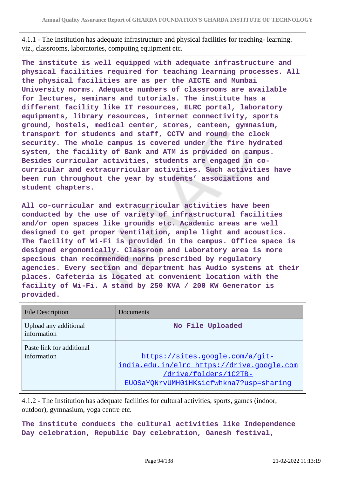4.1.1 - The Institution has adequate infrastructure and physical facilities for teaching- learning. viz., classrooms, laboratories, computing equipment etc.

**The institute is well equipped with adequate infrastructure and physical facilities required for teaching learning processes. All the physical facilities are as per the AICTE and Mumbai University norms. Adequate numbers of classrooms are available for lectures, seminars and tutorials. The institute has a different facility like IT resources, ELRC portal, laboratory equipments, library resources, internet connectivity, sports ground, hostels, medical center, stores, canteen, gymnasium, transport for students and staff, CCTV and round the clock security. The whole campus is covered under the fire hydrated system, the facility of Bank and ATM is provided on campus. Besides curricular activities, students are engaged in cocurricular and extracurricular activities. Such activities have been run throughout the year by students' associations and student chapters.**

**All co-curricular and extracurricular activities have been conducted by the use of variety of infrastructural facilities and/or open spaces like grounds etc. Academic areas are well designed to get proper ventilation, ample light and acoustics. The facility of Wi-Fi is provided in the campus. Office space is designed ergonomically. Classroom and Laboratory area is more specious than recommended norms prescribed by regulatory agencies. Every section and department has Audio systems at their places. Cafeteria is located at convenient location with the facility of Wi-Fi. A stand by 250 KVA / 200 KW Generator is provided.**

| <b>File Description</b>                  | Documents                                                                                                                                         |
|------------------------------------------|---------------------------------------------------------------------------------------------------------------------------------------------------|
| Upload any additional<br>information     | No File Uploaded                                                                                                                                  |
| Paste link for additional<br>information | https://sites.google.com/a/git-<br>india.edu.in/elrc https://drive.google.com<br>/drive/folders/1C2TB-<br>EUOSaYONrvUMH01HKs1cfwhkna7?usp=sharing |

4.1.2 - The Institution has adequate facilities for cultural activities, sports, games (indoor, outdoor), gymnasium, yoga centre etc.

**The institute conducts the cultural activities like Independence Day celebration, Republic Day celebration, Ganesh festival,**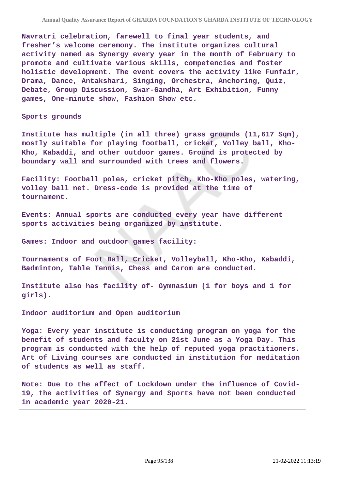**Navratri celebration, farewell to final year students, and fresher's welcome ceremony. The institute organizes cultural activity named as Synergy every year in the month of February to promote and cultivate various skills, competencies and foster holistic development. The event covers the activity like Funfair, Drama, Dance, Antakshari, Singing, Orchestra, Anchoring, Quiz, Debate, Group Discussion, Swar-Gandha, Art Exhibition, Funny games, One-minute show, Fashion Show etc.**

**Sports grounds**

**Institute has multiple (in all three) grass grounds (11,617 Sqm), mostly suitable for playing football, cricket, Volley ball, Kho-Kho, Kabaddi, and other outdoor games. Ground is protected by boundary wall and surrounded with trees and flowers.**

**Facility: Football poles, cricket pitch, Kho-Kho poles, watering, volley ball net. Dress-code is provided at the time of tournament.**

**Events: Annual sports are conducted every year have different sports activities being organized by institute.**

**Games: Indoor and outdoor games facility:**

**Tournaments of Foot Ball, Cricket, Volleyball, Kho-Kho, Kabaddi, Badminton, Table Tennis, Chess and Carom are conducted.**

**Institute also has facility of- Gymnasium (1 for boys and 1 for girls).**

**Indoor auditorium and Open auditorium**

**Yoga: Every year institute is conducting program on yoga for the benefit of students and faculty on 21st June as a Yoga Day. This program is conducted with the help of reputed yoga practitioners. Art of Living courses are conducted in institution for meditation of students as well as staff.**

**Note: Due to the affect of Lockdown under the influence of Covid-19, the activities of Synergy and Sports have not been conducted in academic year 2020-21.**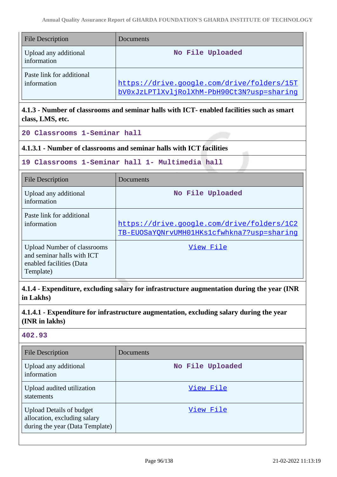| <b>File Description</b>                  | Documents                                                                                |
|------------------------------------------|------------------------------------------------------------------------------------------|
| Upload any additional<br>information     | No File Uploaded                                                                         |
| Paste link for additional<br>information | https://drive.google.com/drive/folders/15T<br>bV0xJzLPT1XvljRolXhM-PbH90Ct3N?usp=sharing |

# **4.1.3 - Number of classrooms and seminar halls with ICT- enabled facilities such as smart class, LMS, etc.**

**20 Classrooms 1-Seminar hall**

#### **4.1.3.1 - Number of classrooms and seminar halls with ICT facilities**

#### **19 Classrooms 1-Seminar hall 1- Multimedia hall**

| <b>File Description</b>                                                                                   | Documents                                                                                |
|-----------------------------------------------------------------------------------------------------------|------------------------------------------------------------------------------------------|
| Upload any additional<br>information                                                                      | No File Uploaded                                                                         |
| Paste link for additional<br>information                                                                  | https://drive.google.com/drive/folders/1C2<br>TB-EUOSaYONrvUMH01HKs1cfwhkna7?usp=sharinq |
| <b>Upload Number of classrooms</b><br>and seminar halls with ICT<br>enabled facilities (Data<br>Template) | View File                                                                                |

**4.1.4 - Expenditure, excluding salary for infrastructure augmentation during the year (INR in Lakhs)**

# **4.1.4.1 - Expenditure for infrastructure augmentation, excluding salary during the year (INR in lakhs)**

## **402.93**

| <b>File Description</b>                                                                            | Documents        |
|----------------------------------------------------------------------------------------------------|------------------|
| Upload any additional<br>information                                                               | No File Uploaded |
| Upload audited utilization<br>statements                                                           | View File        |
| <b>Upload Details of budget</b><br>allocation, excluding salary<br>during the year (Data Template) | View File        |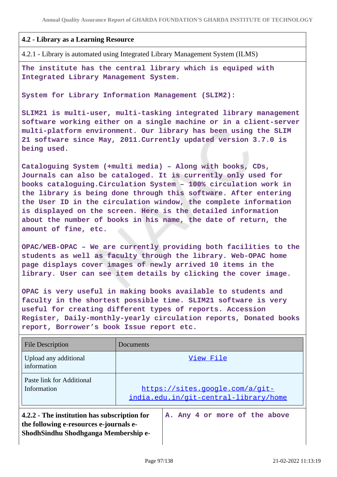#### **4.2 - Library as a Learning Resource**

4.2.1 - Library is automated using Integrated Library Management System (ILMS)

**The institute has the central library which is equiped with Integrated Library Management System.**

**System for Library Information Management (SLIM2):**

**SLIM21 is multi-user, multi-tasking integrated library management software working either on a single machine or in a client-server multi-platform environment. Our library has been using the SLIM 21 software since May, 2011.Currently updated version 3.7.0 is being used.**

**Cataloguing System (+multi media) – Along with books, CDs, Journals can also be cataloged. It is currently only used for books cataloguing.Circulation System – 100% circulation work in the library is being done through this software. After entering the User ID in the circulation window, the complete information is displayed on the screen. Here is the detailed information about the number of books in his name, the date of return, the amount of fine, etc.**

**OPAC/WEB-OPAC – We are currently providing both facilities to the students as well as faculty through the library. Web-OPAC home page displays cover images of newly arrived 10 items in the library. User can see item details by clicking the cover image.**

**OPAC is very useful in making books available to students and faculty in the shortest possible time. SLIM21 software is very useful for creating different types of reports. Accession Register, Daily-monthly-yearly circulation reports, Donated books report, Borrower's book Issue report etc.**

| <b>File Description</b>                                                                                                                                          | Documents                                                                |
|------------------------------------------------------------------------------------------------------------------------------------------------------------------|--------------------------------------------------------------------------|
| Upload any additional<br>information                                                                                                                             | View File                                                                |
| Paste link for Additional<br>Information                                                                                                                         | https://sites.google.com/a/git-<br>india.edu.in/git-central-library/home |
| A. Any 4 or more of the above<br>4.2.2 - The institution has subscription for<br>the following e-resources e-journals e-<br>ShodhSindhu Shodhganga Membership e- |                                                                          |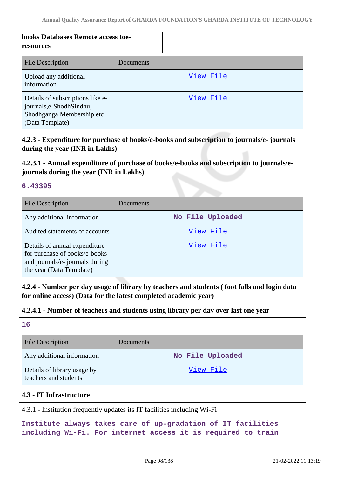| books Databases Remote access toe-<br>resources                                                             |           |
|-------------------------------------------------------------------------------------------------------------|-----------|
| <b>File Description</b>                                                                                     | Documents |
| Upload any additional<br>information                                                                        | View File |
| Details of subscriptions like e-<br>journals,e-ShodhSindhu,<br>Shodhganga Membership etc<br>(Data Template) | View File |

# **4.2.3 - Expenditure for purchase of books/e-books and subscription to journals/e- journals during the year (INR in Lakhs)**

# **4.2.3.1 - Annual expenditure of purchase of books/e-books and subscription to journals/ejournals during the year (INR in Lakhs)**

#### **6.43395**

| <b>File Description</b>                                                                                                       | <b>Documents</b> |
|-------------------------------------------------------------------------------------------------------------------------------|------------------|
| Any additional information                                                                                                    | No File Uploaded |
| Audited statements of accounts                                                                                                | View File        |
| Details of annual expenditure<br>for purchase of books/e-books<br>and journals/e- journals during<br>the year (Data Template) | View File        |

**4.2.4 - Number per day usage of library by teachers and students ( foot falls and login data for online access) (Data for the latest completed academic year)**

#### **4.2.4.1 - Number of teachers and students using library per day over last one year**

**16**

| <b>File Description</b>                              | <b>Documents</b> |
|------------------------------------------------------|------------------|
| Any additional information                           | No File Uploaded |
| Details of library usage by<br>teachers and students | <u>View File</u> |

## **4.3 - IT Infrastructure**

4.3.1 - Institution frequently updates its IT facilities including Wi-Fi

**Institute always takes care of up-gradation of IT facilities including Wi-Fi. For internet access it is required to train**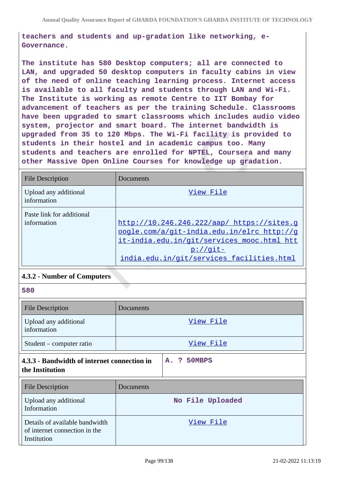**teachers and students and up-gradation like networking, e-Governance.**

**The institute has 580 Desktop computers; all are connected to LAN, and upgraded 50 desktop computers in faculty cabins in view of the need of online teaching learning process. Internet access is available to all faculty and students through LAN and Wi-Fi. The Institute is working as remote Centre to IIT Bombay for advancement of teachers as per the training Schedule. Classrooms have been upgraded to smart classrooms which includes audio video system, projector and smart board. The internet bandwidth is upgraded from 35 to 120 Mbps. The Wi-Fi facility is provided to students in their hostel and in academic campus too. Many students and teachers are enrolled for NPTEL, Coursera and many other Massive Open Online Courses for knowledge up gradation.**

| <b>File Description</b>                  | Documents                                                                                                                                                                                          |
|------------------------------------------|----------------------------------------------------------------------------------------------------------------------------------------------------------------------------------------------------|
| Upload any additional<br>information     | View File                                                                                                                                                                                          |
| Paste link for additional<br>information | http://10.246.246.222/aap/ https://sites.g<br>oogle.com/a/git-india.edu.in/elrc http://g<br>it-india.edu.in/git/services_mooc.html htt<br>$p$ ://qit-<br>india.edu.in/git/services facilities.html |

## **4.3.2 - Number of Computers**

| 580                                  |           |  |
|--------------------------------------|-----------|--|
| <b>File Description</b>              | Documents |  |
| Upload any additional<br>information | View File |  |
| Student – computer ratio             | View File |  |

**4.3.3 - Bandwidth of internet connection in the Institution**

| <b>File Description</b>                                                        | Documents        |
|--------------------------------------------------------------------------------|------------------|
| Upload any additional<br>Information                                           | No File Uploaded |
| Details of available bandwidth<br>of internet connection in the<br>Institution | View File        |

**A. ? 50MBPS**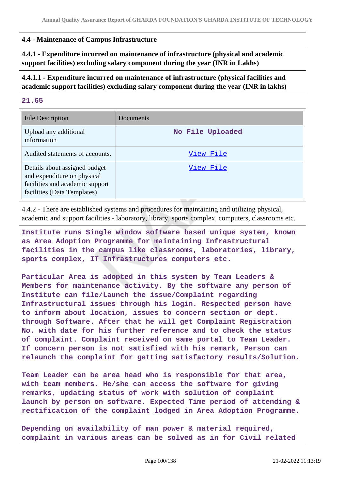# **4.4 - Maintenance of Campus Infrastructure**

**4.4.1 - Expenditure incurred on maintenance of infrastructure (physical and academic support facilities) excluding salary component during the year (INR in Lakhs)**

# **4.4.1.1 - Expenditure incurred on maintenance of infrastructure (physical facilities and academic support facilities) excluding salary component during the year (INR in lakhs)**

#### **21.65**

| <b>File Description</b>                                                                                                        | Documents        |
|--------------------------------------------------------------------------------------------------------------------------------|------------------|
| Upload any additional<br>information                                                                                           | No File Uploaded |
| Audited statements of accounts.                                                                                                | View File        |
| Details about assigned budget<br>and expenditure on physical<br>facilities and academic support<br>facilities (Data Templates) | View File        |

4.4.2 - There are established systems and procedures for maintaining and utilizing physical, academic and support facilities - laboratory, library, sports complex, computers, classrooms etc.

**Institute runs Single window software based unique system, known as Area Adoption Programme for maintaining Infrastructural facilities in the campus like classrooms, laboratories, library, sports complex, IT Infrastructures computers etc.**

**Particular Area is adopted in this system by Team Leaders & Members for maintenance activity. By the software any person of Institute can file/Launch the issue/Complaint regarding Infrastructural issues through his login. Respected person have to inform about location, issues to concern section or dept. through Software. After that he will get Complaint Registration No. with date for his further reference and to check the status of complaint. Complaint received on same portal to Team Leader. If concern person is not satisfied with his remark, Person can relaunch the complaint for getting satisfactory results/Solution.**

**Team Leader can be area head who is responsible for that area, with team members. He/she can access the software for giving remarks, updating status of work with solution of complaint launch by person on software. Expected Time period of attending & rectification of the complaint lodged in Area Adoption Programme.**

**Depending on availability of man power & material required, complaint in various areas can be solved as in for Civil related**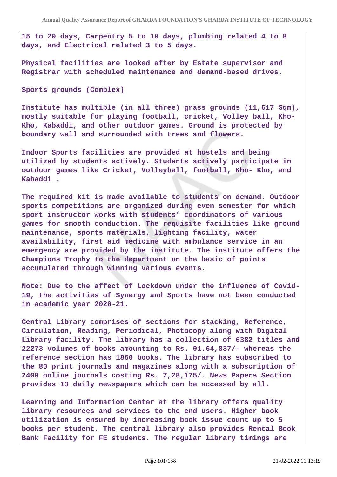**15 to 20 days, Carpentry 5 to 10 days, plumbing related 4 to 8 days, and Electrical related 3 to 5 days.**

**Physical facilities are looked after by Estate supervisor and Registrar with scheduled maintenance and demand-based drives.**

**Sports grounds (Complex)**

**Institute has multiple (in all three) grass grounds (11,617 Sqm), mostly suitable for playing football, cricket, Volley ball, Kho-Kho, Kabaddi, and other outdoor games. Ground is protected by boundary wall and surrounded with trees and flowers.**

**Indoor Sports facilities are provided at hostels and being utilized by students actively. Students actively participate in outdoor games like Cricket, Volleyball, football, Kho- Kho, and Kabaddi .**

**The required kit is made available to students on demand. Outdoor sports competitions are organized during even semester for which sport instructor works with students' coordinators of various games for smooth conduction. The requisite facilities like ground maintenance, sports materials, lighting facility, water availability, first aid medicine with ambulance service in an emergency are provided by the institute. The institute offers the Champions Trophy to the department on the basic of points accumulated through winning various events.**

**Note: Due to the affect of Lockdown under the influence of Covid-19, the activities of Synergy and Sports have not been conducted in academic year 2020-21.**

**Central Library comprises of sections for stacking, Reference, Circulation, Reading, Periodical, Photocopy along with Digital Library facility. The library has a collection of 6382 titles and 22273 volumes of books amounting to Rs. 91.64,837/- whereas the reference section has 1860 books. The library has subscribed to the 80 print journals and magazines along with a subscription of 2400 online journals costing Rs. 7,28,175/. News Papers Section provides 13 daily newspapers which can be accessed by all.**

**Learning and Information Center at the library offers quality library resources and services to the end users. Higher book utilization is ensured by increasing book issue count up to 5 books per student. The central library also provides Rental Book Bank Facility for FE students. The regular library timings are**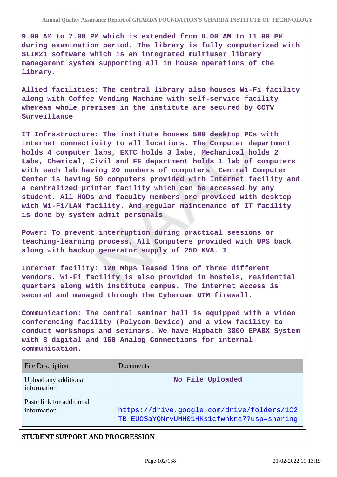**9.00 AM to 7.00 PM which is extended from 8.00 AM to 11.00 PM during examination period. The library is fully computerized with SLIM21 software which is an integrated multiuser library management system supporting all in house operations of the library.**

**Allied facilities: The central library also houses Wi-Fi facility along with Coffee Vending Machine with self-service facility whereas whole premises in the institute are secured by CCTV Surveillance**

**IT Infrastructure: The institute houses 580 desktop PCs with internet connectivity to all locations. The Computer department holds 4 computer labs, EXTC holds 3 labs, Mechanical holds 2 Labs, Chemical, Civil and FE department holds 1 lab of computers with each lab having 20 numbers of computers. Central Computer Center is having 50 computers provided with Internet facility and a centralized printer facility which can be accessed by any student. All HODs and faculty members are provided with desktop with Wi-Fi/LAN facility. And regular maintenance of IT facility is done by system admit personals.**

**Power: To prevent interruption during practical sessions or teaching-learning process, All Computers provided with UPS back along with backup generator supply of 250 KVA. I**

**Internet facility: 120 Mbps leased line of three different vendors. Wi-Fi facility is also provided in hostels, residential quarters along with institute campus. The internet access is secured and managed through the Cyberoam UTM firewall.**

**Communication: The central seminar hall is equipped with a video conferencing facility (Polycom Device) and a view facility to conduct workshops and seminars. We have Hipbath 3800 EPABX System with 8 digital and 160 Analog Connections for internal communication.**

| <b>File Description</b>                  | Documents                                                                                |
|------------------------------------------|------------------------------------------------------------------------------------------|
| Upload any additional<br>information     | No File Uploaded                                                                         |
| Paste link for additional<br>information | https://drive.google.com/drive/folders/1C2<br>TB-EUOSaYONrvUMH01HKs1cfwhkna7?usp=sharing |

## **STUDENT SUPPORT AND PROGRESSION**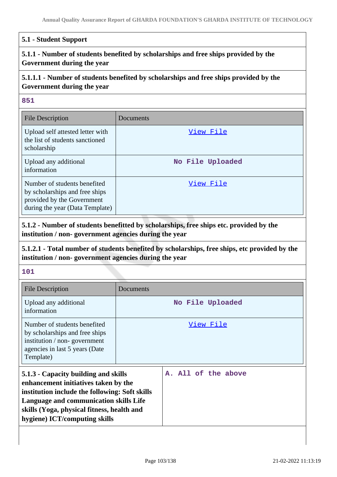#### **5.1 - Student Support**

# **5.1.1 - Number of students benefited by scholarships and free ships provided by the Government during the year**

# **5.1.1.1 - Number of students benefited by scholarships and free ships provided by the Government during the year**

#### **851**

| <b>File Description</b>                                                                                                         | Documents        |
|---------------------------------------------------------------------------------------------------------------------------------|------------------|
| Upload self attested letter with<br>the list of students sanctioned<br>scholarship                                              | View File        |
| Upload any additional<br>information                                                                                            | No File Uploaded |
| Number of students benefited<br>by scholarships and free ships<br>provided by the Government<br>during the year (Data Template) | View File        |

**5.1.2 - Number of students benefitted by scholarships, free ships etc. provided by the institution / non- government agencies during the year**

# **5.1.2.1 - Total number of students benefited by scholarships, free ships, etc provided by the institution / non- government agencies during the year**

#### **101**

| <b>File Description</b>                                                                                                                                                                                                                                 | Documents |                     |  |
|---------------------------------------------------------------------------------------------------------------------------------------------------------------------------------------------------------------------------------------------------------|-----------|---------------------|--|
| Upload any additional<br>information                                                                                                                                                                                                                    |           | No File Uploaded    |  |
| Number of students benefited<br>by scholarships and free ships<br>institution / non-government<br>agencies in last 5 years (Date<br>Template)                                                                                                           |           | View File           |  |
| 5.1.3 - Capacity building and skills<br>enhancement initiatives taken by the<br>institution include the following: Soft skills<br>Language and communication skills Life<br>skills (Yoga, physical fitness, health and<br>hygiene) ICT/computing skills |           | A. All of the above |  |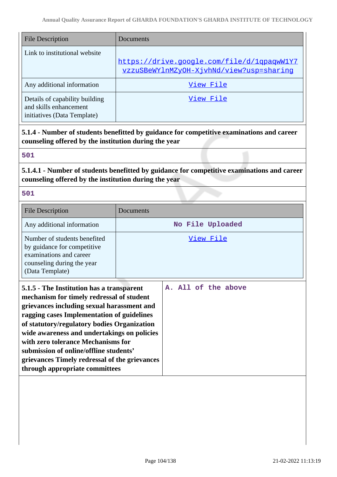| <b>File Description</b>                                                                 | Documents                                                                              |
|-----------------------------------------------------------------------------------------|----------------------------------------------------------------------------------------|
| Link to institutional website                                                           | https://drive.google.com/file/d/1qpaqwW1Y7<br>yzzuSBeWYlnMZyOH-XjvhNd/view?usp=sharing |
| Any additional information                                                              | View File                                                                              |
| Details of capability building<br>and skills enhancement<br>initiatives (Data Template) | View File                                                                              |

**5.1.4 - Number of students benefitted by guidance for competitive examinations and career counseling offered by the institution during the year**

## **501**

# **5.1.4.1 - Number of students benefitted by guidance for competitive examinations and career counseling offered by the institution during the year**

## **501**

| <b>File Description</b>                                                                                                                                                                                                                                                                                                                                                                                                                             | Documents           |
|-----------------------------------------------------------------------------------------------------------------------------------------------------------------------------------------------------------------------------------------------------------------------------------------------------------------------------------------------------------------------------------------------------------------------------------------------------|---------------------|
| Any additional information                                                                                                                                                                                                                                                                                                                                                                                                                          | No File Uploaded    |
| Number of students benefited<br>by guidance for competitive<br>examinations and career<br>counseling during the year<br>(Data Template)                                                                                                                                                                                                                                                                                                             | View File           |
| 5.1.5 - The Institution has a transparent<br>mechanism for timely redressal of student<br>grievances including sexual harassment and<br>ragging cases Implementation of guidelines<br>of statutory/regulatory bodies Organization<br>wide awareness and undertakings on policies<br>with zero tolerance Mechanisms for<br>submission of online/offline students'<br>grievances Timely redressal of the grievances<br>through appropriate committees | A. All of the above |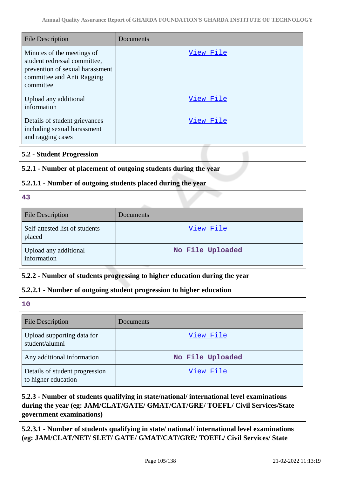| <b>File Description</b>                                                                                                                  | Documents                                                            |
|------------------------------------------------------------------------------------------------------------------------------------------|----------------------------------------------------------------------|
| Minutes of the meetings of<br>student redressal committee,<br>prevention of sexual harassment<br>committee and Anti Ragging<br>committee | <u>View File</u>                                                     |
| Upload any additional<br>information                                                                                                     | View File                                                            |
| Details of student grievances<br>including sexual harassment<br>and ragging cases                                                        | <u>View File</u>                                                     |
| <b>5.2 - Student Progression</b>                                                                                                         |                                                                      |
| 5.2.1 - Number of placement of outgoing students during the year                                                                         |                                                                      |
| 5.2.1.1 - Number of outgoing students placed during the year                                                                             |                                                                      |
| 43                                                                                                                                       |                                                                      |
| <b>File Description</b>                                                                                                                  | Documents                                                            |
| Self-attested list of students<br>placed                                                                                                 | View File                                                            |
| Upload any additional<br>information                                                                                                     | No File Uploaded                                                     |
| 5.2.2 - Number of students progressing to higher education during the year                                                               |                                                                      |
|                                                                                                                                          | 5.2.2.1 - Number of outgoing student progression to higher education |
| 10                                                                                                                                       |                                                                      |
| <b>File Description</b>                                                                                                                  | Documents                                                            |
| Upload supporting data for<br>student/alumni                                                                                             | View File                                                            |
| Any additional information                                                                                                               | No File Uploaded                                                     |
| Details of student progression<br>to higher education                                                                                    | <u>View File</u>                                                     |

# **5.2.3 - Number of students qualifying in state/national/ international level examinations during the year (eg: JAM/CLAT/GATE/ GMAT/CAT/GRE/ TOEFL/ Civil Services/State government examinations)**

**5.2.3.1 - Number of students qualifying in state/ national/ international level examinations (eg: JAM/CLAT/NET/ SLET/ GATE/ GMAT/CAT/GRE/ TOEFL/ Civil Services/ State**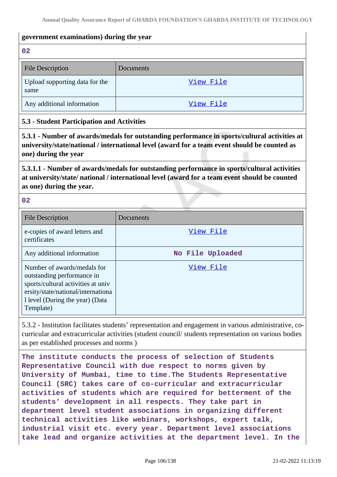## **government examinations) during the year**

**02**

| <b>File Description</b>                | Documents |
|----------------------------------------|-----------|
| Upload supporting data for the<br>same | View File |
| Any additional information             | View File |

## **5.3 - Student Participation and Activities**

**5.3.1 - Number of awards/medals for outstanding performance in sports/cultural activities at university/state/national / international level (award for a team event should be counted as one) during the year**

**5.3.1.1 - Number of awards/medals for outstanding performance in sports/cultural activities at university/state/ national / international level (award for a team event should be counted as one) during the year.**

**02**

| <b>File Description</b>                                                                                                                                                                | Documents        |
|----------------------------------------------------------------------------------------------------------------------------------------------------------------------------------------|------------------|
| e-copies of award letters and<br>certificates                                                                                                                                          | View File        |
| Any additional information                                                                                                                                                             | No File Uploaded |
| Number of awards/medals for<br>outstanding performance in<br>sports/cultural activities at univ<br>ersity/state/national/international<br>1 level (During the year) (Data<br>Template) | View File        |

5.3.2 - Institution facilitates students' representation and engagement in various administrative, cocurricular and extracurricular activities (student council/ students representation on various bodies as per established processes and norms )

**The institute conducts the process of selection of Students Representative Council with due respect to norms given by University of Mumbai, time to time.The Students Representative Council (SRC) takes care of co-curricular and extracurricular activities of students which are required for betterment of the students' development in all respects. They take part in department level student associations in organizing different technical activities like webinars, workshops, expert talk, industrial visit etc. every year. Department level associations take lead and organize activities at the department level. In the**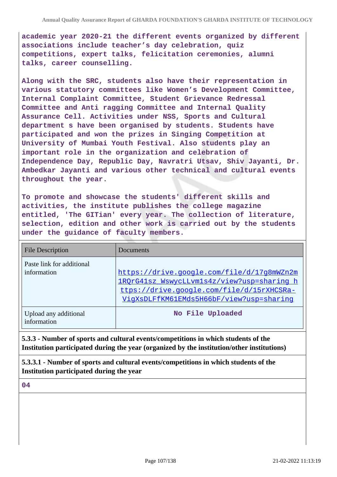**academic year 2020-21 the different events organized by different associations include teacher's day celebration, quiz competitions, expert talks, felicitation ceremonies, alumni talks, career counselling.**

**Along with the SRC, students also have their representation in various statutory committees like Women's Development Committee, Internal Complaint Committee, Student Grievance Redressal Committee and Anti ragging Committee and Internal Quality Assurance Cell. Activities under NSS, Sports and Cultural department s have been organised by students. Students have participated and won the prizes in Singing Competition at University of Mumbai Youth Festival. Also students play an important role in the organization and celebration of Independence Day, Republic Day, Navratri Utsav, Shiv Jayanti, Dr. Ambedkar Jayanti and various other technical and cultural events throughout the year.**

**To promote and showcase the students' different skills and activities, the institute publishes the college magazine entitled, 'The GITian' every year. The collection of literature, selection, edition and other work is carried out by the students under the guidance of faculty members.**

| <b>File Description</b>                  | Documents                                                                                                                                                                         |
|------------------------------------------|-----------------------------------------------------------------------------------------------------------------------------------------------------------------------------------|
| Paste link for additional<br>information | https://drive.google.com/file/d/17g8mWZn2m<br>1ROrG41sz WswycLLvm1s4z/view?usp=sharing h<br>ttps://drive.google.com/file/d/15rXHCSRa-<br>VigXsDLFfKM61EMds5H66bF/view?usp=sharing |
| Upload any additional<br>information     | No File Uploaded                                                                                                                                                                  |

**5.3.3 - Number of sports and cultural events/competitions in which students of the Institution participated during the year (organized by the institution/other institutions)**

**5.3.3.1 - Number of sports and cultural events/competitions in which students of the Institution participated during the year**

**04**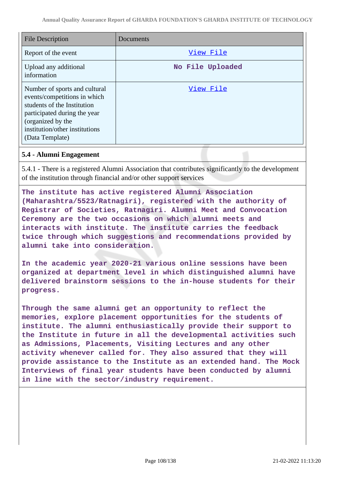| <b>File Description</b>                                                                                                                                                                                | Documents        |
|--------------------------------------------------------------------------------------------------------------------------------------------------------------------------------------------------------|------------------|
| Report of the event                                                                                                                                                                                    | View File        |
| Upload any additional<br>information                                                                                                                                                                   | No File Uploaded |
| Number of sports and cultural<br>events/competitions in which<br>students of the Institution<br>participated during the year<br>(organized by the<br>institution/other institutions<br>(Data Template) | View File        |

## **5.4 - Alumni Engagement**

5.4.1 - There is a registered Alumni Association that contributes significantly to the development of the institution through financial and/or other support services

**The institute has active registered Alumni Association (Maharashtra/5523/Ratnagiri), registered with the authority of Registrar of Societies, Ratnagiri. Alumni Meet and Convocation Ceremony are the two occasions on which alumni meets and interacts with institute. The institute carries the feedback twice through which suggestions and recommendations provided by alumni take into consideration.**

**In the academic year 2020-21 various online sessions have been organized at department level in which distinguished alumni have delivered brainstorm sessions to the in-house students for their progress.**

**Through the same alumni get an opportunity to reflect the memories, explore placement opportunities for the students of institute. The alumni enthusiastically provide their support to the Institute in future in all the developmental activities such as Admissions, Placements, Visiting Lectures and any other activity whenever called for. They also assured that they will provide assistance to the Institute as an extended hand. The Mock Interviews of final year students have been conducted by alumni in line with the sector/industry requirement.**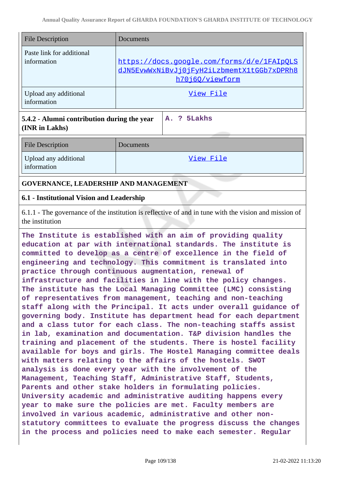**A. ? 5Lakhs**

| <b>File Description</b>                  | Documents                                                                                                   |
|------------------------------------------|-------------------------------------------------------------------------------------------------------------|
| Paste link for additional<br>information | https://docs.google.com/forms/d/e/1FAIpOLS<br>dJN5EvwWxNiBvJj0jFyH2iLzbmemtX1tGGb7xDPRh8<br>h70j6Q/viewform |
| Upload any additional<br>information     | View File                                                                                                   |

**5.4.2 - Alumni contribution during the year (INR in Lakhs)**

File Description Documents Upload any additional information [View File](https://assessmentonline.naac.gov.in/storage/app/public/aqar/15201/15201_65_150.pdf?1645422191)

**GOVERNANCE, LEADERSHIP AND MANAGEMENT**

# **6.1 - Institutional Vision and Leadership**

6.1.1 - The governance of the institution is reflective of and in tune with the vision and mission of the institution

**The Institute is established with an aim of providing quality education at par with international standards. The institute is committed to develop as a centre of excellence in the field of engineering and technology. This commitment is translated into practice through continuous augmentation, renewal of infrastructure and facilities in line with the policy changes. The institute has the Local Managing Committee (LMC) consisting of representatives from management, teaching and non-teaching staff along with the Principal. It acts under overall guidance of governing body. Institute has department head for each department and a class tutor for each class. The non-teaching staffs assist in lab, examination and documentation. T&P division handles the training and placement of the students. There is hostel facility available for boys and girls. The Hostel Managing committee deals with matters relating to the affairs of the hostels. SWOT analysis is done every year with the involvement of the Management, Teaching Staff, Administrative Staff, Students, Parents and other stake holders in formulating policies. University academic and administrative auditing happens every year to make sure the policies are met. Faculty members are involved in various academic, administrative and other nonstatutory committees to evaluate the progress discuss the changes in the process and policies need to make each semester. Regular**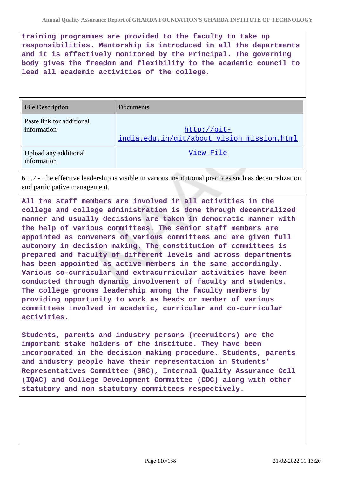**training programmes are provided to the faculty to take up responsibilities. Mentorship is introduced in all the departments and it is effectively monitored by the Principal. The governing body gives the freedom and flexibility to the academic council to lead all academic activities of the college.**

| <b>File Description</b>                  | Documents                                                 |
|------------------------------------------|-----------------------------------------------------------|
| Paste link for additional<br>information | http://git-<br>india.edu.in/git/about_vision_mission.html |
| Upload any additional<br>information     | View File                                                 |

6.1.2 - The effective leadership is visible in various institutional practices such as decentralization and participative management.

**All the staff members are involved in all activities in the college and college administration is done through decentralized manner and usually decisions are taken in democratic manner with the help of various committees. The senior staff members are appointed as conveners of various committees and are given full autonomy in decision making. The constitution of committees is prepared and faculty of different levels and across departments has been appointed as active members in the same accordingly. Various co-curricular and extracurricular activities have been conducted through dynamic involvement of faculty and students. The college grooms leadership among the faculty members by providing opportunity to work as heads or member of various committees involved in academic, curricular and co-curricular activities.**

**Students, parents and industry persons (recruiters) are the important stake holders of the institute. They have been incorporated in the decision making procedure. Students, parents and industry people have their representation in Students' Representatives Committee (SRC), Internal Quality Assurance Cell (IQAC) and College Development Committee (CDC) along with other statutory and non statutory committees respectively.**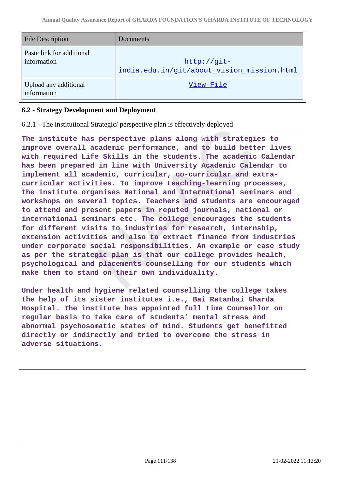| <b>File Description</b>                  | <b>Documents</b>                                          |
|------------------------------------------|-----------------------------------------------------------|
| Paste link for additional<br>information | http://git-<br>india.edu.in/git/about vision mission.html |
| Upload any additional<br>information     | View File                                                 |

# **6.2 - Strategy Development and Deployment**

6.2.1 - The institutional Strategic/ perspective plan is effectively deployed

**The institute has perspective plans along with strategies to improve overall academic performance, and to build better lives with required Life Skills in the students. The academic Calendar has been prepared in line with University Academic Calendar to implement all academic, curricular, co-curricular and extracurricular activities. To improve teaching-learning processes, the institute organises National and International seminars and workshops on several topics. Teachers and students are encouraged to attend and present papers in reputed journals, national or international seminars etc. The college encourages the students for different visits to industries for research, internship, extension activities and also to extract finance from industries under corporate social responsibilities. An example or case study as per the strategic plan is that our college provides health, psychological and placements counselling for our students which make them to stand on their own individuality.**

**Under health and hygiene related counselling the college takes the help of its sister institutes i.e., Bai Ratanbai Gharda Hospital. The institute has appointed full time Counsellor on regular basis to take care of students' mental stress and abnormal psychosomatic states of mind. Students get benefitted directly or indirectly and tried to overcome the stress in adverse situations.**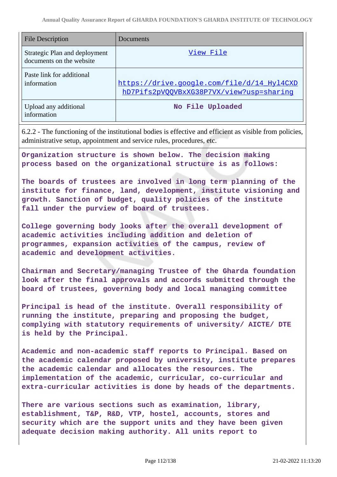| <b>File Description</b>                                   | Documents                                                                              |
|-----------------------------------------------------------|----------------------------------------------------------------------------------------|
| Strategic Plan and deployment<br>documents on the website | View File                                                                              |
| Paste link for additional<br>information                  | https://drive.google.com/file/d/14_Hyl4CXD<br>hD7Pifs2pVQQVBxXG38P7VX/view?usp=sharing |
| Upload any additional<br>information                      | No File Uploaded                                                                       |

6.2.2 - The functioning of the institutional bodies is effective and efficient as visible from policies, administrative setup, appointment and service rules, procedures, etc.

**Organization structure is shown below. The decision making process based on the organizational structure is as follows:**

**The boards of trustees are involved in long term planning of the institute for finance, land, development, institute visioning and growth. Sanction of budget, quality policies of the institute fall under the purview of board of trustees.**

**College governing body looks after the overall development of academic activities including addition and deletion of programmes, expansion activities of the campus, review of academic and development activities.**

**Chairman and Secretary/managing Trustee of the Gharda foundation look after the final approvals and accords submitted through the board of trustees, governing body and local managing committee**

**Principal is head of the institute. Overall responsibility of running the institute, preparing and proposing the budget, complying with statutory requirements of university/ AICTE/ DTE is held by the Principal.**

**Academic and non-academic staff reports to Principal. Based on the academic calendar proposed by university, institute prepares the academic calendar and allocates the resources. The implementation of the academic, curricular, co-curricular and extra-curricular activities is done by heads of the departments.**

**There are various sections such as examination, library, establishment, T&P, R&D, VTP, hostel, accounts, stores and security which are the support units and they have been given adequate decision making authority. All units report to**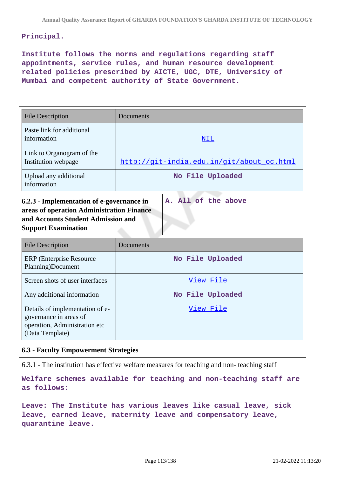# **Principal.**

**Institute follows the norms and regulations regarding staff appointments, service rules, and human resource development related policies prescribed by AICTE, UGC, DTE, University of Mumbai and competent authority of State Government.**

| <b>File Description</b>                                                                                                                                                           | Documents                                 |
|-----------------------------------------------------------------------------------------------------------------------------------------------------------------------------------|-------------------------------------------|
| Paste link for additional<br>information                                                                                                                                          | NIL                                       |
| Link to Organogram of the<br>Institution webpage                                                                                                                                  | http://qit-india.edu.in/qit/about oc.html |
| Upload any additional<br>information                                                                                                                                              | No File Uploaded                          |
| A. All of the above<br>6.2.3 - Implementation of e-governance in<br>areas of operation Administration Finance<br>and Accounts Student Admission and<br><b>Support Examination</b> |                                           |

| <b>File Description</b>                                                                                       | Documents        |
|---------------------------------------------------------------------------------------------------------------|------------------|
| <b>ERP</b> (Enterprise Resource)<br>Planning)Document                                                         | No File Uploaded |
| Screen shots of user interfaces                                                                               | View File        |
| Any additional information                                                                                    | No File Uploaded |
| Details of implementation of e-<br>governance in areas of<br>operation, Administration etc<br>(Data Template) | View File        |

## **6.3 - Faculty Empowerment Strategies**

6.3.1 - The institution has effective welfare measures for teaching and non- teaching staff

**Welfare schemes available for teaching and non-teaching staff are as follows:**

**Leave: The Institute has various leaves like casual leave, sick leave, earned leave, maternity leave and compensatory leave, quarantine leave.**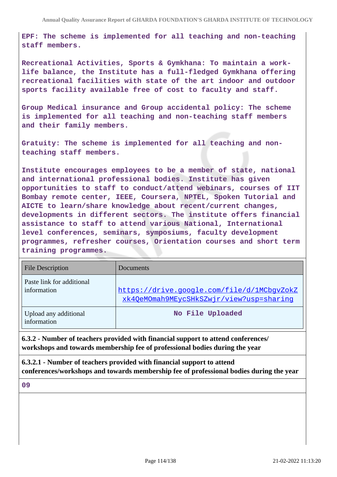**EPF: The scheme is implemented for all teaching and non-teaching staff members.**

**Recreational Activities, Sports & Gymkhana: To maintain a worklife balance, the Institute has a full-fledged Gymkhana offering recreational facilities with state of the art indoor and outdoor sports facility available free of cost to faculty and staff.**

**Group Medical insurance and Group accidental policy: The scheme is implemented for all teaching and non-teaching staff members and their family members.**

**Gratuity: The scheme is implemented for all teaching and nonteaching staff members.**

**Institute encourages employees to be a member of state, national and international professional bodies. Institute has given opportunities to staff to conduct/attend webinars, courses of IIT Bombay remote center, IEEE, Coursera, NPTEL, Spoken Tutorial and AICTE to learn/share knowledge about recent/current changes, developments in different sectors. The institute offers financial assistance to staff to attend various National, International level conferences, seminars, symposiums, faculty development programmes, refresher courses, Orientation courses and short term training programmes.**

| <b>File Description</b>                  | Documents                                                                              |
|------------------------------------------|----------------------------------------------------------------------------------------|
| Paste link for additional<br>information | https://drive.google.com/file/d/1MCbqvZokZ<br>xk4QeMOmah9MEycSHkSZwjr/view?usp=sharing |
| Upload any additional<br>information     | No File Uploaded                                                                       |

**6.3.2 - Number of teachers provided with financial support to attend conferences/ workshops and towards membership fee of professional bodies during the year**

**6.3.2.1 - Number of teachers provided with financial support to attend conferences/workshops and towards membership fee of professional bodies during the year**

**09**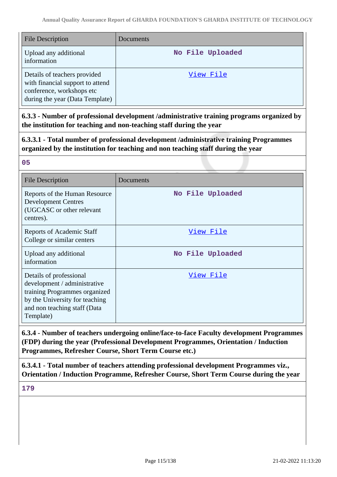| <b>File Description</b>                                                                                                          | Documents        |
|----------------------------------------------------------------------------------------------------------------------------------|------------------|
| Upload any additional<br>information                                                                                             | No File Uploaded |
| Details of teachers provided<br>with financial support to attend<br>conference, workshops etc<br>during the year (Data Template) | View File        |

**6.3.3 - Number of professional development /administrative training programs organized by the institution for teaching and non-teaching staff during the year**

**6.3.3.1 - Total number of professional development /administrative training Programmes organized by the institution for teaching and non teaching staff during the year**

### **05**

| <b>File Description</b>                                                                                                                                                 | Documents        |
|-------------------------------------------------------------------------------------------------------------------------------------------------------------------------|------------------|
| Reports of the Human Resource<br><b>Development Centres</b><br>(UGCASC or other relevant<br>centres).                                                                   | No File Uploaded |
| <b>Reports of Academic Staff</b><br>College or similar centers                                                                                                          | View File        |
| Upload any additional<br>information                                                                                                                                    | No File Uploaded |
| Details of professional<br>development / administrative<br>training Programmes organized<br>by the University for teaching<br>and non teaching staff (Data<br>Template) | <u>View File</u> |

**6.3.4 - Number of teachers undergoing online/face-to-face Faculty development Programmes (FDP) during the year (Professional Development Programmes, Orientation / Induction Programmes, Refresher Course, Short Term Course etc.)**

**6.3.4.1 - Total number of teachers attending professional development Programmes viz., Orientation / Induction Programme, Refresher Course, Short Term Course during the year**

**179**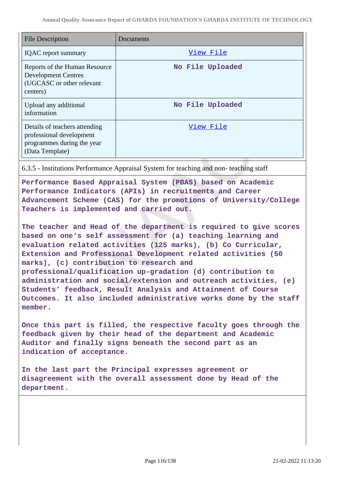| <b>File Description</b>                                                                                    | Documents        |
|------------------------------------------------------------------------------------------------------------|------------------|
| <b>IQAC</b> report summary                                                                                 | View File        |
| Reports of the Human Resource<br><b>Development Centres</b><br>(UGCASC or other relevant<br>centers)       | No File Uploaded |
| Upload any additional<br>information                                                                       | No File Uploaded |
| Details of teachers attending<br>professional development<br>programmes during the year<br>(Data Template) | View File        |

6.3.5 - Institutions Performance Appraisal System for teaching and non- teaching staff

**Performance Based Appraisal System (PBAS) based on Academic Performance Indicators (APIs) in recruitments and Career Advancement Scheme (CAS) for the promotions of University/College Teachers is implemented and carried out.**

**The teacher and Head of the department is required to give scores based on one's self assessment for (a) teaching learning and evaluation related activities (125 marks), (b) Co Curricular, Extension and Professional Development related activities (50 marks), (c) contribution to research and professional/qualification up-gradation (d) contribution to administration and social/extension and outreach activities, (e) Students' feedback, Result Analysis and Attainment of Course Outcomes. It also included administrative works done by the staff member.**

**Once this part is filled, the respective faculty goes through the feedback given by their head of the department and Academic Auditor and finally signs beneath the second part as an indication of acceptance.**

**In the last part the Principal expresses agreement or disagreement with the overall assessment done by Head of the department.**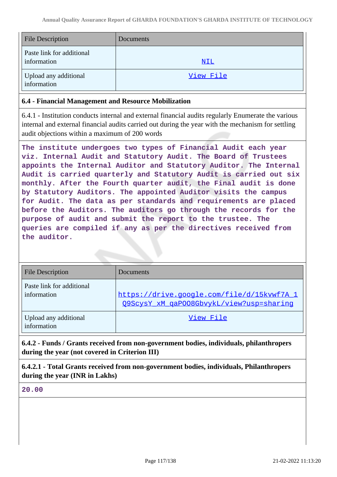| <b>File Description</b>                  | Documents  |
|------------------------------------------|------------|
| Paste link for additional<br>information | <u>NIL</u> |
| Upload any additional<br>information     | View File  |

# **6.4 - Financial Management and Resource Mobilization**

6.4.1 - Institution conducts internal and external financial audits regularly Enumerate the various internal and external financial audits carried out during the year with the mechanism for settling audit objections within a maximum of 200 words

**The institute undergoes two types of Financial Audit each year viz. Internal Audit and Statutory Audit. The Board of Trustees appoints the Internal Auditor and Statutory Auditor. The Internal Audit is carried quarterly and Statutory Audit is carried out six monthly. After the Fourth quarter audit, the Final audit is done by Statutory Auditors. The appointed Auditor visits the campus for Audit. The data as per standards and requirements are placed before the Auditors. The auditors go through the records for the purpose of audit and submit the report to the trustee. The queries are compiled if any as per the directives received from the auditor.**

| <b>File Description</b>                  | Documents                                                                              |
|------------------------------------------|----------------------------------------------------------------------------------------|
| Paste link for additional<br>information | https://drive.google.com/file/d/15kvwf7A 1<br>O9ScysY xM qaPOO8GbvykL/view?usp=sharing |
| Upload any additional<br>information     | View File                                                                              |

**6.4.2 - Funds / Grants received from non-government bodies, individuals, philanthropers during the year (not covered in Criterion III)**

**6.4.2.1 - Total Grants received from non-government bodies, individuals, Philanthropers during the year (INR in Lakhs)**

**20.00**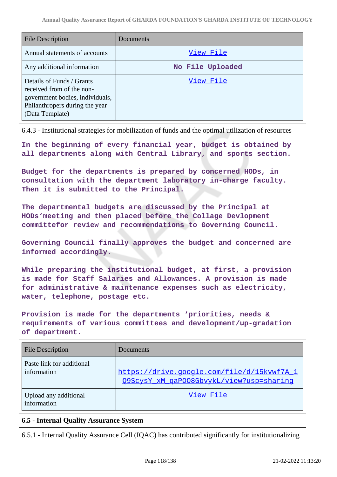| <b>File Description</b>                                                                                                                        | Documents        |
|------------------------------------------------------------------------------------------------------------------------------------------------|------------------|
| Annual statements of accounts                                                                                                                  | View File        |
| Any additional information                                                                                                                     | No File Uploaded |
| Details of Funds / Grants<br>received from of the non-<br>government bodies, individuals,<br>Philanthropers during the year<br>(Data Template) | View File        |

6.4.3 - Institutional strategies for mobilization of funds and the optimal utilization of resources

**In the beginning of every financial year, budget is obtained by all departments along with Central Library, and sports section.**

**Budget for the departments is prepared by concerned HODs, in consultation with the department laboratory in-charge faculty. Then it is submitted to the Principal.**

**The departmental budgets are discussed by the Principal at HODs'meeting and then placed before the Collage Devlopment committefor review and recommendations to Governing Council.**

**Governing Council finally approves the budget and concerned are informed accordingly.**

**While preparing the institutional budget, at first, a provision is made for Staff Salaries and Allowances. A provision is made for administrative & maintenance expenses such as electricity, water, telephone, postage etc.**

**Provision is made for the departments 'priorities, needs & requirements of various committees and development/up-gradation of department.**

| <b>File Description</b>                  | Documents                                                                              |
|------------------------------------------|----------------------------------------------------------------------------------------|
| Paste link for additional<br>information | https://drive.google.com/file/d/15kvwf7A 1<br>O9ScysY xM qaPOO8GbvykL/view?usp=sharing |
| Upload any additional<br>information     | View File                                                                              |

# **6.5 - Internal Quality Assurance System**

6.5.1 - Internal Quality Assurance Cell (IQAC) has contributed significantly for institutionalizing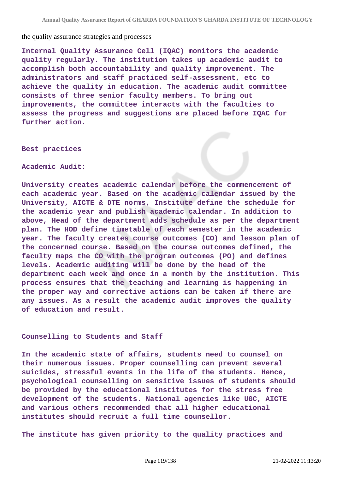the quality assurance strategies and processes

**Internal Quality Assurance Cell (IQAC) monitors the academic quality regularly. The institution takes up academic audit to accomplish both accountability and quality improvement. The administrators and staff practiced self-assessment, etc to achieve the quality in education. The academic audit committee consists of three senior faculty members. To bring out improvements, the committee interacts with the faculties to assess the progress and suggestions are placed before IQAC for further action.**

**Best practices**

**Academic Audit:**

**University creates academic calendar before the commencement of each academic year. Based on the academic calendar issued by the University, AICTE & DTE norms, Institute define the schedule for the academic year and publish academic calendar. In addition to above, Head of the department adds schedule as per the department plan. The HOD define timetable of each semester in the academic year. The faculty creates course outcomes (CO) and lesson plan of the concerned course. Based on the course outcomes defined, the faculty maps the CO with the program outcomes (PO) and defines levels. Academic auditing will be done by the head of the department each week and once in a month by the institution. This process ensures that the teaching and learning is happening in the proper way and corrective actions can be taken if there are any issues. As a result the academic audit improves the quality of education and result.**

**Counselling to Students and Staff** 

**In the academic state of affairs, students need to counsel on their numerous issues. Proper counselling can prevent several suicides, stressful events in the life of the students. Hence, psychological counselling on sensitive issues of students should be provided by the educational institutes for the stress free development of the students. National agencies like UGC, AICTE and various others recommended that all higher educational institutes should recruit a full time counsellor.**

**The institute has given priority to the quality practices and**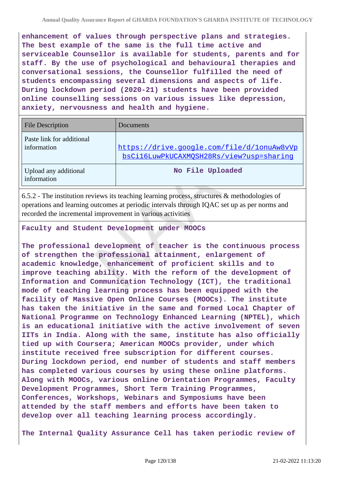**enhancement of values through perspective plans and strategies. The best example of the same is the full time active and serviceable Counsellor is available for students, parents and for staff. By the use of psychological and behavioural therapies and conversational sessions, the Counsellor fulfilled the need of students encompassing several dimensions and aspects of life. During lockdown period (2020-21) students have been provided online counselling sessions on various issues like depression, anxiety, nervousness and health and hygiene.**

| <b>File Description</b>                  | Documents                                                                              |
|------------------------------------------|----------------------------------------------------------------------------------------|
| Paste link for additional<br>information | https://drive.google.com/file/d/1onuAw8vVp<br>bsCil6LuwPkUCAXMOSH28Rs/view?usp=sharing |
| Upload any additional<br>information     | No File Uploaded                                                                       |

6.5.2 - The institution reviews its teaching learning process, structures & methodologies of operations and learning outcomes at periodic intervals through IQAC set up as per norms and recorded the incremental improvement in various activities

### **Faculty and Student Development under MOOCs**

**The professional development of teacher is the continuous process of strengthen the professional attainment, enlargement of academic knowledge, enhancement of proficient skills and to improve teaching ability. With the reform of the development of Information and Communication Technology (ICT), the traditional mode of teaching learning process has been equipped with the facility of Massive Open Online Courses (MOOCs). The institute has taken the initiative in the same and formed Local Chapter of National Programme on Technology Enhanced Learning (NPTEL), which is an educational initiative with the active involvement of seven IITs in India. Along with the same, institute has also officially tied up with Coursera; American MOOCs provider, under which institute received free subscription for different courses. During lockdown period, end number of students and staff members has completed various courses by using these online platforms. Along with MOOCs, various online Orientation Programmes, Faculty Development Programmes, Short Term Training Programmes, Conferences, Workshops, Webinars and Symposiums have been attended by the staff members and efforts have been taken to develop over all teaching learning process accordingly.**

**The Internal Quality Assurance Cell has taken periodic review of**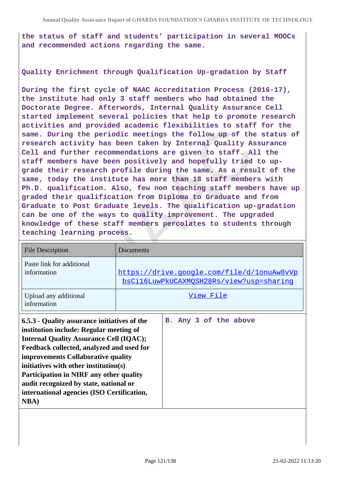**the status of staff and students' participation in several MOOCs and recommended actions regarding the same.**

### **Quality Enrichment through Qualification Up-gradation by Staff**

**During the first cycle of NAAC Accreditation Process (2016-17), the institute had only 3 staff members who had obtained the Doctorate Degree. Afterwords, Internal Quality Assurance Cell started implement several policies that help to promote research activities and provided academic flexibilities to staff for the same. During the periodic meetings the follow up of the status of research activity has been taken by Internal Quality Assurance Cell and further recommendations are given to staff. All the staff members have been positively and hopefully tried to upgrade their research profile during the same. As a result of the same, today the institute has more than 18 staff members with Ph.D. qualification. Also, few non teaching staff members have up graded their qualification from Diploma to Graduate and from Graduate to Post Graduate levels. The qualification up-gradation can be one of the ways to quality improvement. The upgraded knowledge of these staff members percolates to students through teaching learning process.**

| <b>File Description</b>                                                                                                                                                                                                                                                                                                                                                                                                         | Documents             |  |
|---------------------------------------------------------------------------------------------------------------------------------------------------------------------------------------------------------------------------------------------------------------------------------------------------------------------------------------------------------------------------------------------------------------------------------|-----------------------|--|
| Paste link for additional<br>information<br>https://drive.google.com/file/d/1onuAw8vVp<br>bsCil6LuwPkUCAXMOSH28Rs/view?usp=sharing                                                                                                                                                                                                                                                                                              |                       |  |
| Upload any additional<br>information                                                                                                                                                                                                                                                                                                                                                                                            | View File             |  |
| 6.5.3 - Quality assurance initiatives of the<br>institution include: Regular meeting of<br><b>Internal Quality Assurance Cell (IQAC);</b><br>Feedback collected, analyzed and used for<br>improvements Collaborative quality<br>initiatives with other institution(s)<br><b>Participation in NIRF any other quality</b><br>audit recognized by state, national or<br>international agencies (ISO Certification,<br><b>NBA</b> ) | B. Any 3 of the above |  |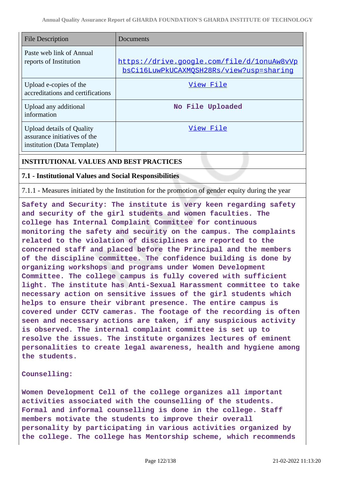| <b>File Description</b>                                                                         | Documents                                                                              |
|-------------------------------------------------------------------------------------------------|----------------------------------------------------------------------------------------|
| Paste web link of Annual<br>reports of Institution                                              | https://drive.google.com/file/d/lonuAw8vVp<br>bsCil6LuwPkUCAXMOSH28Rs/view?usp=sharing |
| Upload e-copies of the<br>accreditations and certifications                                     | View File                                                                              |
| Upload any additional<br>information                                                            | No File Uploaded                                                                       |
| <b>Upload details of Quality</b><br>assurance initiatives of the<br>institution (Data Template) | View File                                                                              |

# **INSTITUTIONAL VALUES AND BEST PRACTICES**

# **7.1 - Institutional Values and Social Responsibilities**

7.1.1 - Measures initiated by the Institution for the promotion of gender equity during the year

**Safety and Security: The institute is very keen regarding safety and security of the girl students and women faculties. The college has Internal Complaint Committee for continuous monitoring the safety and security on the campus. The complaints related to the violation of disciplines are reported to the concerned staff and placed before the Principal and the members of the discipline committee. The confidence building is done by organizing workshops and programs under Women Development Committee. The college campus is fully covered with sufficient light. The institute has Anti-Sexual Harassment committee to take necessary action on sensitive issues of the girl students which helps to ensure their vibrant presence. The entire campus is covered under CCTV cameras. The footage of the recording is often seen and necessary actions are taken, if any suspicious activity is observed. The internal complaint committee is set up to resolve the issues. The institute organizes lectures of eminent personalities to create legal awareness, health and hygiene among the students.**

### **Counselling:**

**Women Development Cell of the college organizes all important activities associated with the counselling of the students. Formal and informal counselling is done in the college. Staff members motivate the students to improve their overall personality by participating in various activities organized by the college. The college has Mentorship scheme, which recommends**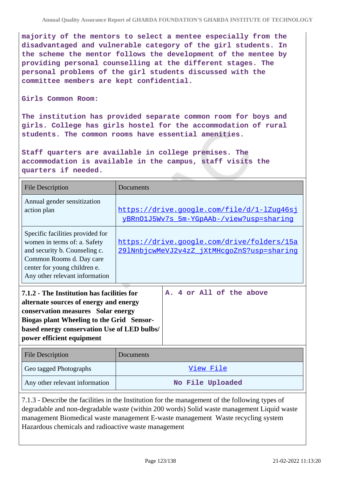**majority of the mentors to select a mentee especially from the disadvantaged and vulnerable category of the girl students. In the scheme the mentor follows the development of the mentee by providing personal counselling at the different stages. The personal problems of the girl students discussed with the committee members are kept confidential.**

### **Girls Common Room:**

**The institution has provided separate common room for boys and girls. College has girls hostel for the accommodation of rural students. The common rooms have essential amenities.**

**Staff quarters are available in college premises. The accommodation is available in the campus, staff visits the quarters if needed.**

| <b>File Description</b>                                                                                                                                                                                                                             | Documents                                                                                |                          |
|-----------------------------------------------------------------------------------------------------------------------------------------------------------------------------------------------------------------------------------------------------|------------------------------------------------------------------------------------------|--------------------------|
| Annual gender sensitization<br>action plan                                                                                                                                                                                                          | https://drive.google.com/file/d/1-lZug46sj<br>yBRn01J5Wv7s_5m-YGpAAb-/view?usp=sharing   |                          |
| Specific facilities provided for<br>women in terms of: a. Safety<br>and security b. Counseling c.<br>Common Rooms d. Day care<br>center for young children e.<br>Any other relevant information                                                     | https://drive.google.com/drive/folders/15a<br>291NnbjcwMeVJ2v4zZ jXtMHcqoZnS?usp=sharinq |                          |
| 7.1.2 - The Institution has facilities for<br>alternate sources of energy and energy<br>conservation measures Solar energy<br>Biogas plant Wheeling to the Grid Sensor-<br>based energy conservation Use of LED bulbs/<br>power efficient equipment |                                                                                          | A. 4 or All of the above |
| <b>File Description</b>                                                                                                                                                                                                                             | Documents                                                                                |                          |
| Geo tagged Photographs                                                                                                                                                                                                                              |                                                                                          | View File                |
| Any other relevant information                                                                                                                                                                                                                      |                                                                                          | No File Uploaded         |

7.1.3 - Describe the facilities in the Institution for the management of the following types of degradable and non-degradable waste (within 200 words) Solid waste management Liquid waste management Biomedical waste management E-waste management Waste recycling system Hazardous chemicals and radioactive waste management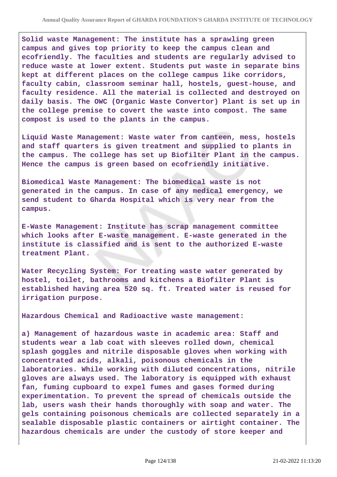**Solid waste Management: The institute has a sprawling green campus and gives top priority to keep the campus clean and ecofriendly. The faculties and students are regularly advised to reduce waste at lower extent. Students put waste in separate bins kept at different places on the college campus like corridors, faculty cabin, classroom seminar hall, hostels, guest-house, and faculty residence. All the material is collected and destroyed on daily basis. The OWC (Organic Waste Convertor) Plant is set up in the college premise to covert the waste into compost. The same compost is used to the plants in the campus.**

**Liquid Waste Management: Waste water from canteen, mess, hostels and staff quarters is given treatment and supplied to plants in the campus. The college has set up Biofilter Plant in the campus. Hence the campus is green based on ecofriendly initiative.**

**Biomedical Waste Management: The biomedical waste is not generated in the campus. In case of any medical emergency, we send student to Gharda Hospital which is very near from the campus.**

**E-Waste Management: Institute has scrap management committee which looks after E-waste management. E-waste generated in the institute is classified and is sent to the authorized E-waste treatment Plant.**

**Water Recycling System: For treating waste water generated by hostel, toilet, bathrooms and kitchens a Biofilter Plant is established having area 520 sq. ft. Treated water is reused for irrigation purpose.**

**Hazardous Chemical and Radioactive waste management:**

**a) Management of hazardous waste in academic area: Staff and students wear a lab coat with sleeves rolled down, chemical splash goggles and nitrile disposable gloves when working with concentrated acids, alkali, poisonous chemicals in the laboratories. While working with diluted concentrations, nitrile gloves are always used. The laboratory is equipped with exhaust fan, fuming cupboard to expel fumes and gases formed during experimentation. To prevent the spread of chemicals outside the lab, users wash their hands thoroughly with soap and water. The gels containing poisonous chemicals are collected separately in a sealable disposable plastic containers or airtight container. The hazardous chemicals are under the custody of store keeper and**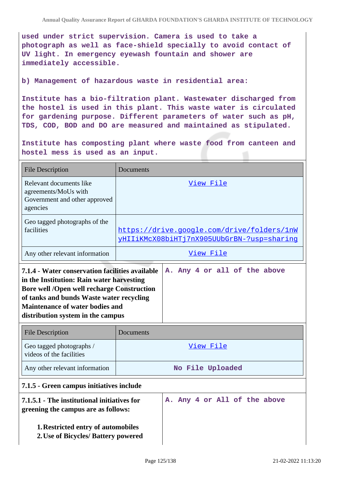**used under strict supervision. Camera is used to take a photograph as well as face-shield specially to avoid contact of UV light. In emergency eyewash fountain and shower are immediately accessible.**

### **b) Management of hazardous waste in residential area:**

**Institute has a bio-filtration plant. Wastewater discharged from the hostel is used in this plant. This waste water is circulated for gardening purpose. Different parameters of water such as pH, TDS, COD, BOD and DO are measured and maintained as stipulated.**

**Institute has composting plant where waste food from canteen and hostel mess is used as an input.**

| <b>File Description</b>                                                                                                                                                                                                                                                      | Documents                                                                                |                              |
|------------------------------------------------------------------------------------------------------------------------------------------------------------------------------------------------------------------------------------------------------------------------------|------------------------------------------------------------------------------------------|------------------------------|
| Relevant documents like<br>agreements/MoUs with<br>Government and other approved<br>agencies                                                                                                                                                                                 | View File                                                                                |                              |
| Geo tagged photographs of the<br>facilities                                                                                                                                                                                                                                  | https://drive.google.com/drive/folders/1nW<br>yHIIiKMcX08biHTj7nX905UUbGrBN-?usp=sharing |                              |
| Any other relevant information                                                                                                                                                                                                                                               |                                                                                          | View File                    |
| 7.1.4 - Water conservation facilities available<br>in the Institution: Rain water harvesting<br><b>Bore well /Open well recharge Construction</b><br>of tanks and bunds Waste water recycling<br><b>Maintenance of water bodies and</b><br>distribution system in the campus |                                                                                          | A. Any 4 or all of the above |
| <b>File Description</b>                                                                                                                                                                                                                                                      | Documents                                                                                |                              |
| Geo tagged photographs /<br>videos of the facilities                                                                                                                                                                                                                         | View File<br>No File Uploaded                                                            |                              |
| Any other relevant information                                                                                                                                                                                                                                               |                                                                                          |                              |
| 7.1.5 - Green campus initiatives include                                                                                                                                                                                                                                     |                                                                                          |                              |
| 7.1.5.1 - The institutional initiatives for<br>greening the campus are as follows:                                                                                                                                                                                           |                                                                                          | A. Any 4 or All of the above |
| 1. Restricted entry of automobiles<br>2. Use of Bicycles/ Battery powered                                                                                                                                                                                                    |                                                                                          |                              |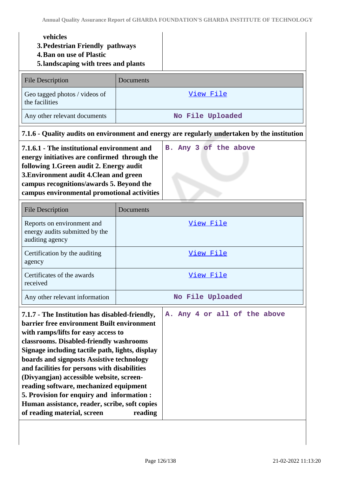|                                                                                                                                                                                                                                                                                                                                                                                                                                                                                                                                                               | vehicles<br>3. Pedestrian Friendly pathways<br><b>4. Ban on use of Plastic</b><br>5. landscaping with trees and plants |                              |                  |  |
|---------------------------------------------------------------------------------------------------------------------------------------------------------------------------------------------------------------------------------------------------------------------------------------------------------------------------------------------------------------------------------------------------------------------------------------------------------------------------------------------------------------------------------------------------------------|------------------------------------------------------------------------------------------------------------------------|------------------------------|------------------|--|
|                                                                                                                                                                                                                                                                                                                                                                                                                                                                                                                                                               | <b>File Description</b>                                                                                                | Documents                    |                  |  |
|                                                                                                                                                                                                                                                                                                                                                                                                                                                                                                                                                               | Geo tagged photos / videos of<br>the facilities                                                                        |                              | View File        |  |
|                                                                                                                                                                                                                                                                                                                                                                                                                                                                                                                                                               | Any other relevant documents                                                                                           |                              | No File Uploaded |  |
|                                                                                                                                                                                                                                                                                                                                                                                                                                                                                                                                                               | 7.1.6 - Quality audits on environment and energy are regularly undertaken by the institution                           |                              |                  |  |
| 7.1.6.1 - The institutional environment and<br>energy initiatives are confirmed through the<br>following 1. Green audit 2. Energy audit<br>3. Environment audit 4. Clean and green<br>campus recognitions/awards 5. Beyond the<br>campus environmental promotional activities                                                                                                                                                                                                                                                                                 |                                                                                                                        | B. Any 3 of the above        |                  |  |
|                                                                                                                                                                                                                                                                                                                                                                                                                                                                                                                                                               | <b>File Description</b>                                                                                                | Documents                    |                  |  |
|                                                                                                                                                                                                                                                                                                                                                                                                                                                                                                                                                               | Reports on environment and<br>energy audits submitted by the<br>auditing agency                                        |                              | View File        |  |
|                                                                                                                                                                                                                                                                                                                                                                                                                                                                                                                                                               | Certification by the auditing<br>agency                                                                                |                              | View File        |  |
|                                                                                                                                                                                                                                                                                                                                                                                                                                                                                                                                                               | Certificates of the awards<br>received                                                                                 |                              | View File        |  |
|                                                                                                                                                                                                                                                                                                                                                                                                                                                                                                                                                               | Any other relevant information                                                                                         |                              | No File Uploaded |  |
| 7.1.7 - The Institution has disabled-friendly,<br>barrier free environment Built environment<br>with ramps/lifts for easy access to<br>classrooms. Disabled-friendly washrooms<br>Signage including tactile path, lights, display<br>boards and signposts Assistive technology<br>and facilities for persons with disabilities<br>(Divyangjan) accessible website, screen-<br>reading software, mechanized equipment<br>5. Provision for enquiry and information :<br>Human assistance, reader, scribe, soft copies<br>of reading material, screen<br>reading |                                                                                                                        | A. Any 4 or all of the above |                  |  |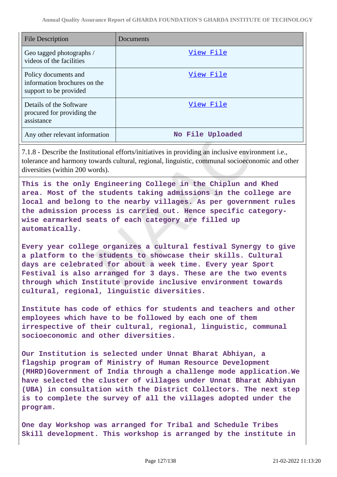| File Description                                                               | Documents        |
|--------------------------------------------------------------------------------|------------------|
| Geo tagged photographs /<br>videos of the facilities                           | View File        |
| Policy documents and<br>information brochures on the<br>support to be provided | View File        |
| Details of the Software<br>procured for providing the<br>assistance            | View File        |
| Any other relevant information                                                 | No File Uploaded |

7.1.8 - Describe the Institutional efforts/initiatives in providing an inclusive environment i.e., tolerance and harmony towards cultural, regional, linguistic, communal socioeconomic and other diversities (within 200 words).

**This is the only Engineering College in the Chiplun and Khed area. Most of the students taking admissions in the college are local and belong to the nearby villages. As per government rules the admission process is carried out. Hence specific categorywise earmarked seats of each category are filled up automatically.**

**Every year college organizes a cultural festival Synergy to give a platform to the students to showcase their skills. Cultural days are celebrated for about a week time. Every year Sport Festival is also arranged for 3 days. These are the two events through which Institute provide inclusive environment towards cultural, regional, linguistic diversities.**

**Institute has code of ethics for students and teachers and other employees which have to be followed by each one of them irrespective of their cultural, regional, linguistic, communal socioeconomic and other diversities.**

**Our Institution is selected under Unnat Bharat Abhiyan, a flagship program of Ministry of Human Resource Development (MHRD)Government of India through a challenge mode application.We have selected the cluster of villages under Unnat Bharat Abhiyan (UBA) in consultation with the District Collectors. The next step is to complete the survey of all the villages adopted under the program.**

**One day Workshop was arranged for Tribal and Schedule Tribes Skill development. This workshop is arranged by the institute in**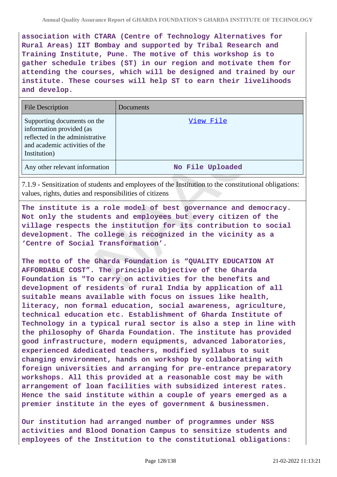**association with CTARA (Centre of Technology Alternatives for Rural Areas) IIT Bombay and supported by Tribal Research and Training Institute, Pune. The motive of this workshop is to gather schedule tribes (ST) in our region and motivate them for attending the courses, which will be designed and trained by our institute. These courses will help ST to earn their livelihoods and develop.**

| <b>File Description</b>                                                                                                                      | Documents        |
|----------------------------------------------------------------------------------------------------------------------------------------------|------------------|
| Supporting documents on the<br>information provided (as<br>reflected in the administrative<br>and academic activities of the<br>Institution) | View File        |
| Any other relevant information                                                                                                               | No File Uploaded |

7.1.9 - Sensitization of students and employees of the Institution to the constitutional obligations: values, rights, duties and responsibilities of citizens

**The institute is a role model of best governance and democracy. Not only the students and employees but every citizen of the village respects the institution for its contribution to social development. The college is recognized in the vicinity as a 'Centre of Social Transformation'.**

**The motto of the Gharda Foundation is "QUALITY EDUCATION AT AFFORDABLE COST". The principle objective of the Gharda Foundation is "To carry on activities for the benefits and development of residents of rural India by application of all suitable means available with focus on issues like health, literacy, non formal education, social awareness, agriculture, technical education etc. Establishment of Gharda Institute of Technology in a typical rural sector is also a step in line with the philosophy of Gharda Foundation. The institute has provided good infrastructure, modern equipments, advanced laboratories, experienced &dedicated teachers, modified syllabus to suit changing environment, hands on workshop by collaborating with foreign universities and arranging for pre-entrance preparatory workshops. All this provided at a reasonable cost may be with arrangement of loan facilities with subsidized interest rates. Hence the said institute within a couple of years emerged as a premier institute in the eyes of government & businessmen.**

**Our institution had arranged number of programmes under NSS activities and Blood Donation Campus to sensitize students and employees of the Institution to the constitutional obligations:**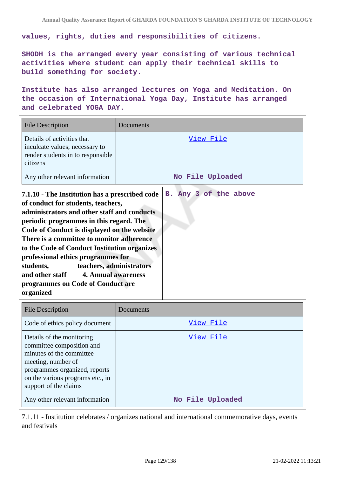**values, rights, duties and responsibilities of citizens.**

**SHODH is the arranged every year consisting of various technical activities where student can apply their technical skills to build something for society.**

**Institute has also arranged lectures on Yoga and Meditation. On the occasion of International Yoga Day, Institute has arranged and celebrated YOGA DAY.**

| <b>File Description</b>                                                                                                             | Documents             |  |
|-------------------------------------------------------------------------------------------------------------------------------------|-----------------------|--|
| Details of activities that<br>inculcate values; necessary to<br>render students in to responsible<br>citizens                       | View File             |  |
| Any other relevant information                                                                                                      | No File Uploaded      |  |
| 7.1.10 - The Institution has a prescribed code<br>of conduct for students, teachers,<br>administrators and other staff and conducts | B. Any 3 of the above |  |

| administrators and other staff and conducts  |  |
|----------------------------------------------|--|
| periodic programmes in this regard. The      |  |
| Code of Conduct is displayed on the website  |  |
| There is a committee to monitor adherence    |  |
| to the Code of Conduct Institution organizes |  |
| professional ethics programmes for           |  |
| teachers, administrators<br>students,        |  |
| and other staff 4. Annual awareness          |  |
| programmes on Code of Conduct are            |  |
| organized                                    |  |
|                                              |  |

| <b>File Description</b>                                                                                                                                                                                | Documents        |
|--------------------------------------------------------------------------------------------------------------------------------------------------------------------------------------------------------|------------------|
| Code of ethics policy document                                                                                                                                                                         | View File        |
| Details of the monitoring<br>committee composition and<br>minutes of the committee<br>meeting, number of<br>programmes organized, reports<br>on the various programs etc., in<br>support of the claims | View File        |
| Any other relevant information                                                                                                                                                                         | No File Uploaded |

7.1.11 - Institution celebrates / organizes national and international commemorative days, events and festivals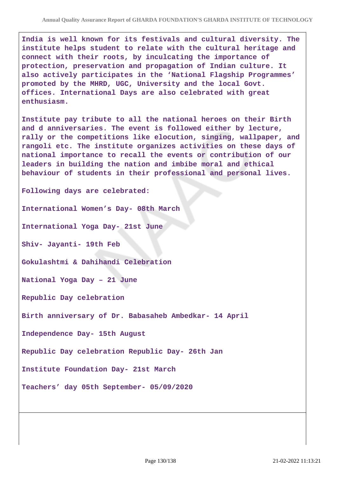**India is well known for its festivals and cultural diversity. The institute helps student to relate with the cultural heritage and connect with their roots, by inculcating the importance of protection, preservation and propagation of Indian culture. It also actively participates in the 'National Flagship Programmes' promoted by the MHRD, UGC, University and the local Govt. offices. International Days are also celebrated with great enthusiasm.**

**Institute pay tribute to all the national heroes on their Birth and d anniversaries. The event is followed either by lecture, rally or the competitions like elocution, singing, wallpaper, and rangoli etc. The institute organizes activities on these days of national importance to recall the events or contribution of our leaders in building the nation and imbibe moral and ethical behaviour of students in their professional and personal lives.**

**Following days are celebrated:**

**International Women's Day- 08th March**

**International Yoga Day- 21st June**

**Shiv- Jayanti- 19th Feb**

**Gokulashtmi & Dahihandi Celebration**

**National Yoga Day – 21 June**

**Republic Day celebration**

**Birth anniversary of Dr. Babasaheb Ambedkar- 14 April**

**Independence Day- 15th August**

**Republic Day celebration Republic Day- 26th Jan**

**Institute Foundation Day- 21st March**

**Teachers' day 05th September- 05/09/2020**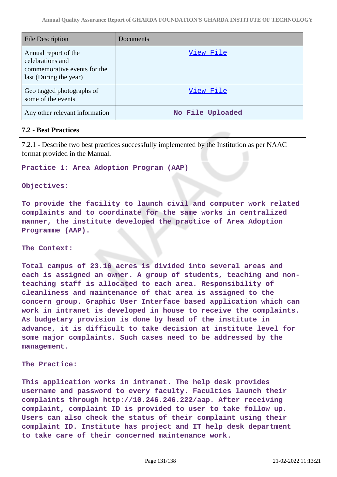| File Description                                                                                   | Documents        |
|----------------------------------------------------------------------------------------------------|------------------|
| Annual report of the<br>celebrations and<br>commemorative events for the<br>last (During the year) | View File        |
| Geo tagged photographs of<br>some of the events                                                    | View File        |
| Any other relevant information                                                                     | No File Uploaded |

# **7.2 - Best Practices**

7.2.1 - Describe two best practices successfully implemented by the Institution as per NAAC format provided in the Manual.

### **Practice 1: Area Adoption Program (AAP)**

### **Objectives:**

**To provide the facility to launch civil and computer work related complaints and to coordinate for the same works in centralized manner, the institute developed the practice of Area Adoption Programme (AAP).**

### **The Context:**

**Total campus of 23.16 acres is divided into several areas and each is assigned an owner. A group of students, teaching and nonteaching staff is allocated to each area. Responsibility of cleanliness and maintenance of that area is assigned to the concern group. Graphic User Interface based application which can work in intranet is developed in house to receive the complaints. As budgetary provision is done by head of the institute in advance, it is difficult to take decision at institute level for some major complaints. Such cases need to be addressed by the management.**

### **The Practice:**

**This application works in intranet. The help desk provides username and password to every faculty. Faculties launch their complaints through http://10.246.246.222/aap. After receiving complaint, complaint ID is provided to user to take follow up. Users can also check the status of their complaint using their complaint ID. Institute has project and IT help desk department to take care of their concerned maintenance work.**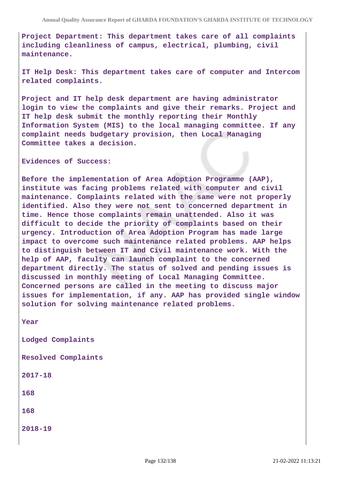**Project Department: This department takes care of all complaints including cleanliness of campus, electrical, plumbing, civil maintenance.**

**IT Help Desk: This department takes care of computer and Intercom related complaints.**

**Project and IT help desk department are having administrator login to view the complaints and give their remarks. Project and IT help desk submit the monthly reporting their Monthly Information System (MIS) to the local managing committee. If any complaint needs budgetary provision, then Local Managing Committee takes a decision.**

**Evidences of Success:**

**Before the implementation of Area Adoption Programme (AAP), institute was facing problems related with computer and civil maintenance. Complaints related with the same were not properly identified. Also they were not sent to concerned department in time. Hence those complaints remain unattended. Also it was difficult to decide the priority of complaints based on their urgency. Introduction of Area Adoption Program has made large impact to overcome such maintenance related problems. AAP helps to distinguish between IT and Civil maintenance work. With the help of AAP, faculty can launch complaint to the concerned department directly. The status of solved and pending issues is discussed in monthly meeting of Local Managing Committee. Concerned persons are called in the meeting to discuss major issues for implementation, if any. AAP has provided single window solution for solving maintenance related problems.**

**Year**

**Lodged Complaints**

**Resolved Complaints**

**2017-18**

**168**

**168**

**2018-19**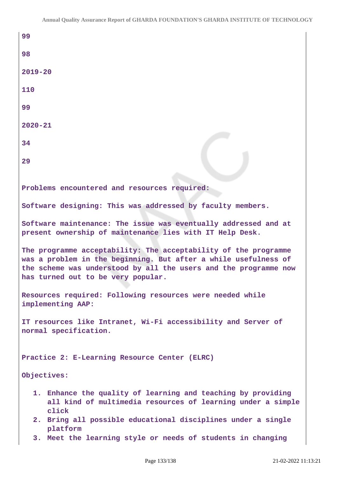| 99                                                                                                                                                                                                                                           |  |  |
|----------------------------------------------------------------------------------------------------------------------------------------------------------------------------------------------------------------------------------------------|--|--|
| 98                                                                                                                                                                                                                                           |  |  |
| $2019 - 20$                                                                                                                                                                                                                                  |  |  |
| 110                                                                                                                                                                                                                                          |  |  |
| 99                                                                                                                                                                                                                                           |  |  |
| $2020 - 21$                                                                                                                                                                                                                                  |  |  |
| 34                                                                                                                                                                                                                                           |  |  |
| 29                                                                                                                                                                                                                                           |  |  |
|                                                                                                                                                                                                                                              |  |  |
| Problems encountered and resources required:                                                                                                                                                                                                 |  |  |
| Software designing: This was addressed by faculty members.                                                                                                                                                                                   |  |  |
| Software maintenance: The issue was eventually addressed and at<br>present ownership of maintenance lies with IT Help Desk.                                                                                                                  |  |  |
| The programme acceptability: The acceptability of the programme<br>was a problem in the beginning. But after a while usefulness of<br>the scheme was understood by all the users and the programme now<br>has turned out to be very popular. |  |  |
| Resources required: Following resources were needed while<br>implementing AAP:                                                                                                                                                               |  |  |
| IT resources like Intranet, Wi-Fi accessibility and Server of<br>normal specification.                                                                                                                                                       |  |  |
| Practice 2: E-Learning Resource Center (ELRC)                                                                                                                                                                                                |  |  |
| Objectives:                                                                                                                                                                                                                                  |  |  |
| 1. Enhance the quality of learning and teaching by providing<br>all kind of multimedia resources of learning under a simple<br>click                                                                                                         |  |  |
| 2. Bring all possible educational disciplines under a single<br>platform                                                                                                                                                                     |  |  |
| 3. Meet the learning style or needs of students in changing                                                                                                                                                                                  |  |  |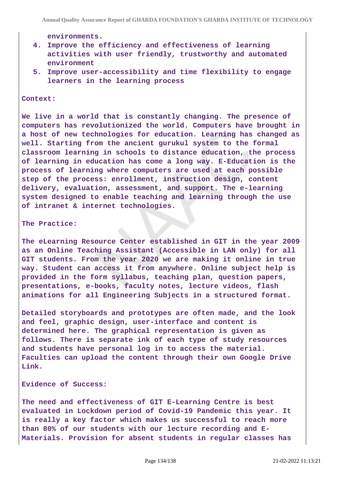**environments.**

- **4. Improve the efficiency and effectiveness of learning activities with user friendly, trustworthy and automated environment**
- **5. Improve user-accessibility and time flexibility to engage learners in the learning process**

#### **Context:**

**We live in a world that is constantly changing. The presence of computers has revolutionized the world. Computers have brought in a host of new technologies for education. Learning has changed as well. Starting from the ancient gurukul system to the formal classroom learning in schools to distance education, the process of learning in education has come a long way. E-Education is the process of learning where computers are used at each possible step of the process: enrollment, instruction design, content delivery, evaluation, assessment, and support. The e-learning system designed to enable teaching and learning through the use of intranet & internet technologies.**

#### **The Practice:**

**The eLearning Resource Center established in GIT in the year 2009 as an Online Teaching Assistant (Accessible in LAN only) for all GIT students. From the year 2020 we are making it online in true way. Student can access it from anywhere. Online subject help is provided in the form syllabus, teaching plan, question papers, presentations, e-books, faculty notes, lecture videos, flash animations for all Engineering Subjects in a structured format.**

**Detailed storyboards and prototypes are often made, and the look and feel, graphic design, user-interface and content is determined here. The graphical representation is given as follows. There is separate ink of each type of study resources and students have personal log in to access the material. Faculties can upload the content through their own Google Drive Link.**

#### **Evidence of Success:**

**The need and effectiveness of GIT E-Learning Centre is best evaluated in Lockdown period of Covid-19 Pandemic this year. It is really a key factor which makes us successful to reach more than 80% of our students with our lecture recording and E-Materials. Provision for absent students in regular classes has**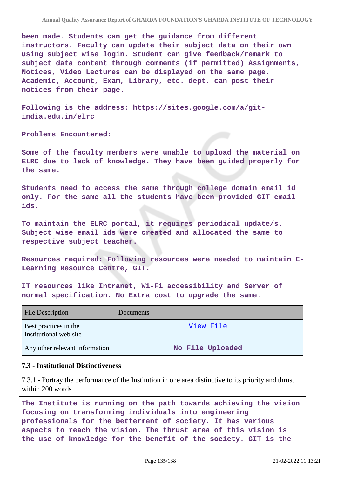**been made. Students can get the guidance from different instructors. Faculty can update their subject data on their own using subject wise login. Student can give feedback/remark to subject data content through comments (if permitted) Assignments, Notices, Video Lectures can be displayed on the same page. Academic, Account, Exam, Library, etc. dept. can post their notices from their page.**

**Following is the address: https://sites.google.com/a/gitindia.edu.in/elrc**

**Problems Encountered:**

**Some of the faculty members were unable to upload the material on ELRC due to lack of knowledge. They have been guided properly for the same.**

**Students need to access the same through college domain email id only. For the same all the students have been provided GIT email ids.**

**To maintain the ELRC portal, it requires periodical update/s. Subject wise email ids were created and allocated the same to respective subject teacher.**

**Resources required: Following resources were needed to maintain E-Learning Resource Centre, GIT.**

**IT resources like Intranet, Wi-Fi accessibility and Server of normal specification. No Extra cost to upgrade the same.**

| <b>File Description</b>                         | <b>Documents</b> |
|-------------------------------------------------|------------------|
| Best practices in the<br>Institutional web site | View File        |
| Any other relevant information                  | No File Uploaded |

### **7.3 - Institutional Distinctiveness**

7.3.1 - Portray the performance of the Institution in one area distinctive to its priority and thrust within 200 words

**The Institute is running on the path towards achieving the vision focusing on transforming individuals into engineering professionals for the betterment of society. It has various aspects to reach the vision. The thrust area of this vision is the use of knowledge for the benefit of the society. GIT is the**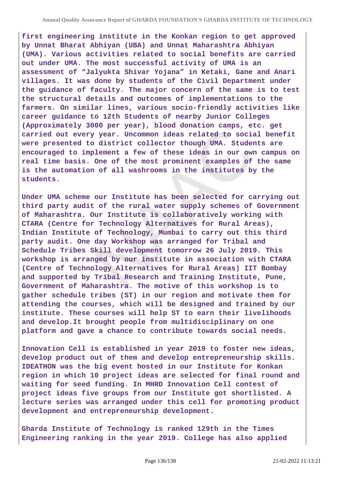**first engineering institute in the Konkan region to get approved by Unnat Bharat Abhiyan (UBA) and Unnat Maharashtra Abhiyan (UMA). Various activities related to social benefits are carried out under UMA. The most successful activity of UMA is an assessment of "Jalyukta Shivar Yojana" in Ketaki, Gane and Anari villages. It was done by students of the Civil Department under the guidance of faculty. The major concern of the same is to test the structural details and outcomes of implementations to the farmers. On similar lines, various socio-friendly activities like career guidance to 12th Students of nearby Junior Colleges (Approximately 3000 per year), blood donation camps, etc. get carried out every year. Uncommon ideas related to social benefit were presented to district collector though UMA. Students are encouraged to implement a few of these ideas in our own campus on real time basis. One of the most prominent examples of the same is the automation of all washrooms in the institutes by the students.**

**Under UMA scheme our Institute has been selected for carrying out third party audit of the rural water supply schemes of Government of Maharashtra. Our Institute is collaboratively working with CTARA (Centre for Technology Alternatives for Rural Areas), Indian Institute of Technology, Mumbai to carry out this third party audit. One day Workshop was arranged for Tribal and Schedule Tribes Skill development tomorrow 26 July 2019. This workshop is arranged by our institute in association with CTARA (Centre of Technology Alternatives for Rural Areas) IIT Bombay and supported by Tribal Research and Training Institute, Pune, Government of Maharashtra. The motive of this workshop is to gather schedule tribes (ST) in our region and motivate them for attending the courses, which will be designed and trained by our institute. These courses will help ST to earn their livelihoods and develop.It brought people from multidisciplinary on one platform and gave a chance to contribute towards social needs.**

**Innovation Cell is established in year 2019 to foster new ideas, develop product out of them and develop entrepreneurship skills. IDEATHON was the big event hosted in our Institute for Konkan region in which 10 project ideas are selected for final round and waiting for seed funding. In MHRD Innovation Cell contest of project ideas five groups from our Institute got shortlisted. A lecture series was arranged under this cell for promoting product development and entrepreneurship development.**

**Gharda Institute of Technology is ranked 129th in the Times Engineering ranking in the year 2019. College has also applied**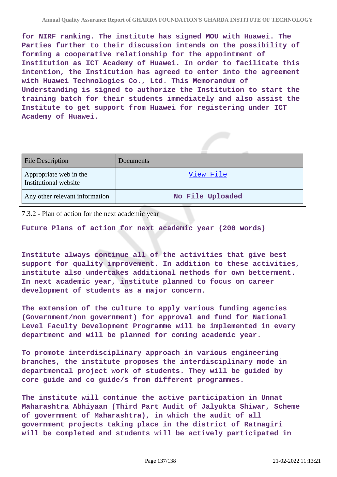**for NIRF ranking. The institute has signed MOU with Huawei. The Parties further to their discussion intends on the possibility of forming a cooperative relationship for the appointment of Institution as ICT Academy of Huawei. In order to facilitate this intention, the Institution has agreed to enter into the agreement with Huawei Technologies Co., Ltd. This Memorandum of Understanding is signed to authorize the Institution to start the training batch for their students immediately and also assist the Institute to get support from Huawei for registering under ICT Academy of Huawei.**

| <b>File Description</b>                         | Documents        |
|-------------------------------------------------|------------------|
| Appropriate web in the<br>Institutional website | View File        |
| Any other relevant information                  | No File Uploaded |

7.3.2 - Plan of action for the next academic year

**Future Plans of action for next academic year (200 words)**

**Institute always continue all of the activities that give best support for quality improvement. In addition to these activities, institute also undertakes additional methods for own betterment. In next academic year, institute planned to focus on career development of students as a major concern.**

**The extension of the culture to apply various funding agencies (Government/non government) for approval and fund for National Level Faculty Development Programme will be implemented in every department and will be planned for coming academic year.**

**To promote interdisciplinary approach in various engineering branches, the institute proposes the interdisciplinary mode in departmental project work of students. They will be guided by core guide and co guide/s from different programmes.**

**The institute will continue the active participation in Unnat Maharashtra Abhiyaan (Third Part Audit of Jalyukta Shiwar, Scheme of government of Maharashtra), in which the audit of all government projects taking place in the district of Ratnagiri will be completed and students will be actively participated in**